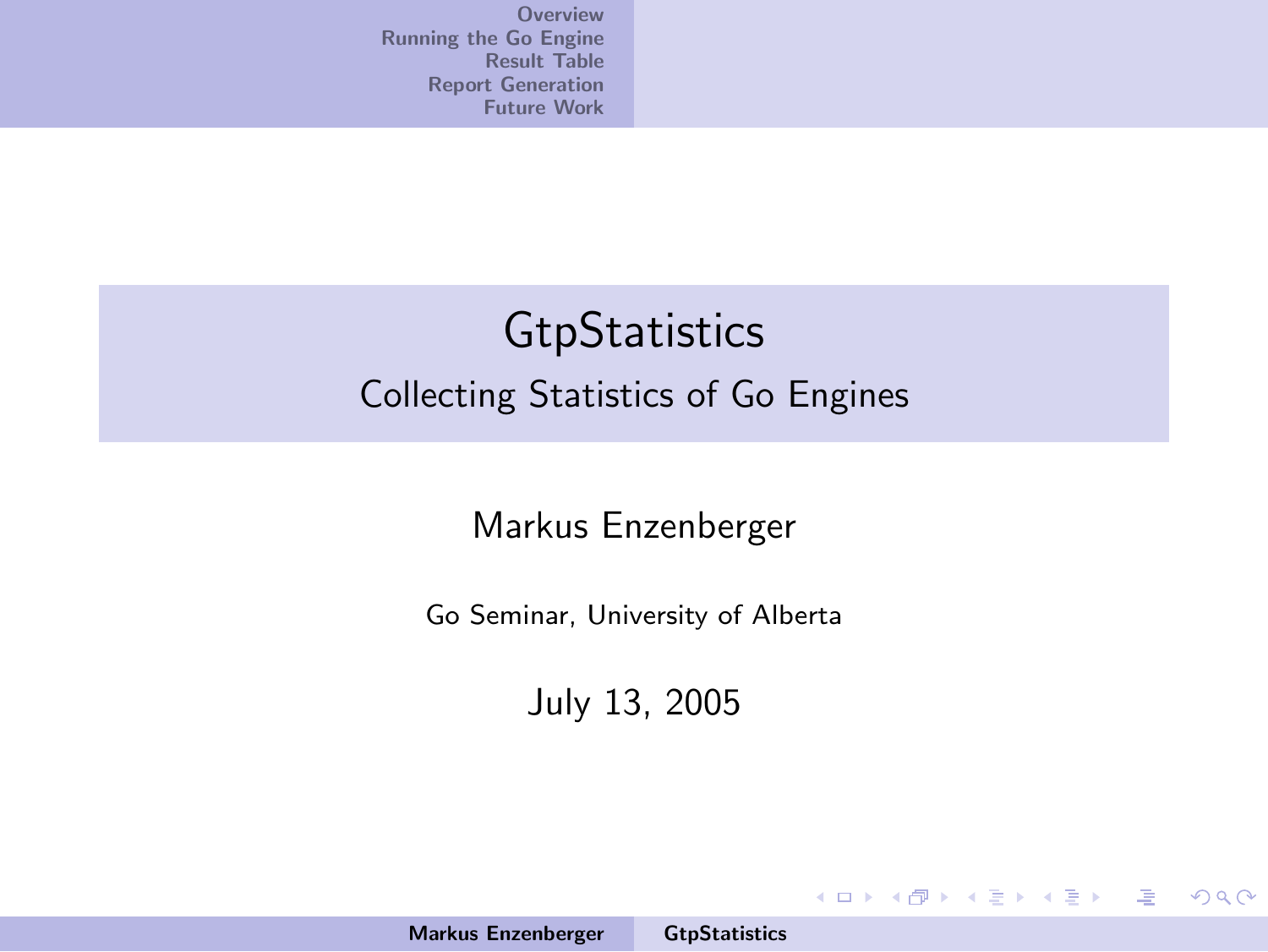## **GtpStatistics** Collecting Statistics of Go Engines

#### Markus Enzenberger

Go Seminar, University of Alberta

July 13, 2005

イロメ イ御メ イヨメ イヨメー

<span id="page-0-0"></span>哇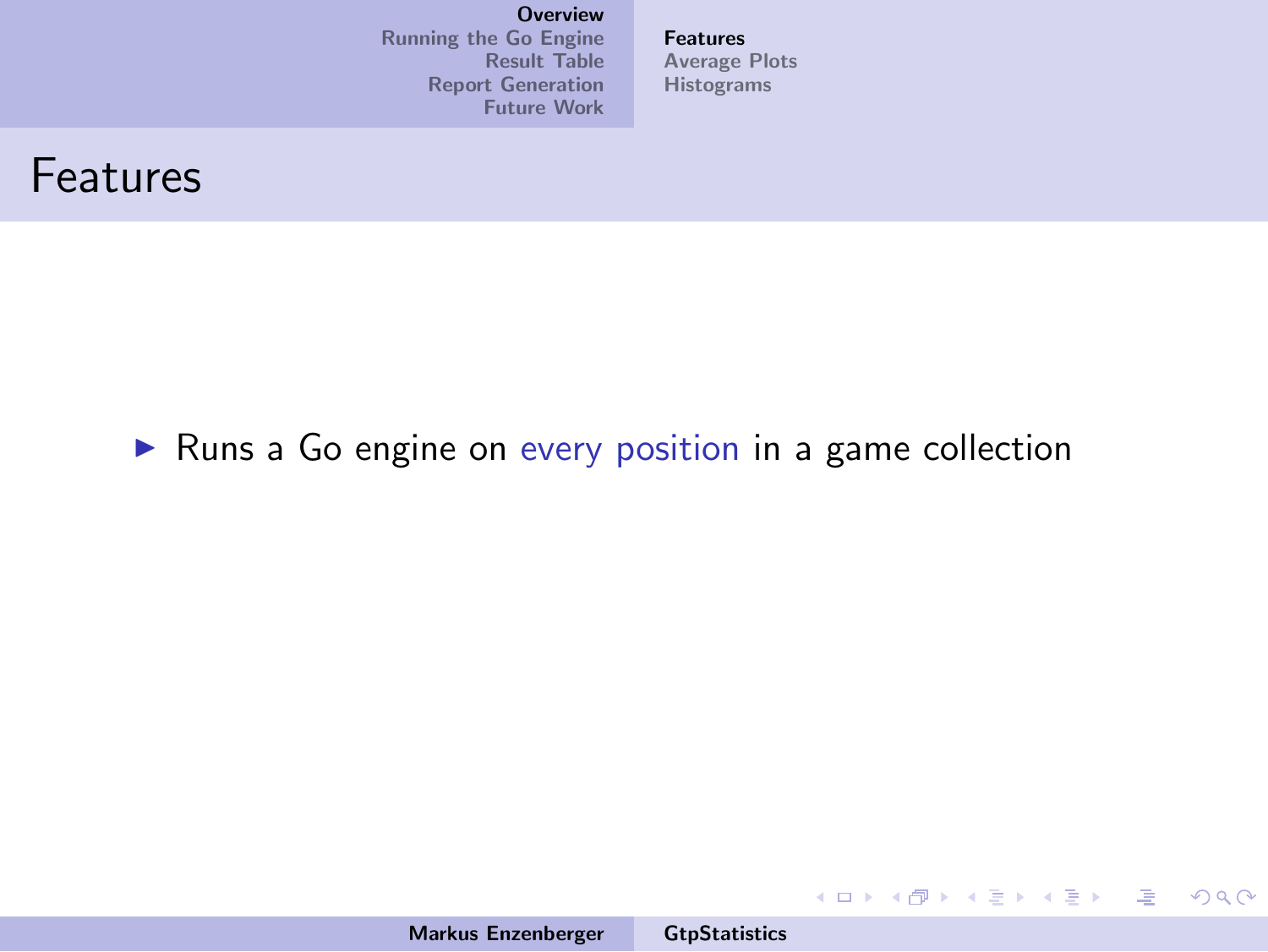[Running the Go Engine](#page-7-0) [Result Table](#page-26-0) [Report Generation](#page-43-0) [Future Work](#page-58-0) [Features](#page-4-0) [Average Plots](#page-5-0) [Histograms](#page-6-0)

#### Features

#### $\triangleright$  Runs a Go engine on every position in a game collection

Markus Enzenberger [GtpStatistics](#page-0-0)

メロメ メタメ メミメ メミメー

<span id="page-1-0"></span> $\equiv$  $OQ$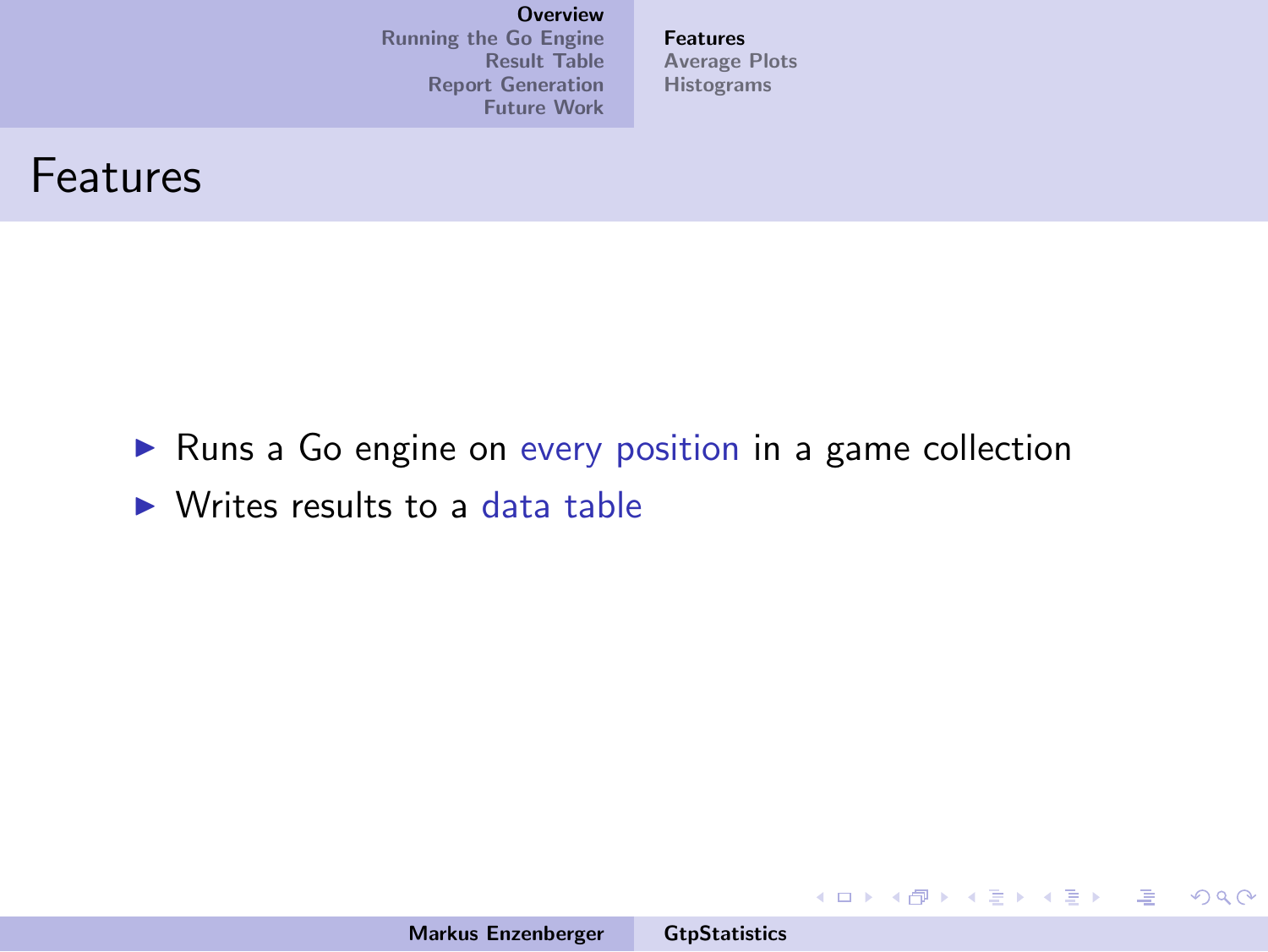[Running the Go Engine](#page-7-0) [Result Table](#page-26-0) [Report Generation](#page-43-0) [Future Work](#page-58-0) [Features](#page-4-0) [Average Plots](#page-5-0) [Histograms](#page-6-0)



- $\blacktriangleright$  Runs a Go engine on every position in a game collection
- $\triangleright$  Writes results to a data table

イロメ イ御メ イヨメ イヨメー

造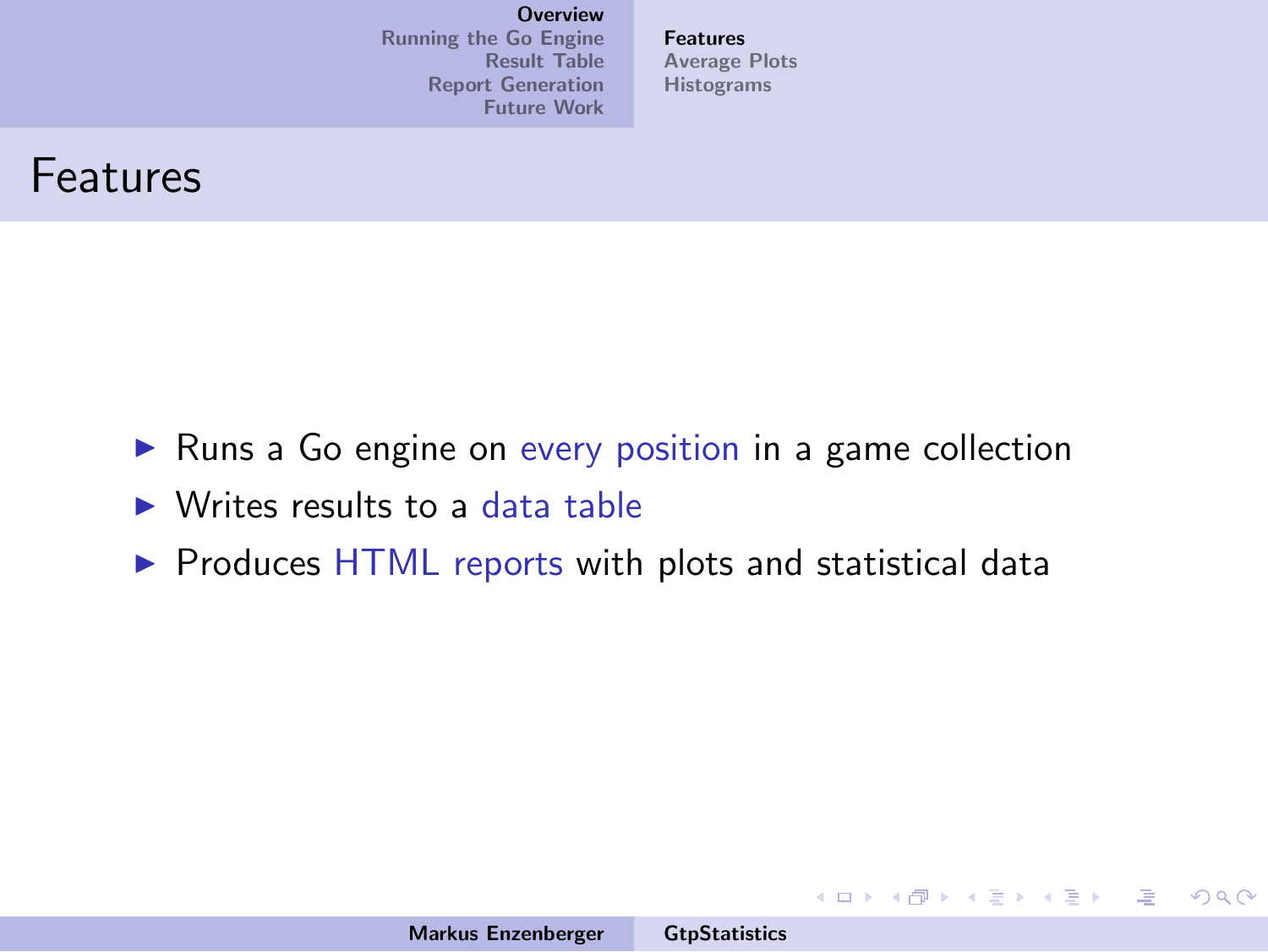[Running the Go Engine](#page-7-0) [Result Table](#page-26-0) [Report Generation](#page-43-0) [Future Work](#page-58-0) [Features](#page-4-0) [Average Plots](#page-5-0) [Histograms](#page-6-0)



- $\triangleright$  Runs a Go engine on every position in a game collection
- $\triangleright$  Writes results to a data table
- $\triangleright$  Produces HTML reports with plots and statistical data

イロメ イ部メ イヨメ イヨメー

哇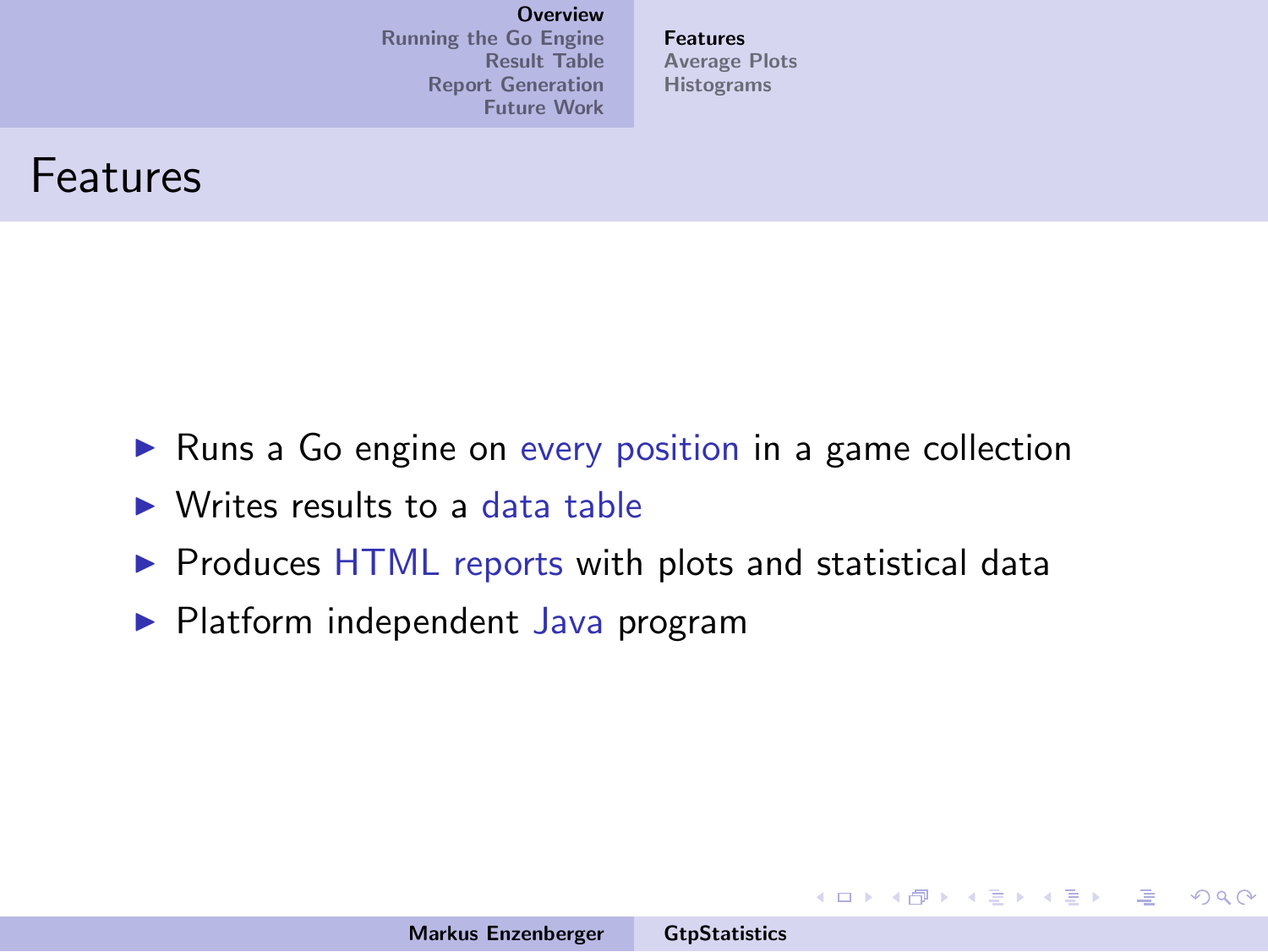[Running the Go Engine](#page-7-0) [Result Table](#page-26-0) [Report Generation](#page-43-0) [Future Work](#page-58-0) [Features](#page-1-0) [Average Plots](#page-5-0) [Histograms](#page-6-0)



- $\triangleright$  Runs a Go engine on every position in a game collection
- $\triangleright$  Writes results to a data table
- $\triangleright$  Produces HTML reports with plots and statistical data
- $\blacktriangleright$  Platform independent Java program

イロメ イ部メ イヨメ イヨメー

<span id="page-4-0"></span>哇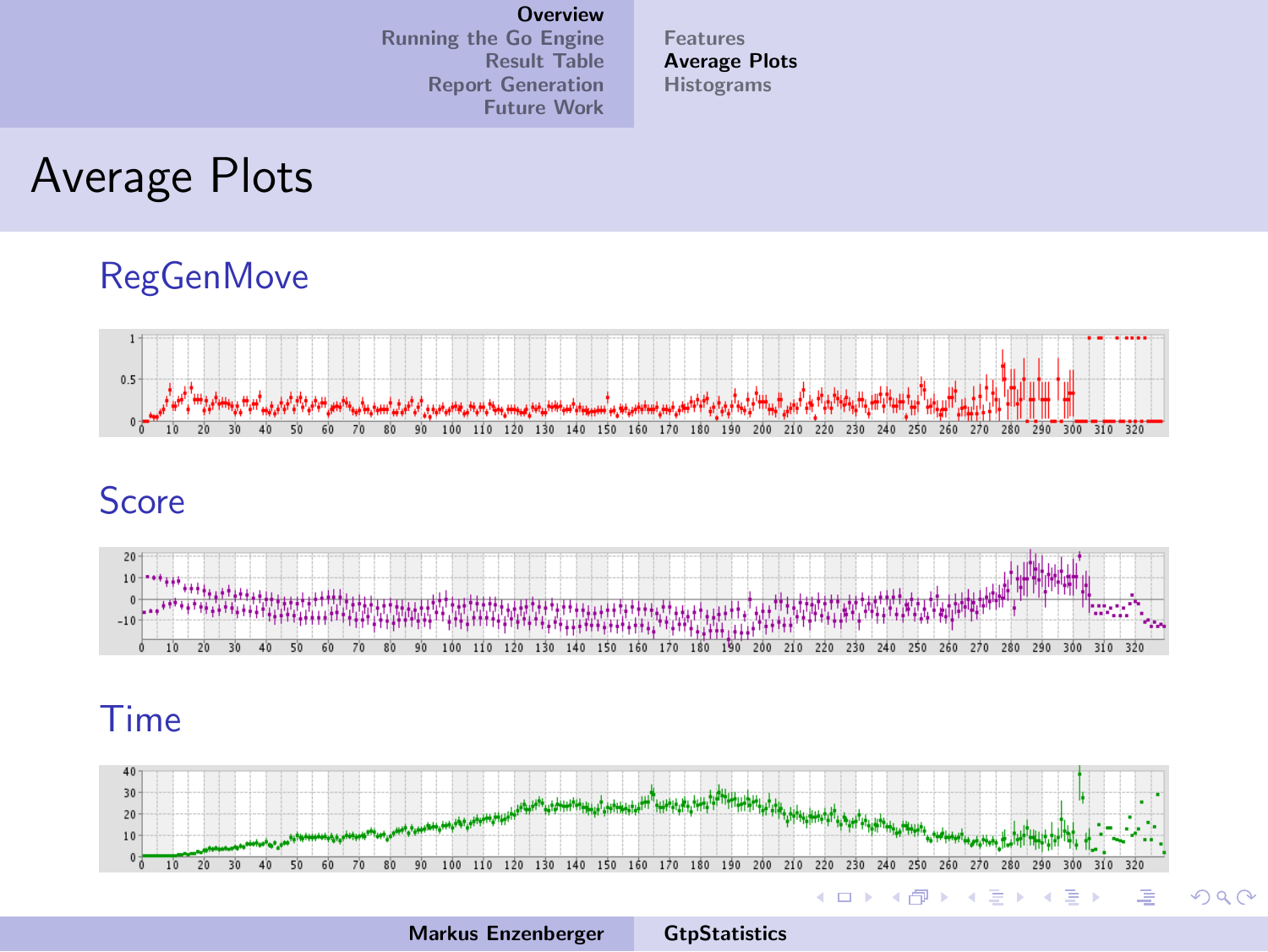[Running the Go Engine](#page-7-0) [Result Table](#page-26-0) [Report Generation](#page-43-0) [Future Work](#page-58-0)

[Features](#page-1-0) [Average Plots](#page-5-0) [Histograms](#page-6-0)

#### Average Plots

#### RegGenMove



#### **Score**



#### Time



<span id="page-5-0"></span>Markus Enzenberger [GtpStatistics](#page-0-0)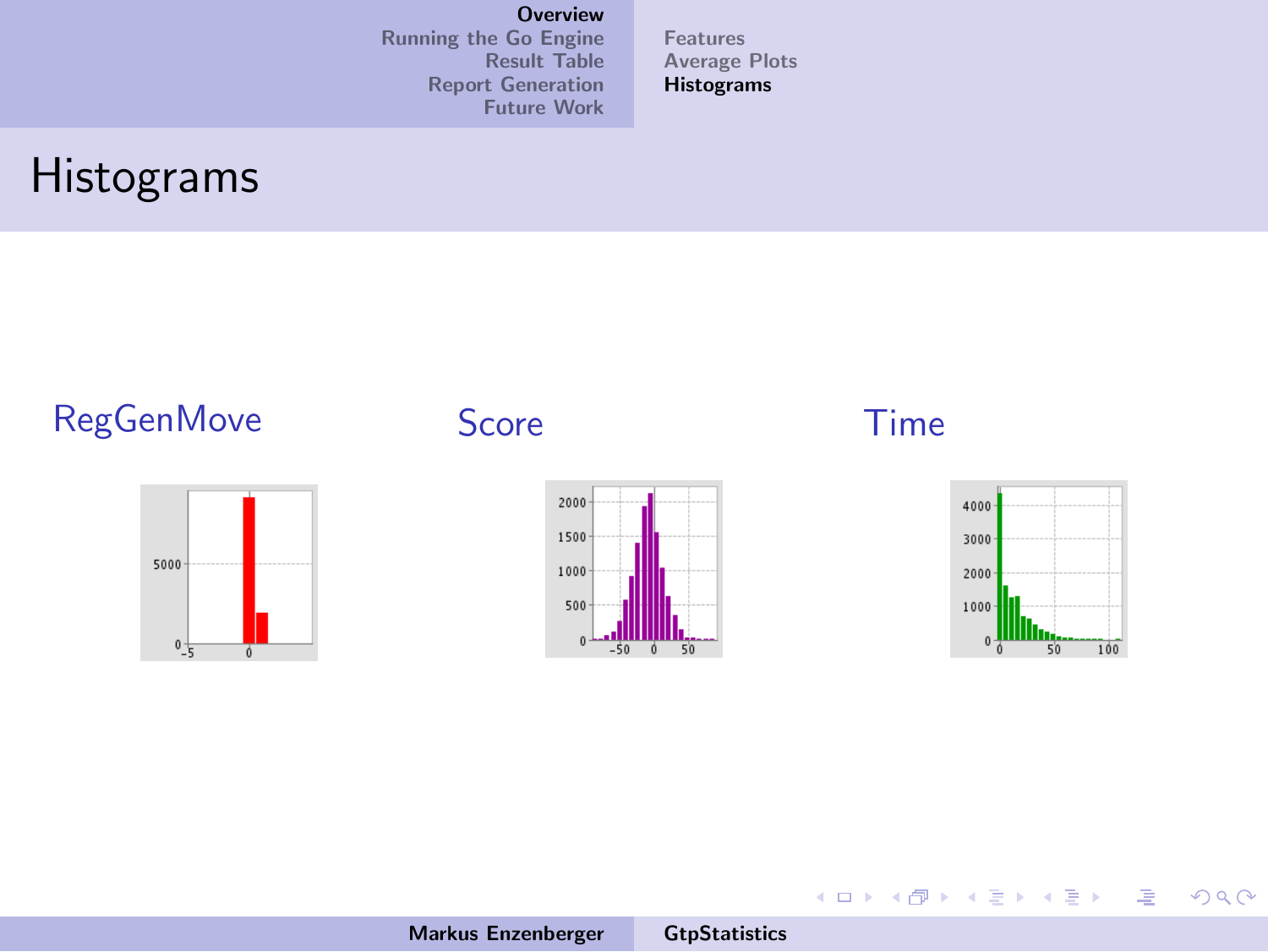[Running the Go Engine](#page-7-0) [Result Table](#page-26-0) [Report Generation](#page-43-0) [Future Work](#page-58-0) [Features](#page-1-0) [Average Plots](#page-5-0) [Histograms](#page-6-0)

## Histograms

#### RegGenMove Score Time







佳

<span id="page-6-0"></span> $299$ 

メロメ メ団 メメ きょくきょう

Markus Enzenberger [GtpStatistics](#page-0-0)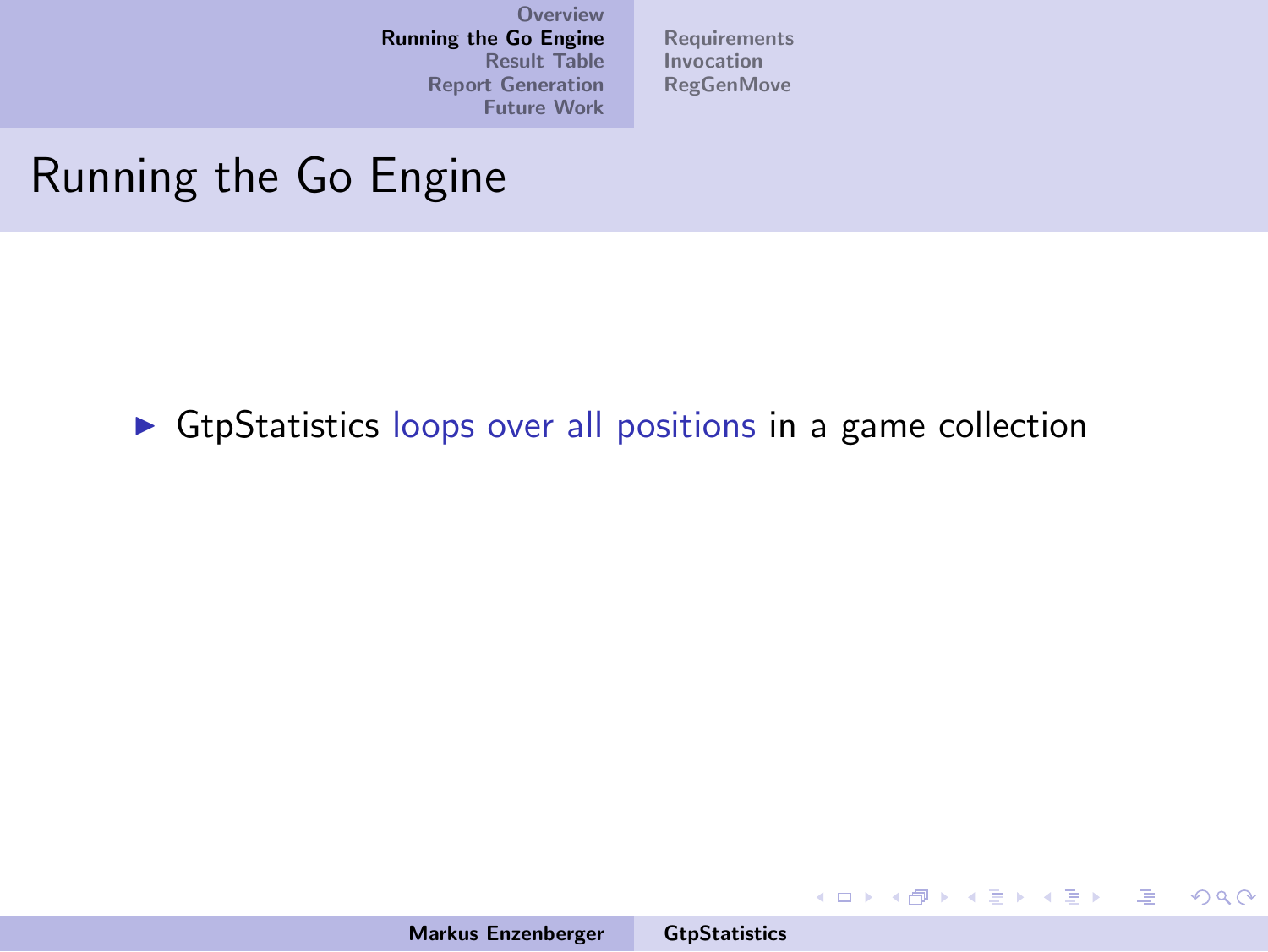[Requirements](#page-13-0) [Invocation](#page-18-0) [RegGenMove](#page-19-0)

#### Running the Go Engine

 $\triangleright$  GtpStatistics loops over all positions in a game collection

 $\mathcal{A} \subseteq \mathcal{P} \rightarrow \mathcal{A} \oplus \mathcal{P} \rightarrow \mathcal{A} \oplus \mathcal{P} \rightarrow \mathcal{A}$ 

<span id="page-7-0"></span> $\equiv$  $-990$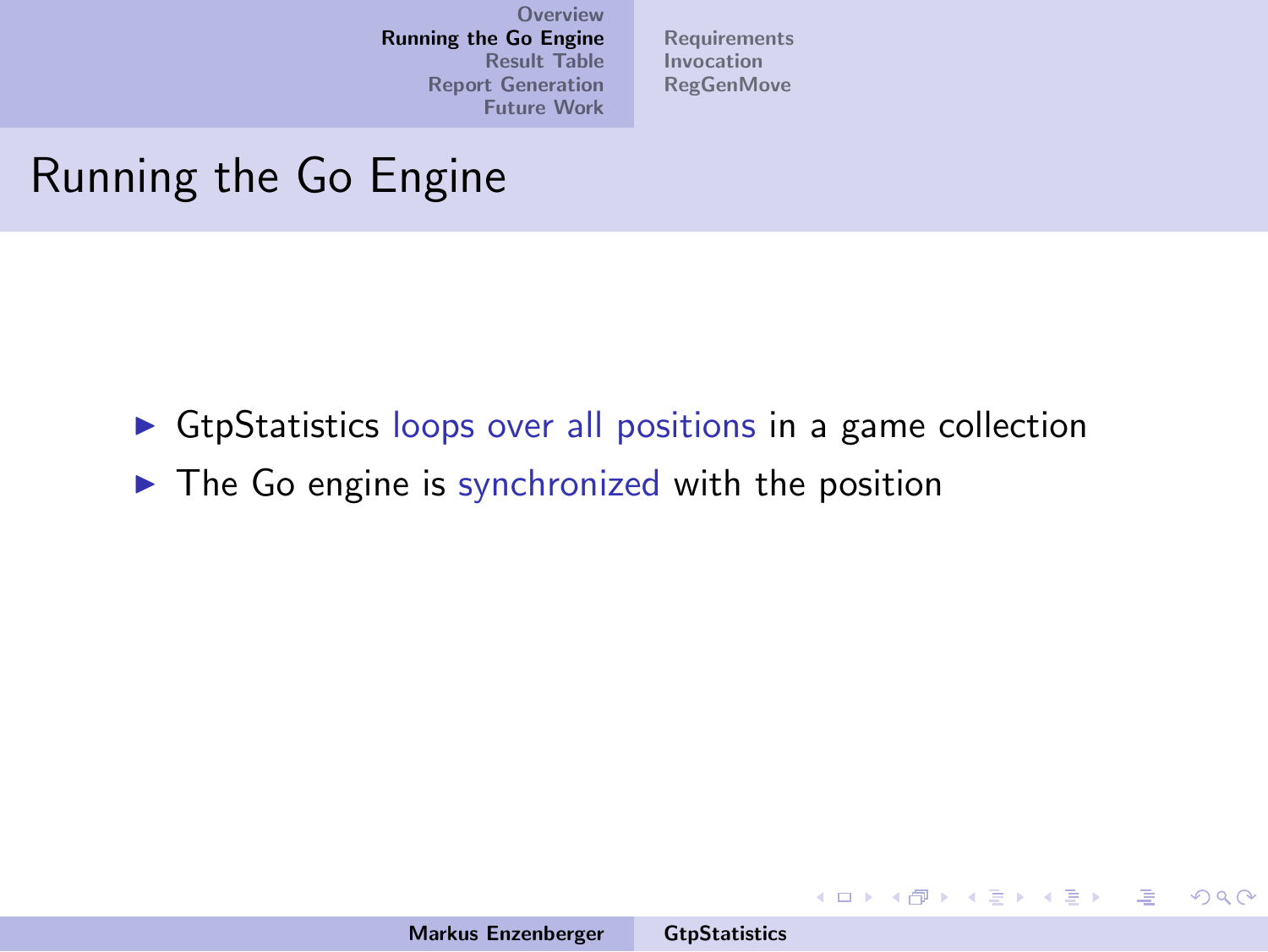[Requirements](#page-13-0) [Invocation](#page-18-0) [RegGenMove](#page-19-0)

## Running the Go Engine

- $\triangleright$  GtpStatistics loops over all positions in a game collection
- $\triangleright$  The Go engine is synchronized with the position

イロメ イ部メ イヨメ イヨメー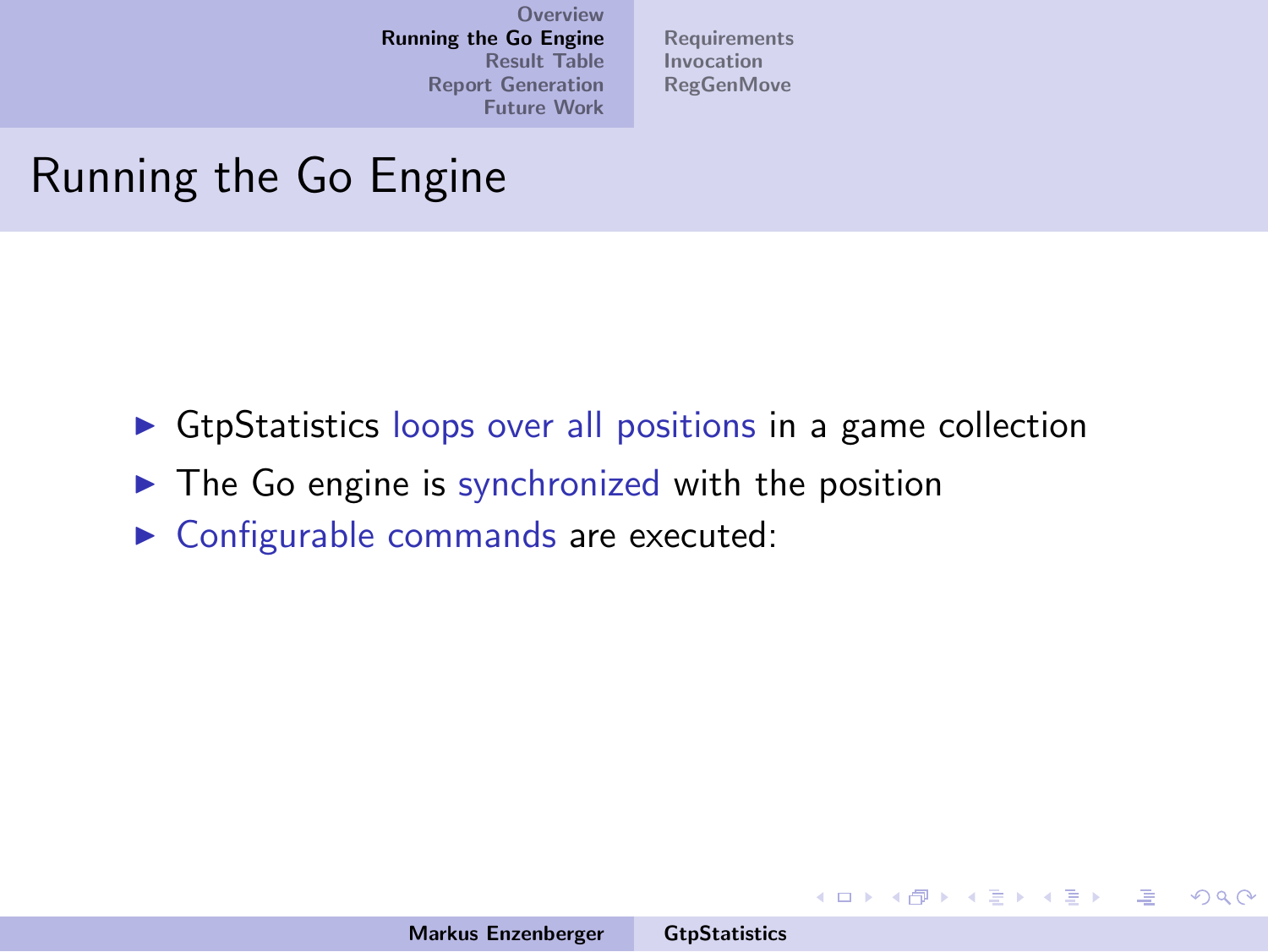[Requirements](#page-13-0) [Invocation](#page-18-0) **[RegGenMove](#page-19-0)** 

## Running the Go Engine

- $\triangleright$  GtpStatistics loops over all positions in a game collection
- $\triangleright$  The Go engine is synchronized with the position
- $\triangleright$  Configurable commands are executed:

イロメ イ部メ イヨメ イヨメー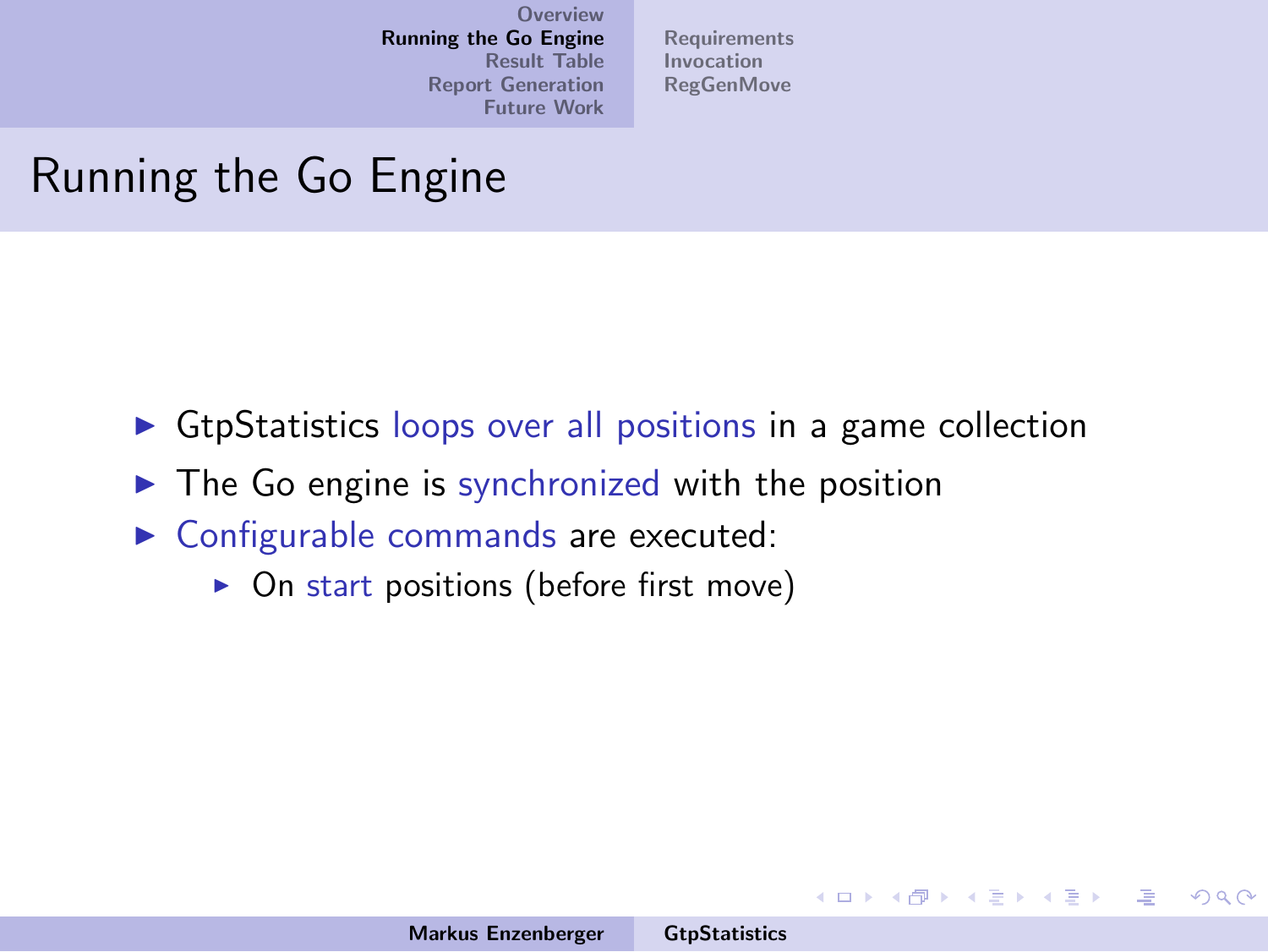[Requirements](#page-13-0) [Invocation](#page-18-0) **[RegGenMove](#page-19-0)** 

## Running the Go Engine

- $\triangleright$  GtpStatistics loops over all positions in a game collection
- $\triangleright$  The Go engine is synchronized with the position
- $\triangleright$  Configurable commands are executed:
	- $\triangleright$  On start positions (before first move)

イロメ イ部メ イヨメ イヨメー

 $\equiv$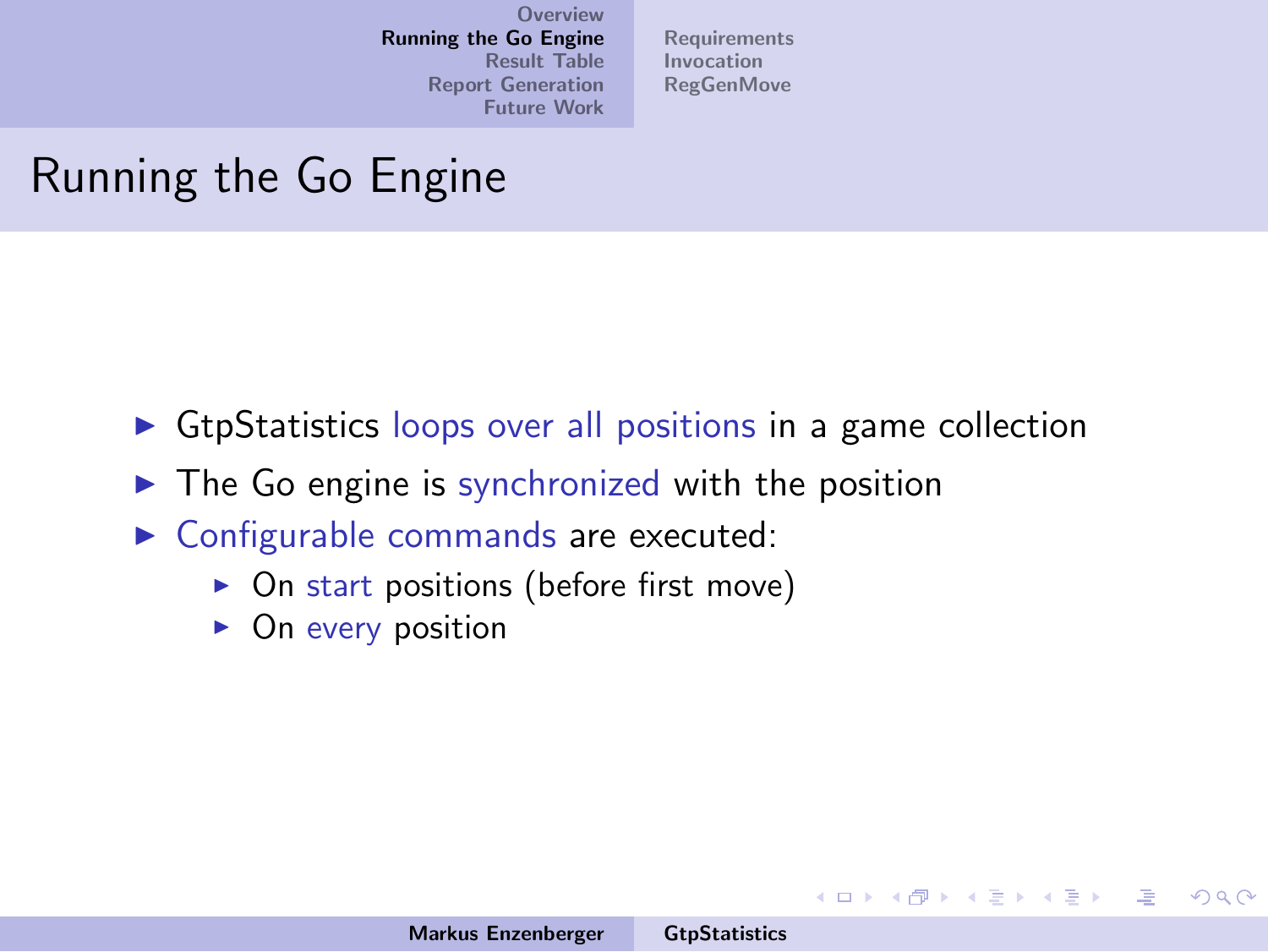[Requirements](#page-13-0) [Invocation](#page-18-0) **[RegGenMove](#page-19-0)** 

## Running the Go Engine

- $\triangleright$  GtpStatistics loops over all positions in a game collection
- $\triangleright$  The Go engine is synchronized with the position
- $\triangleright$  Configurable commands are executed:
	- $\triangleright$  On start positions (before first move)
	- $\triangleright$  On every position

イロメ イ部メ イヨメ イヨメー

注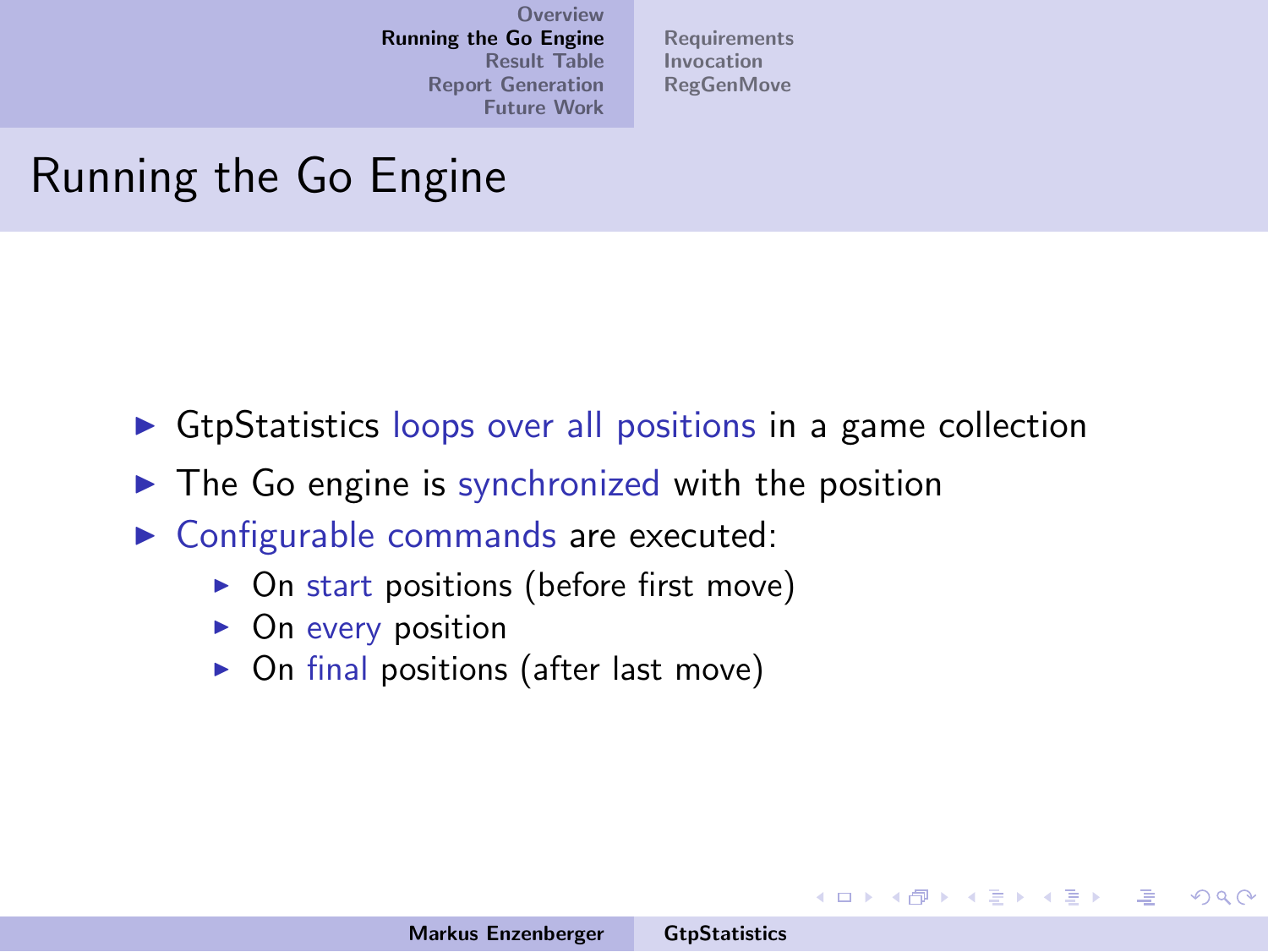[Requirements](#page-13-0) [Invocation](#page-18-0) **[RegGenMove](#page-19-0)** 

## Running the Go Engine

- $\triangleright$  GtpStatistics loops over all positions in a game collection
- $\triangleright$  The Go engine is synchronized with the position
- $\triangleright$  Configurable commands are executed:
	- $\triangleright$  On start positions (before first move)
	- $\triangleright$  On every position
	- $\triangleright$  On final positions (after last move)

イロメ イ部メ イヨメ イヨメー

 $\equiv$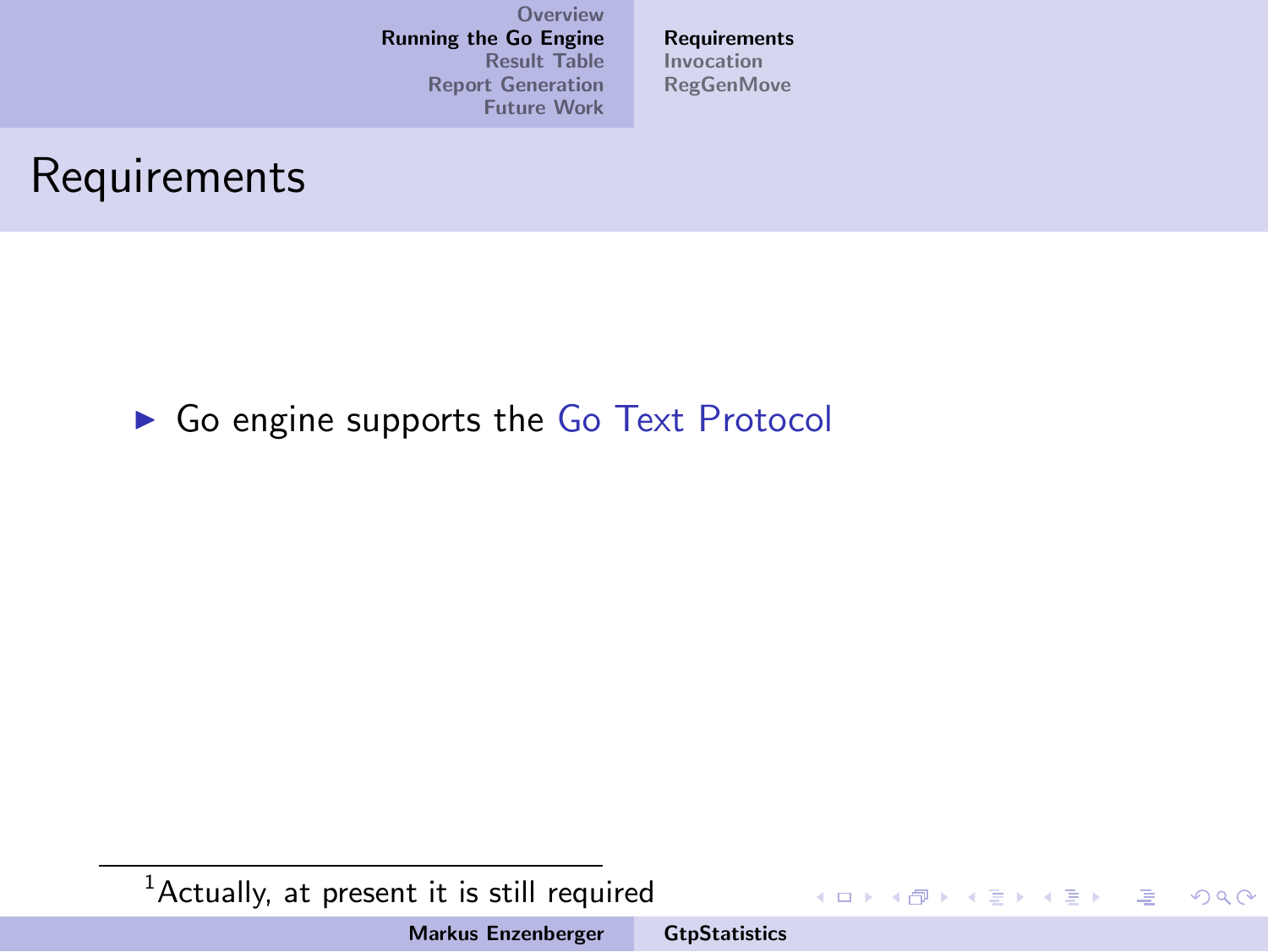[Requirements](#page-17-0) [Invocation](#page-18-0) [RegGenMove](#page-19-0)

#### Requirements

▶ Go engine supports the Go Text Protocol

 $1$ Actually, at present it is still required

Markus Enzenberger [GtpStatistics](#page-0-0)

イロメ イ部メ イヨメ イヨメー

<span id="page-13-0"></span>重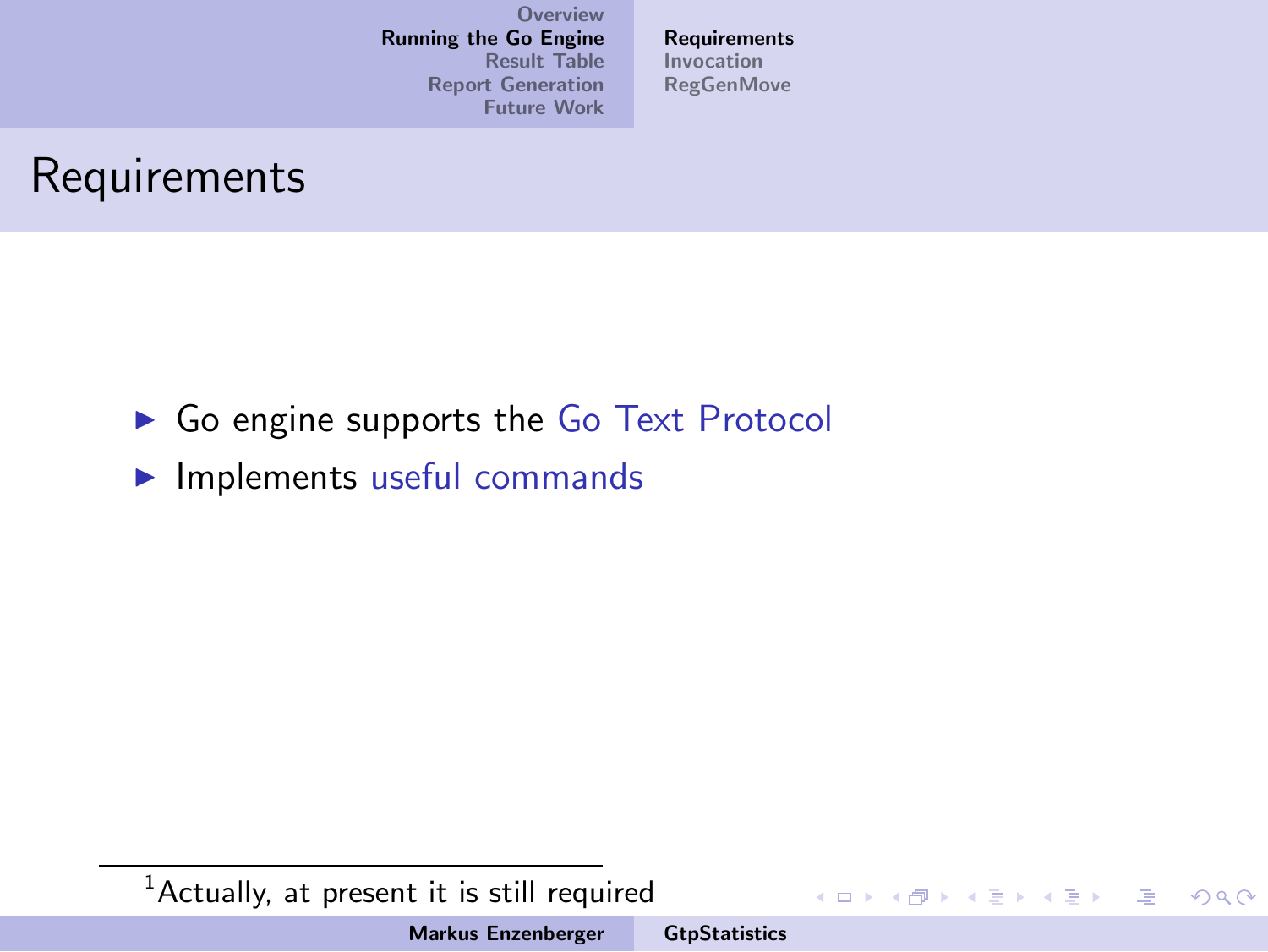[Requirements](#page-17-0) [Invocation](#page-18-0) **[RegGenMove](#page-19-0)** 

#### Requirements

- $\triangleright$  Go engine supports the Go Text Protocol
- $\blacktriangleright$  Implements useful commands

 $1$ Actually, at present it is still required

Markus Enzenberger [GtpStatistics](#page-0-0)

イロメ イ部メ イヨメ イヨメー

哇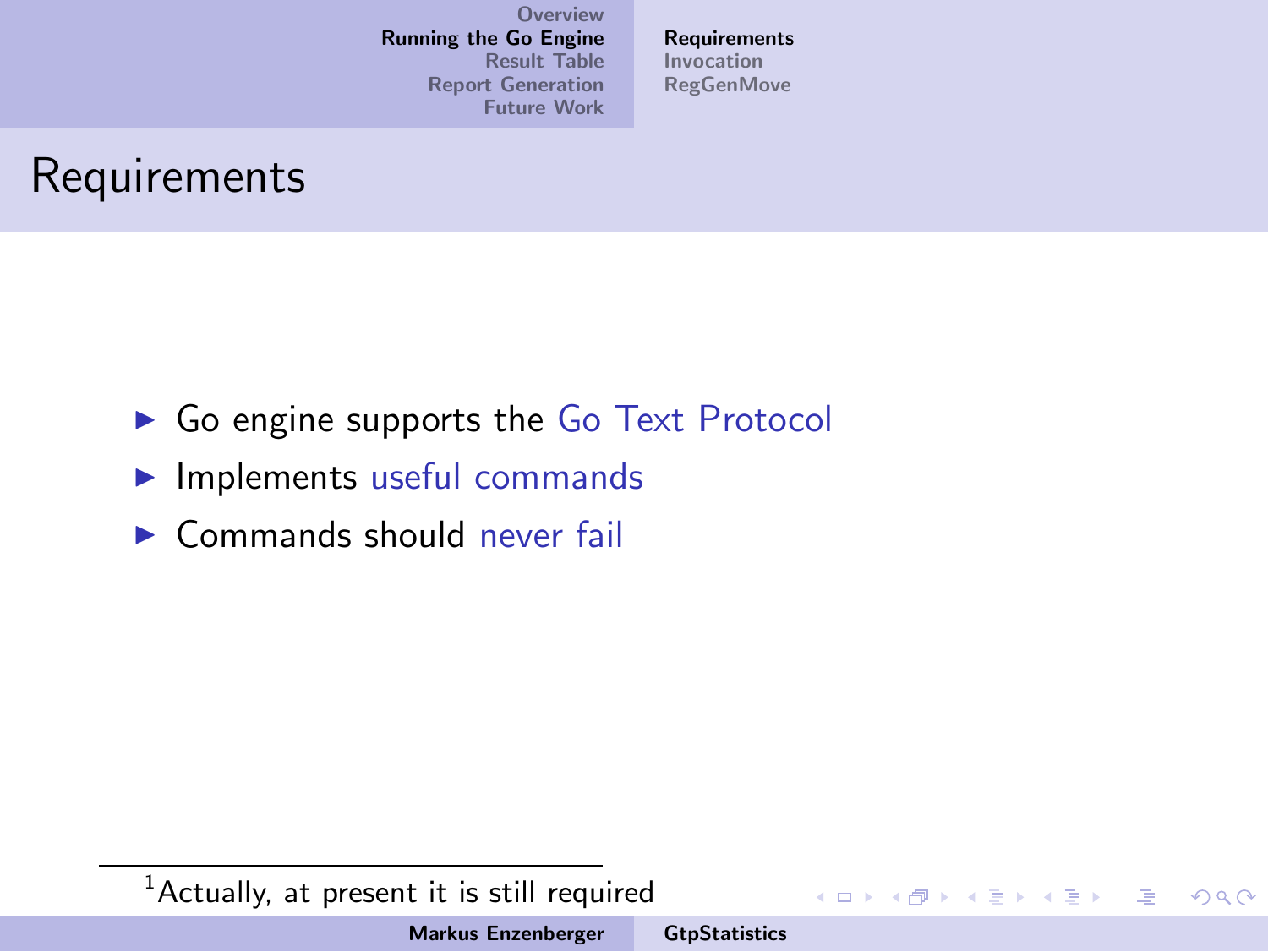[Requirements](#page-17-0) [Invocation](#page-18-0) **[RegGenMove](#page-19-0)** 

## Requirements

- $\triangleright$  Go engine supports the Go Text Protocol
- $\blacktriangleright$  Implements useful commands
- $\triangleright$  Commands should never fail

 $1$ Actually, at present it is still required

Markus Enzenberger [GtpStatistics](#page-0-0)

イロメ イ部メ イヨメ イヨメー

哇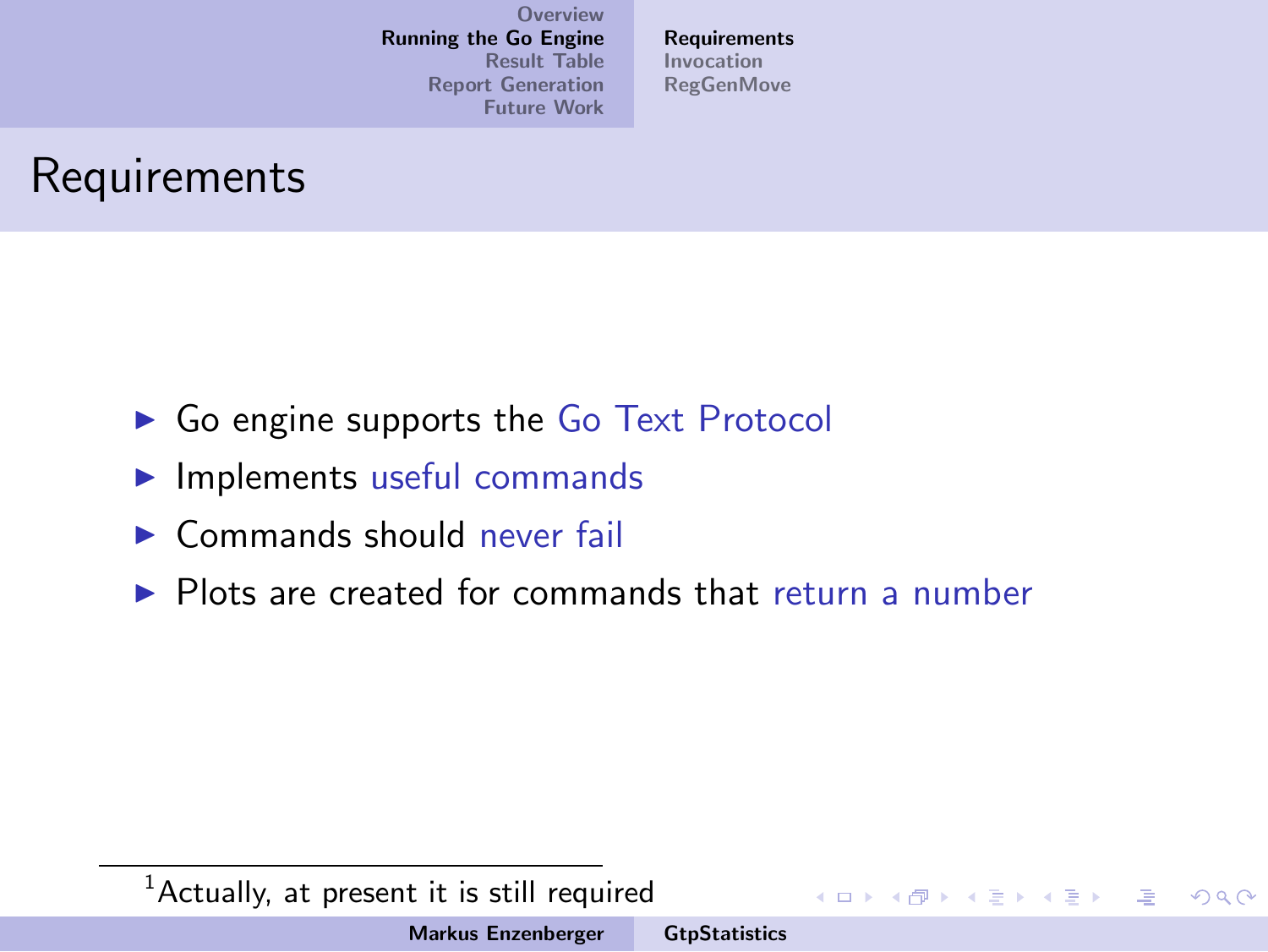**[Requirements](#page-17-0)** [Invocation](#page-18-0) **[RegGenMove](#page-19-0)** 

## Requirements

- $\triangleright$  Go engine supports the Go Text Protocol
- $\blacktriangleright$  Implements useful commands
- $\triangleright$  Commands should never fail
- $\triangleright$  Plots are created for commands that return a number

 $<sup>1</sup>$ Actually, at present it is still required</sup>

イロメ イ部メ イヨメ イヨメー

哇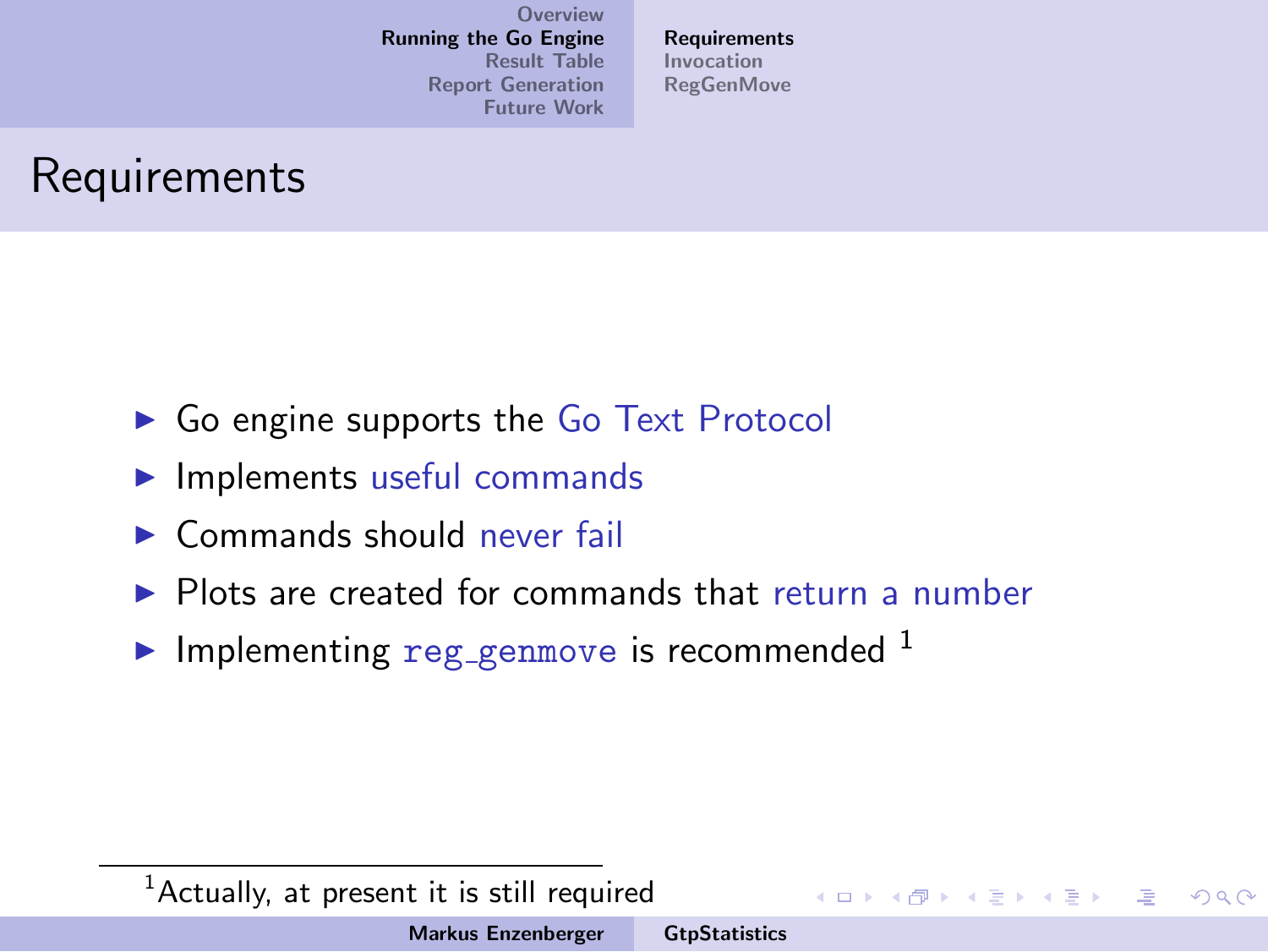**[Requirements](#page-13-0)** [Invocation](#page-18-0) **[RegGenMove](#page-19-0)** 

## Requirements

- $\triangleright$  Go engine supports the Go Text Protocol
- $\blacktriangleright$  Implements useful commands
- $\triangleright$  Commands should never fail
- $\triangleright$  Plots are created for commands that return a number
- Implementing reg genmove is recommended  $<sup>1</sup>$ </sup>

#### $1$ Actually, at present it is still required

イロメ イ部メ イヨメ イヨメー

<span id="page-17-0"></span> $\equiv$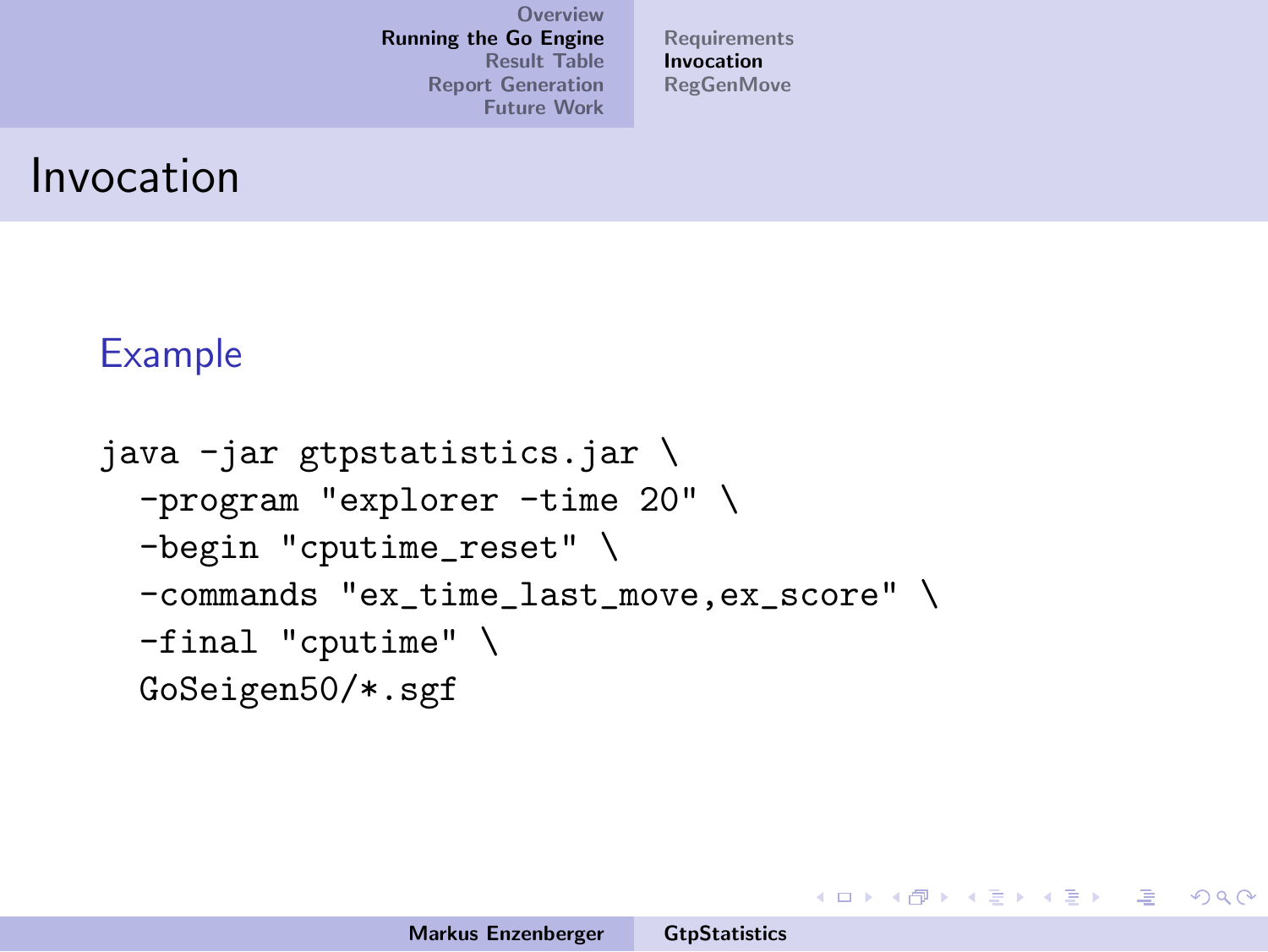[Requirements](#page-13-0) [Invocation](#page-18-0) **[RegGenMove](#page-19-0)** 

#### Invocation

#### Example

```
java -jar gtpstatistics.jar \
-program "explorer -time 20" \
-begin "cputime_reset" \
-commands "ex_time_last_move,ex_score" \
-final "cputime" \
GoSeigen50/*.sgf
```
<span id="page-18-0"></span>イロメ イ部メ イヨメ イヨメー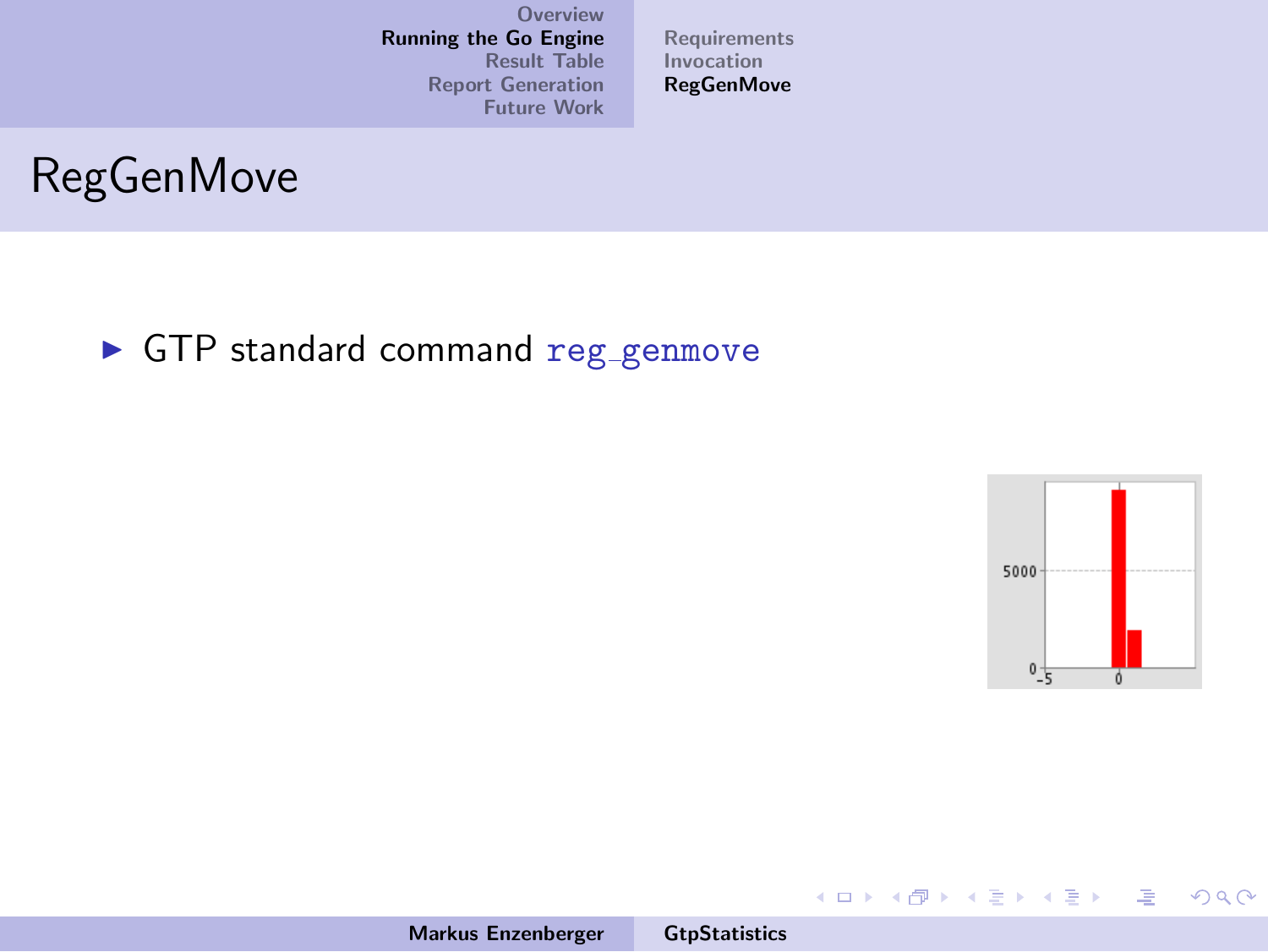Markus Enzenberger [GtpStatistics](#page-0-0)

[Requirements](#page-13-0) [Invocation](#page-18-0) [RegGenMove](#page-25-0)



 $\blacktriangleright$  GTP standard command reg\_genmove



 $\equiv$ 

<span id="page-19-0"></span> $2Q$ 

メロメ メ都 メメ きょくきょう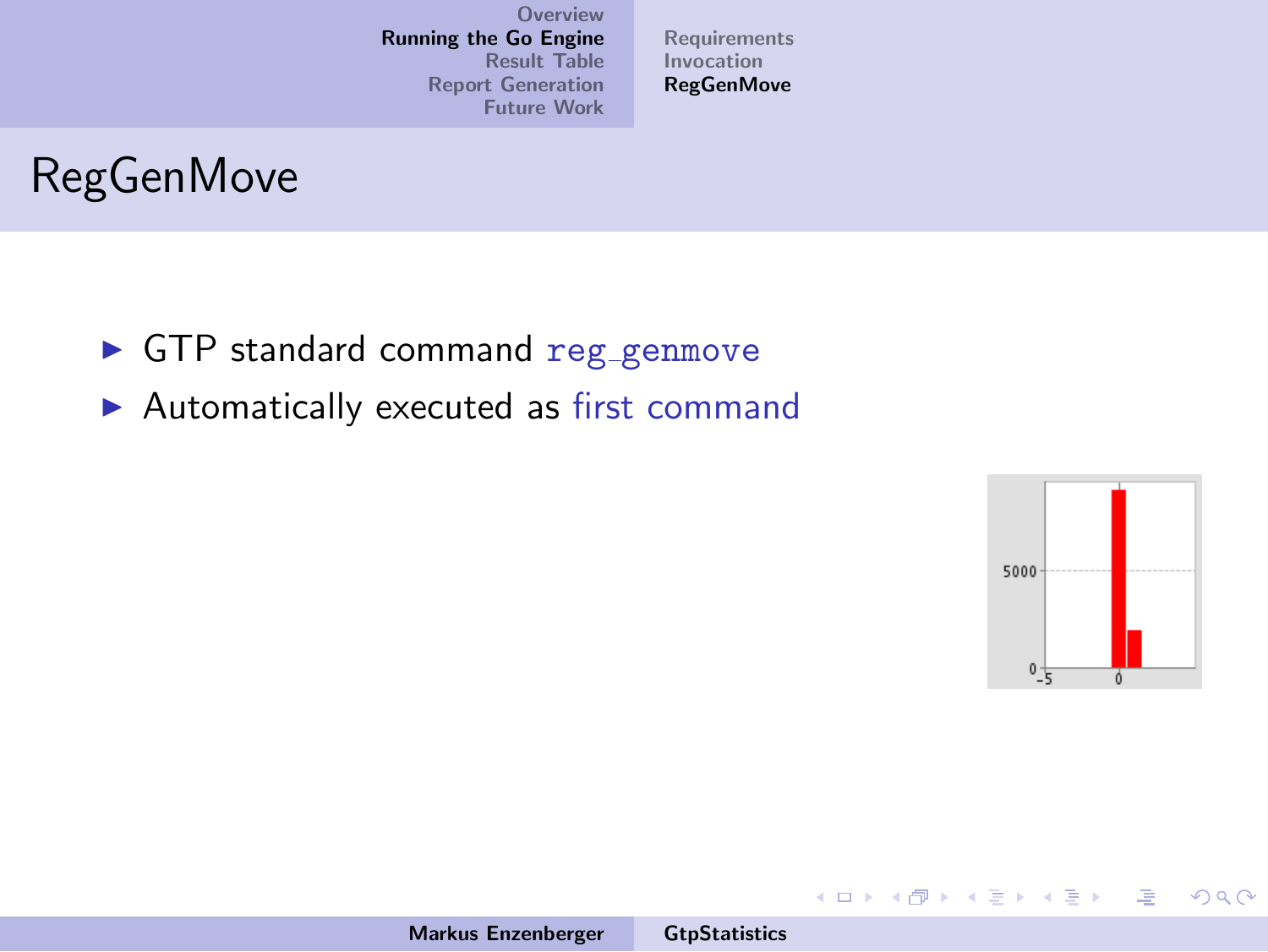[Requirements](#page-13-0) [Invocation](#page-18-0) **[RegGenMove](#page-25-0)** 



- GTP standard command reg\_genmove
- $\blacktriangleright$  Automatically executed as first command



哇

 $2Q$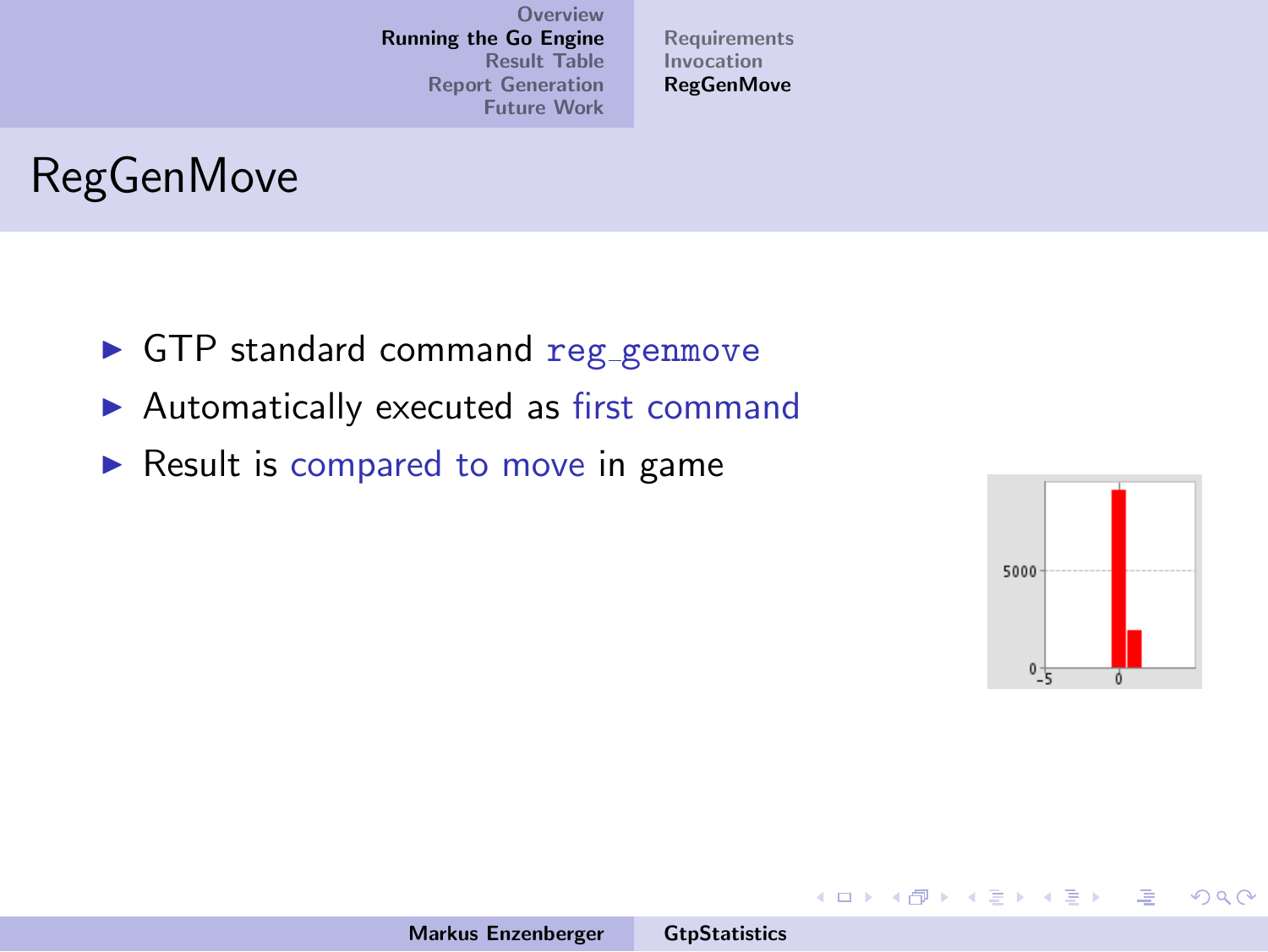[Requirements](#page-13-0) [Invocation](#page-18-0) **[RegGenMove](#page-25-0)** 

# RegGenMove

- **In GTP standard command reg\_genmove**
- $\blacktriangleright$  Automatically executed as first command
- $\triangleright$  Result is compared to move in game



哇

 $2Q$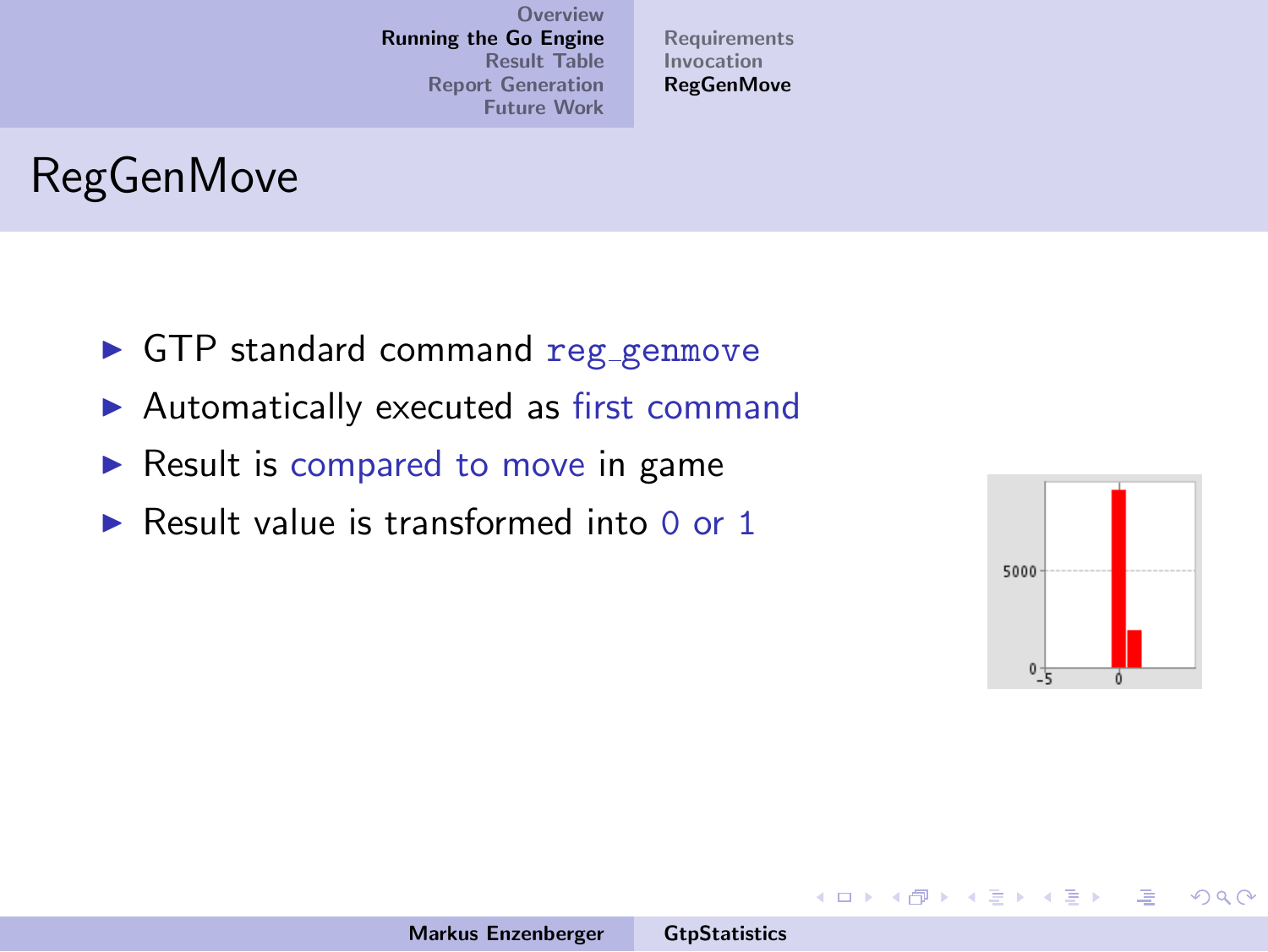[Requirements](#page-13-0) [Invocation](#page-18-0) **[RegGenMove](#page-25-0)** 

# RegGenMove

- **In GTP standard command reg\_genmove**
- $\blacktriangleright$  Automatically executed as first command
- $\triangleright$  Result is compared to move in game
- $\triangleright$  Result value is transformed into 0 or 1



哇

 $\Omega$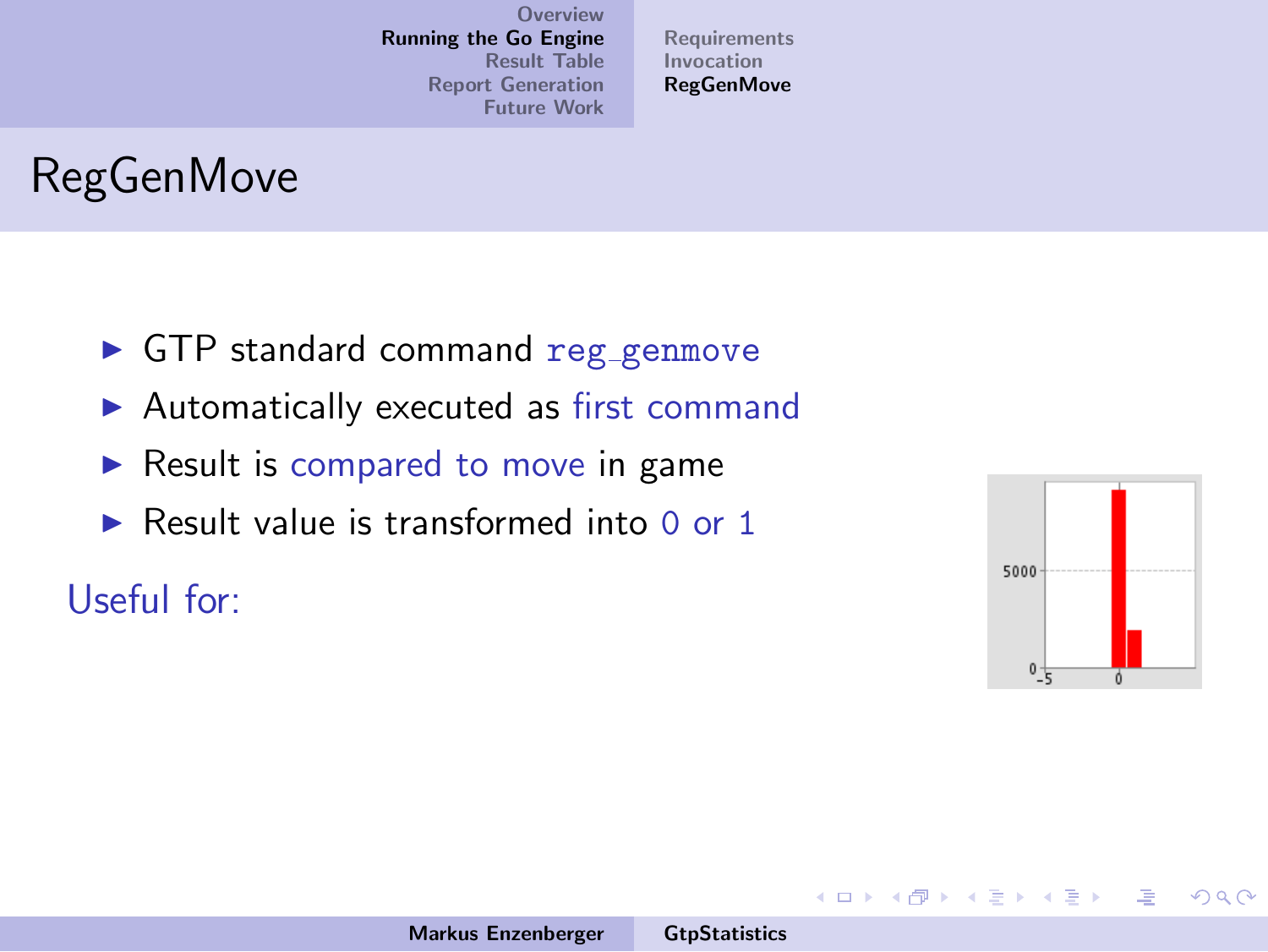[Requirements](#page-13-0) [Invocation](#page-18-0) **[RegGenMove](#page-25-0)** 

# RegGenMove

- $\blacktriangleright$  GTP standard command reg\_genmove
- $\blacktriangleright$  Automatically executed as first command
- $\triangleright$  Result is compared to move in game
- $\triangleright$  Result value is transformed into 0 or 1

#### Useful for:



哇

 $\Omega$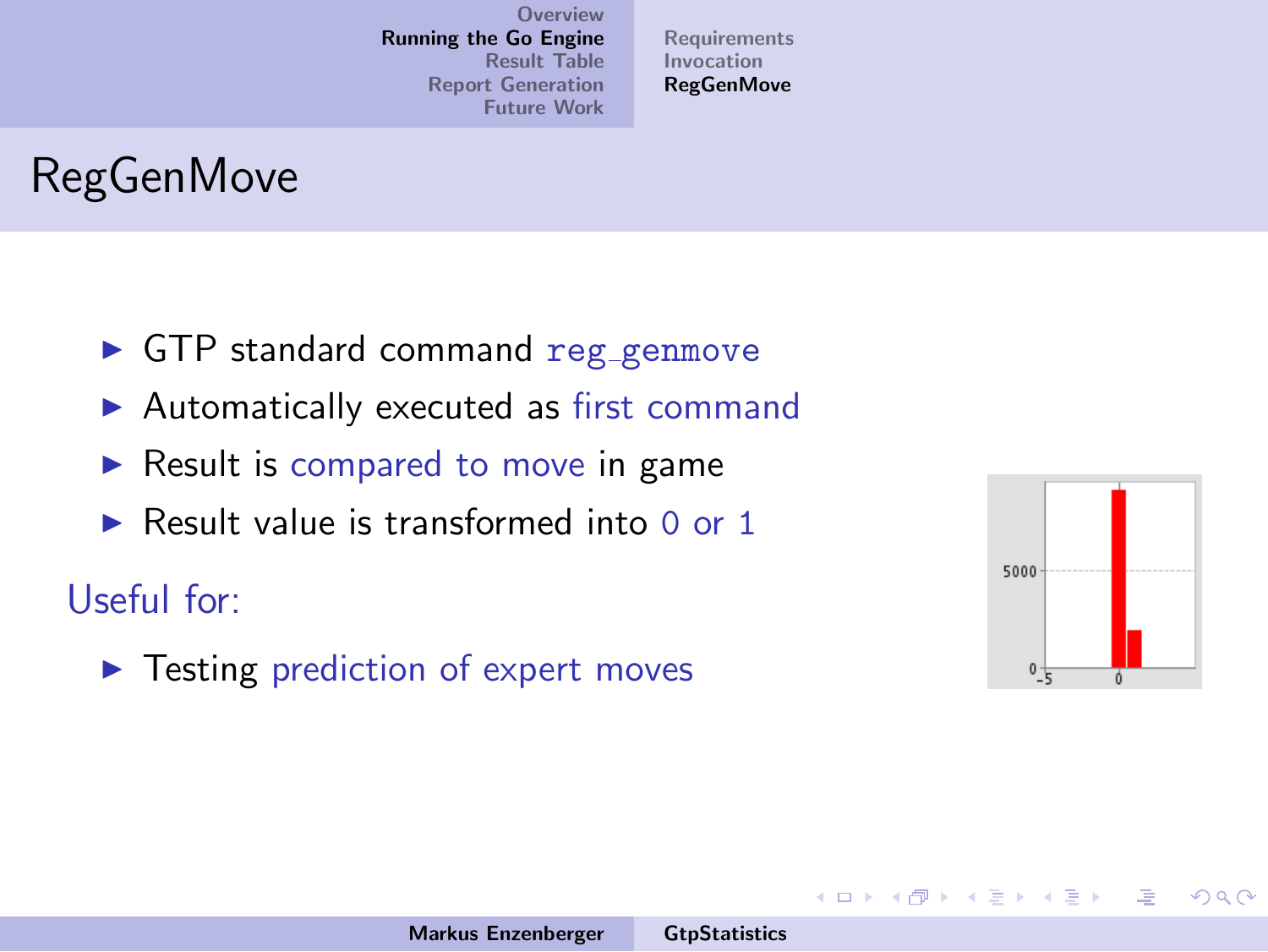[Requirements](#page-13-0) [Invocation](#page-18-0) **[RegGenMove](#page-25-0)** 

# RegGenMove

- $\blacktriangleright$  GTP standard command reg\_genmove
- $\blacktriangleright$  Automatically executed as first command
- $\triangleright$  Result is compared to move in game
- $\triangleright$  Result value is transformed into 0 or 1

#### Useful for:

 $\blacktriangleright$  Testing prediction of expert moves



哇

 $\Omega$ 

イロト イ団 トイ ミト イヨト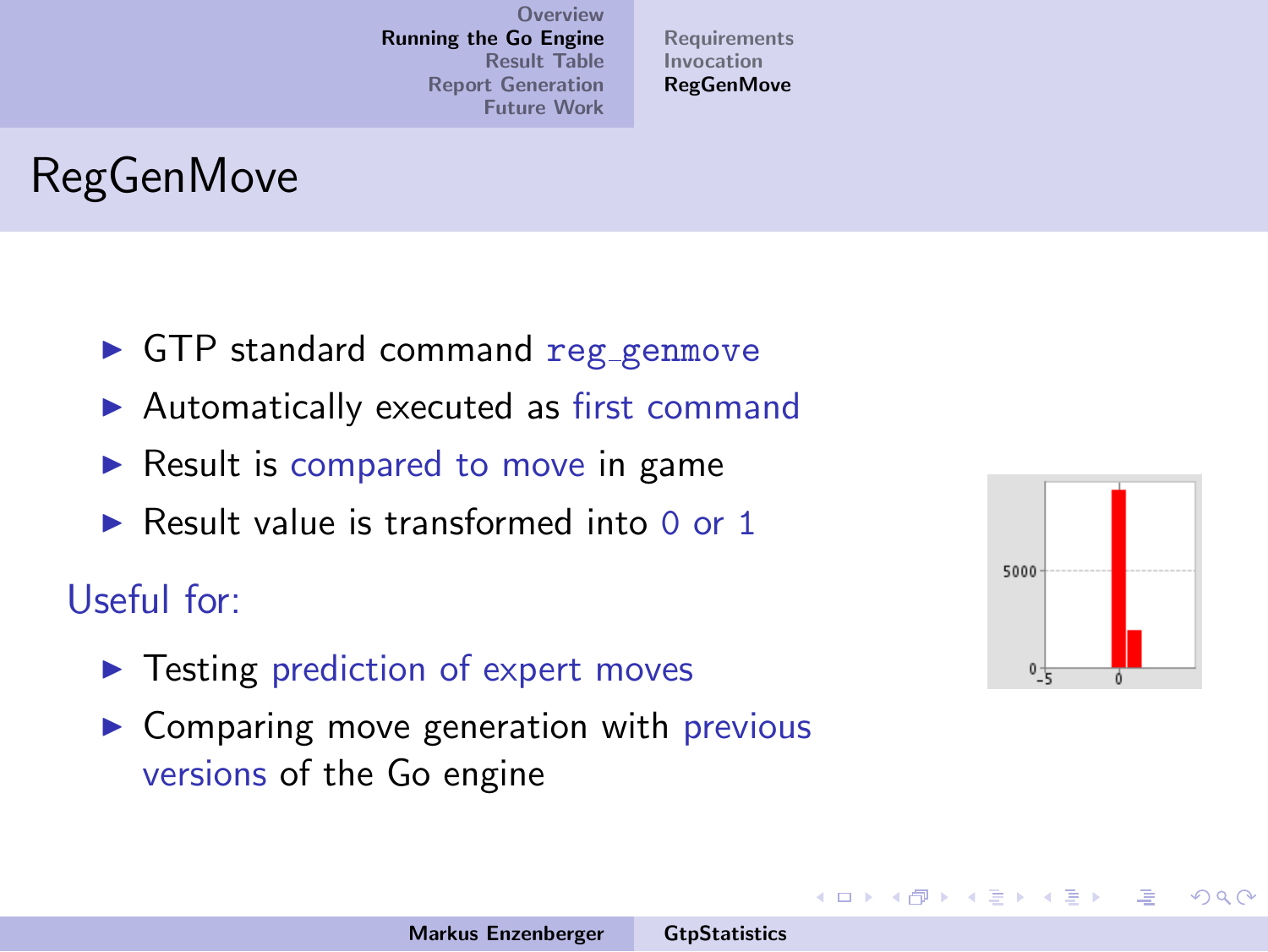[Requirements](#page-13-0) [Invocation](#page-18-0) **[RegGenMove](#page-19-0)** 

# RegGenMove

- **In GTP standard command reg\_genmove**
- $\blacktriangleright$  Automatically executed as first command
- $\triangleright$  Result is compared to move in game
- $\triangleright$  Result value is transformed into 0 or 1

#### Useful for:

- $\blacktriangleright$  Testing prediction of expert moves
- $\triangleright$  Comparing move generation with previous versions of the Go engine



<span id="page-25-0"></span> $\Omega$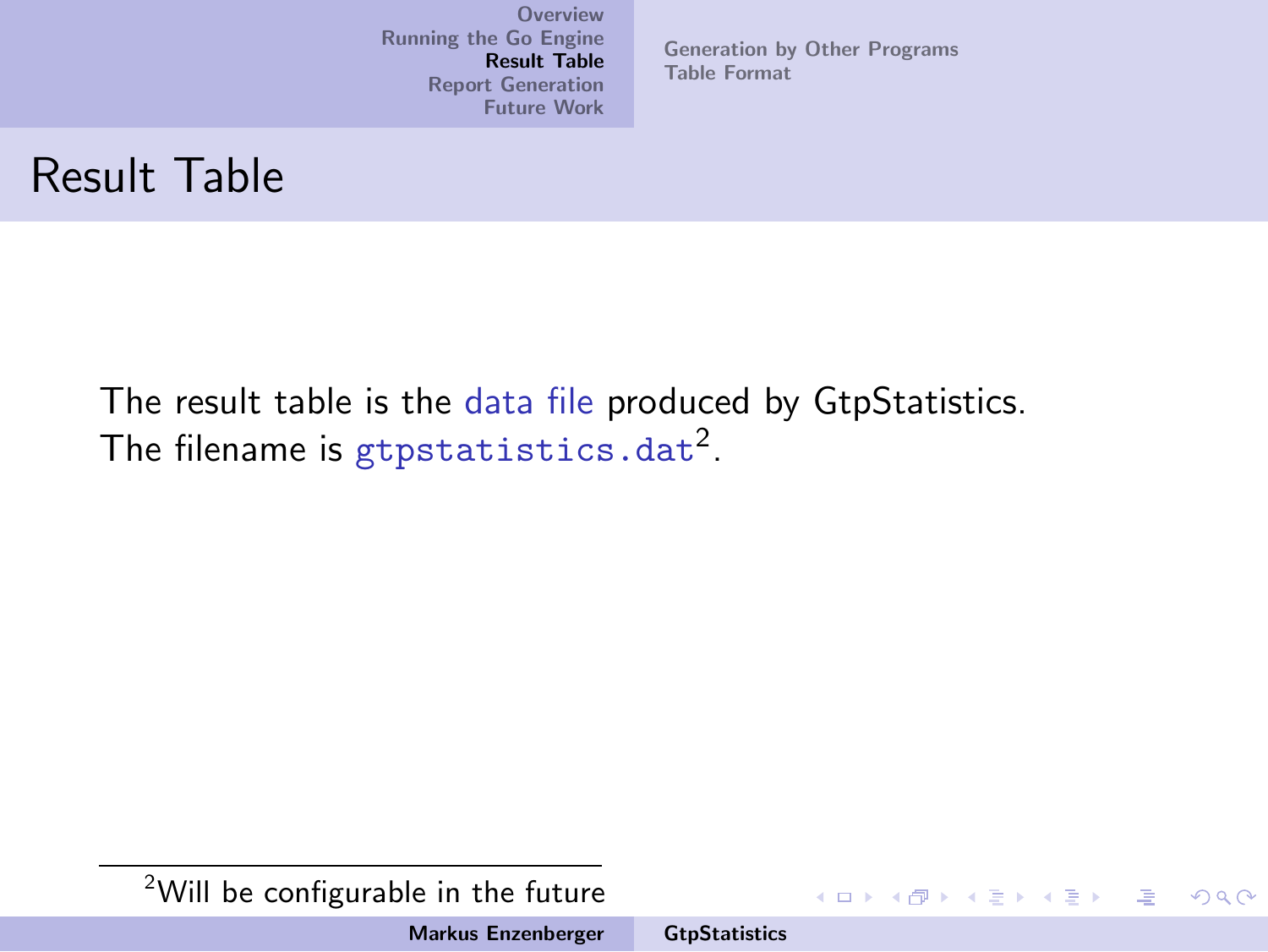[Generation by Other Programs](#page-30-0) [Table Format](#page-38-0)

#### Result Table

The result table is the data file produced by GtpStatistics. The filename is  $\tt{g}$ tpstatistics.dat $^2$ .

<sup>2</sup>Will be configurable in the future

Markus Enzenberger [GtpStatistics](#page-0-0)

イロメ イ部メ イヨメ イヨメー

<span id="page-26-0"></span>哇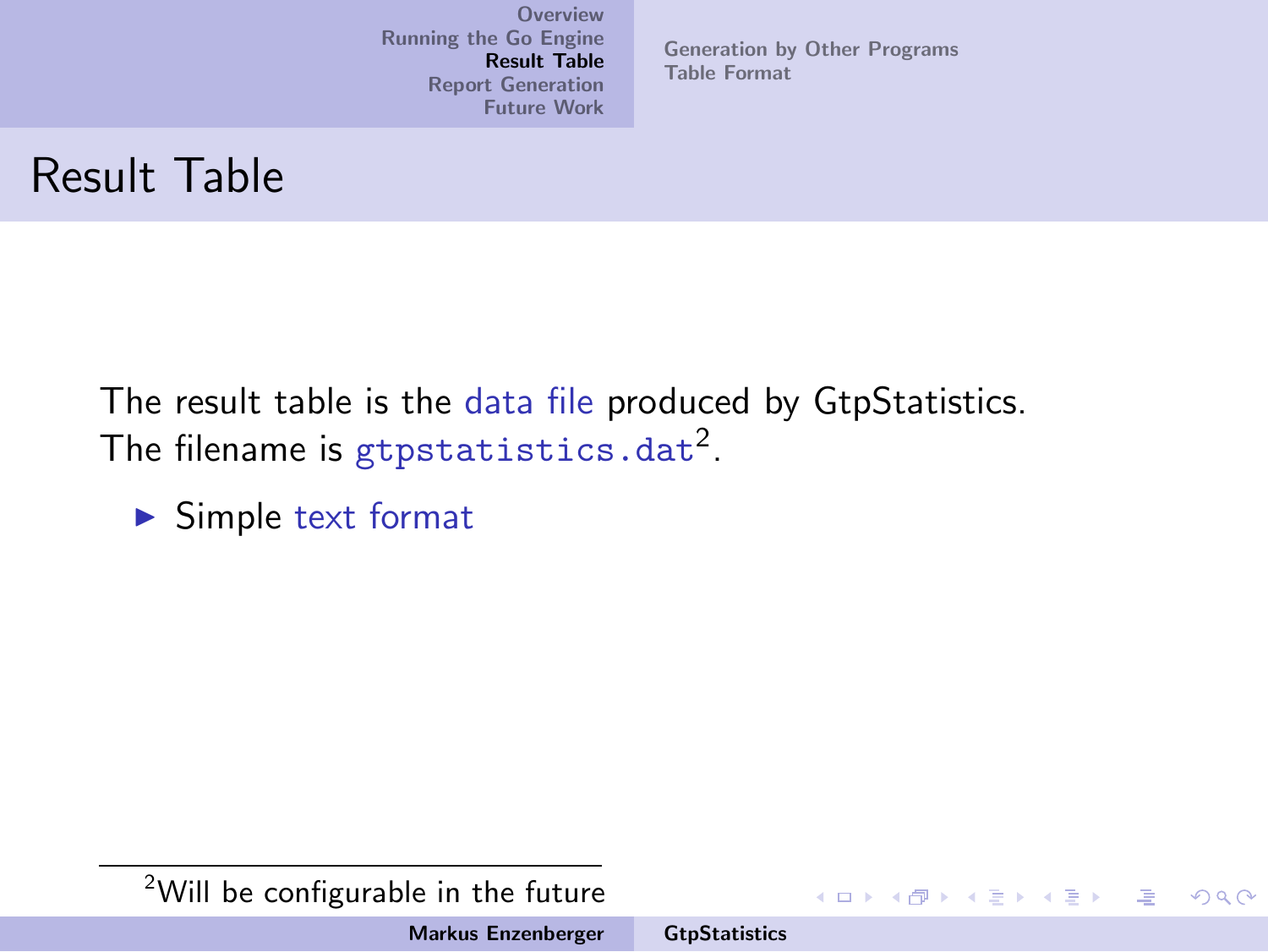[Generation by Other Programs](#page-30-0) [Table Format](#page-38-0)

#### Result Table

The result table is the data file produced by GtpStatistics. The filename is  $\tt{g}$ tpstatistics.dat $^2$ .

 $\blacktriangleright$  Simple text format

<sup>2</sup>Will be configurable in the future

Markus Enzenberger [GtpStatistics](#page-0-0)

イロメ イ部メ イヨメ イヨメー

哇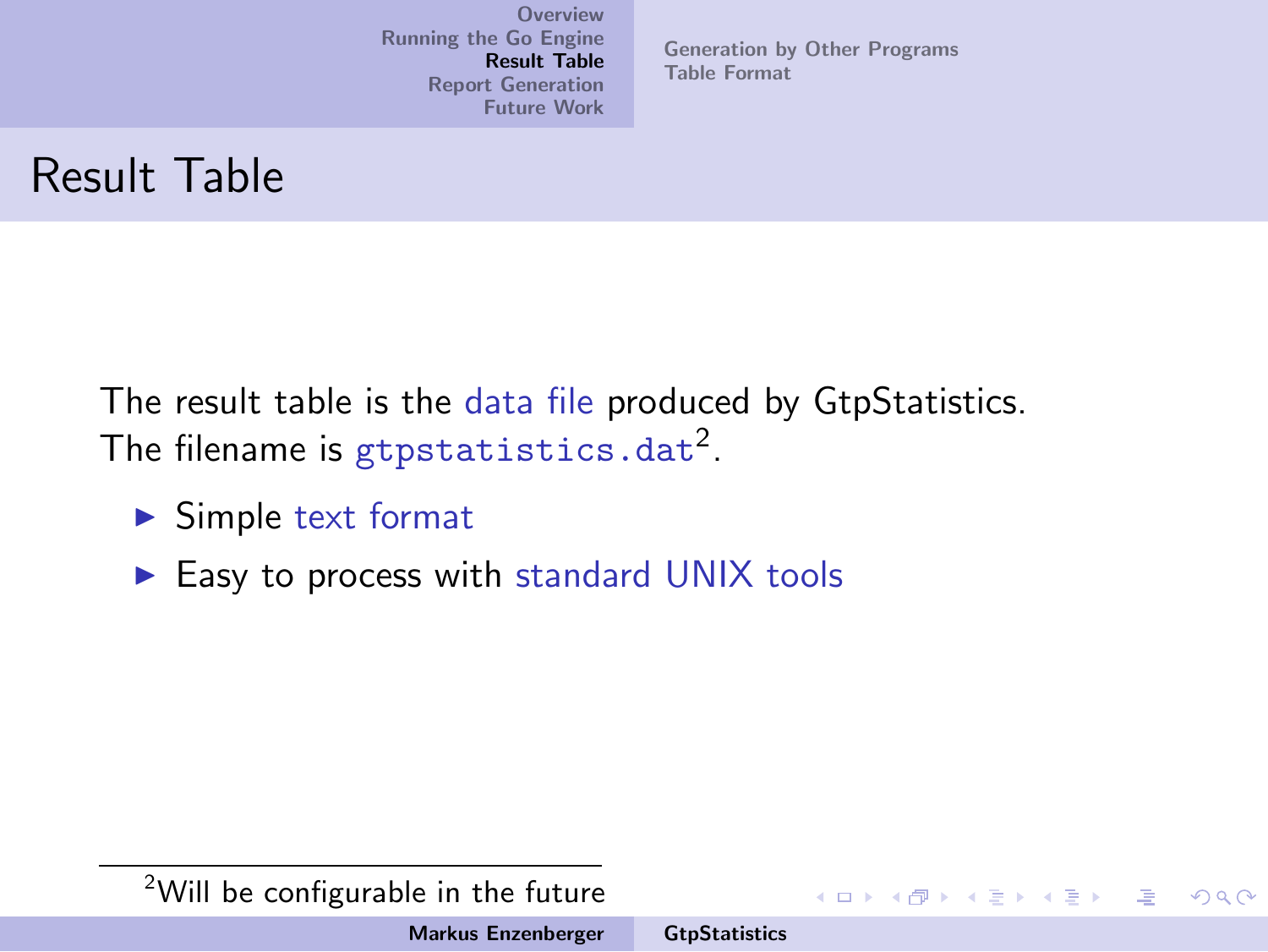[Generation by Other Programs](#page-30-0) [Table Format](#page-38-0)

## Result Table

The result table is the data file produced by GtpStatistics. The filename is  $\tt{g}$ tpstatistics.dat $^2$ .

- $\blacktriangleright$  Simple text format
- $\blacktriangleright$  Easy to process with standard UNIX tools

<sup>2</sup>Will be configurable in the future

Markus Enzenberger [GtpStatistics](#page-0-0)

イロト イ団 トイ ミト イヨト

压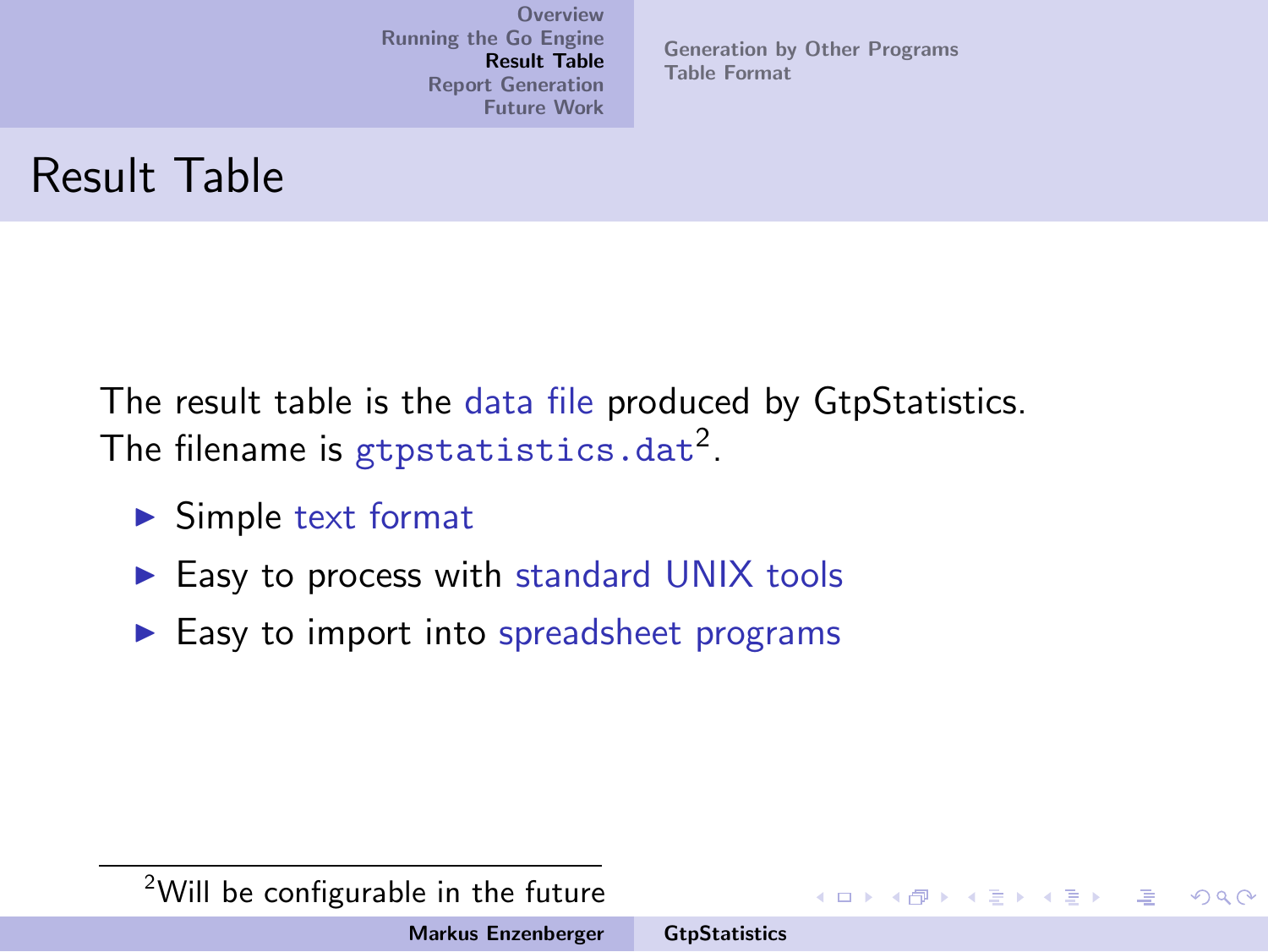[Generation by Other Programs](#page-30-0) [Table Format](#page-38-0)

## Result Table

The result table is the data file produced by GtpStatistics. The filename is  $\tt{g}$ tpstatistics.dat $^2$ .

- $\blacktriangleright$  Simple text format
- $\blacktriangleright$  Easy to process with standard UNIX tools
- $\blacktriangleright$  Easy to import into spreadsheet programs

イロメ イタメ イラメ イラメ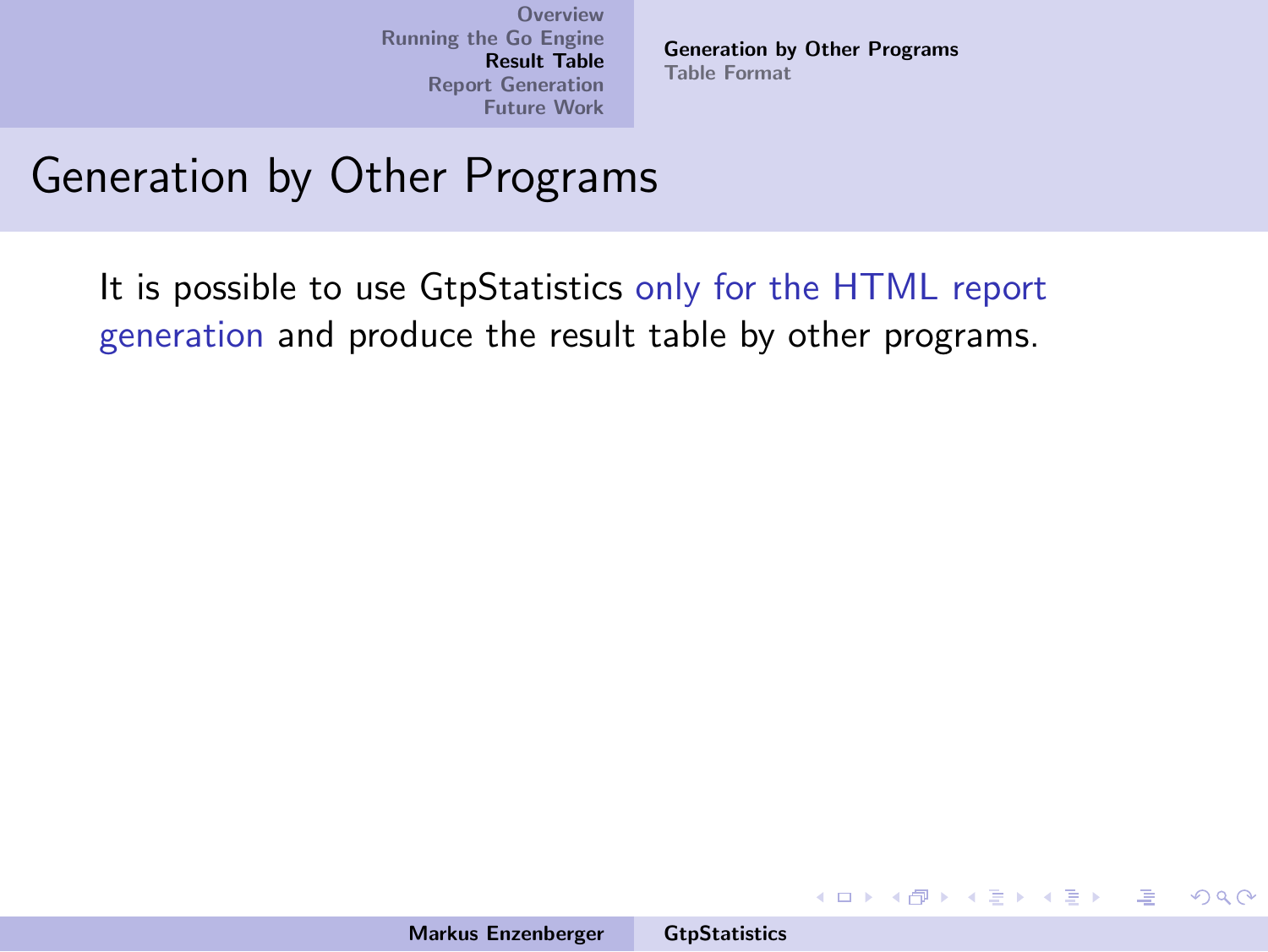<span id="page-30-0"></span>[Generation by Other Programs](#page-37-0) [Table Format](#page-38-0)

#### Generation by Other Programs

It is possible to use GtpStatistics only for the HTML report generation and produce the result table by other programs.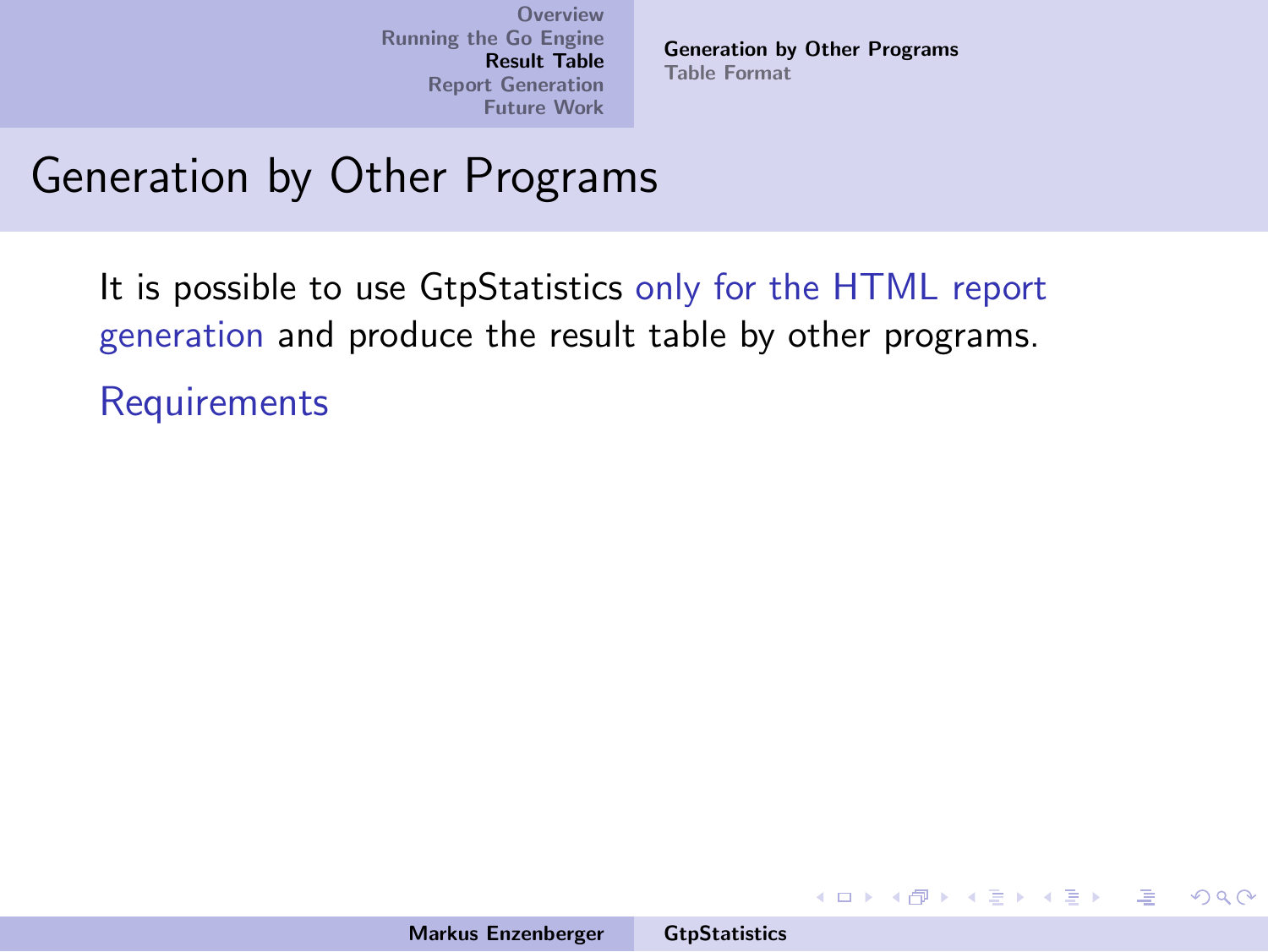[Generation by Other Programs](#page-37-0) [Table Format](#page-38-0)

イロメ イ御メ イヨメ イヨメー

哇

 $2Q$ 

#### Generation by Other Programs

It is possible to use GtpStatistics only for the HTML report generation and produce the result table by other programs. **Requirements**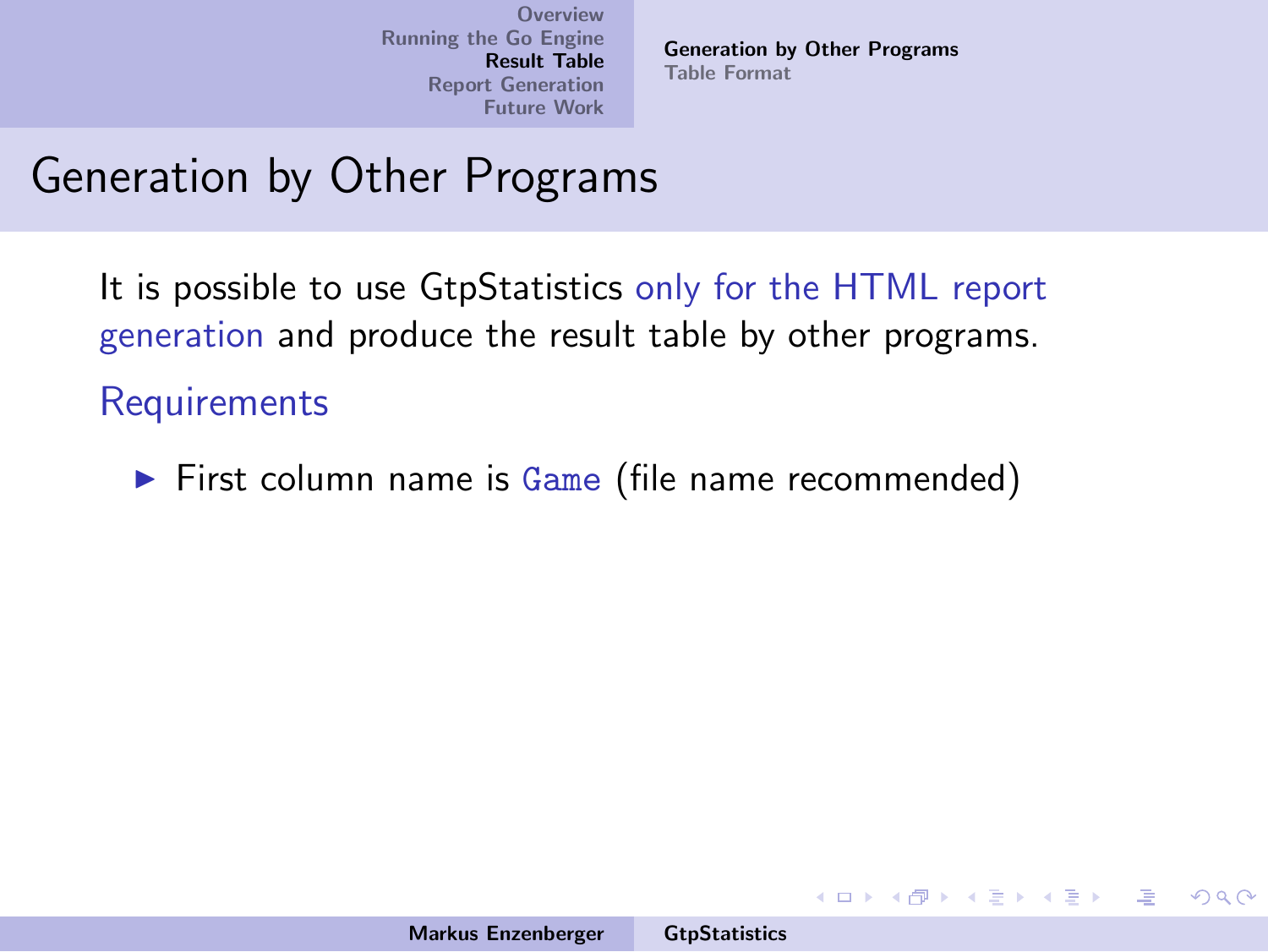[Generation by Other Programs](#page-37-0) [Table Format](#page-38-0)

イロメ イ御メ イヨメ イヨメー

 $\Omega$ 

## Generation by Other Programs

It is possible to use GtpStatistics only for the HTML report generation and produce the result table by other programs.

**Requirements** 

 $\triangleright$  First column name is Game (file name recommended)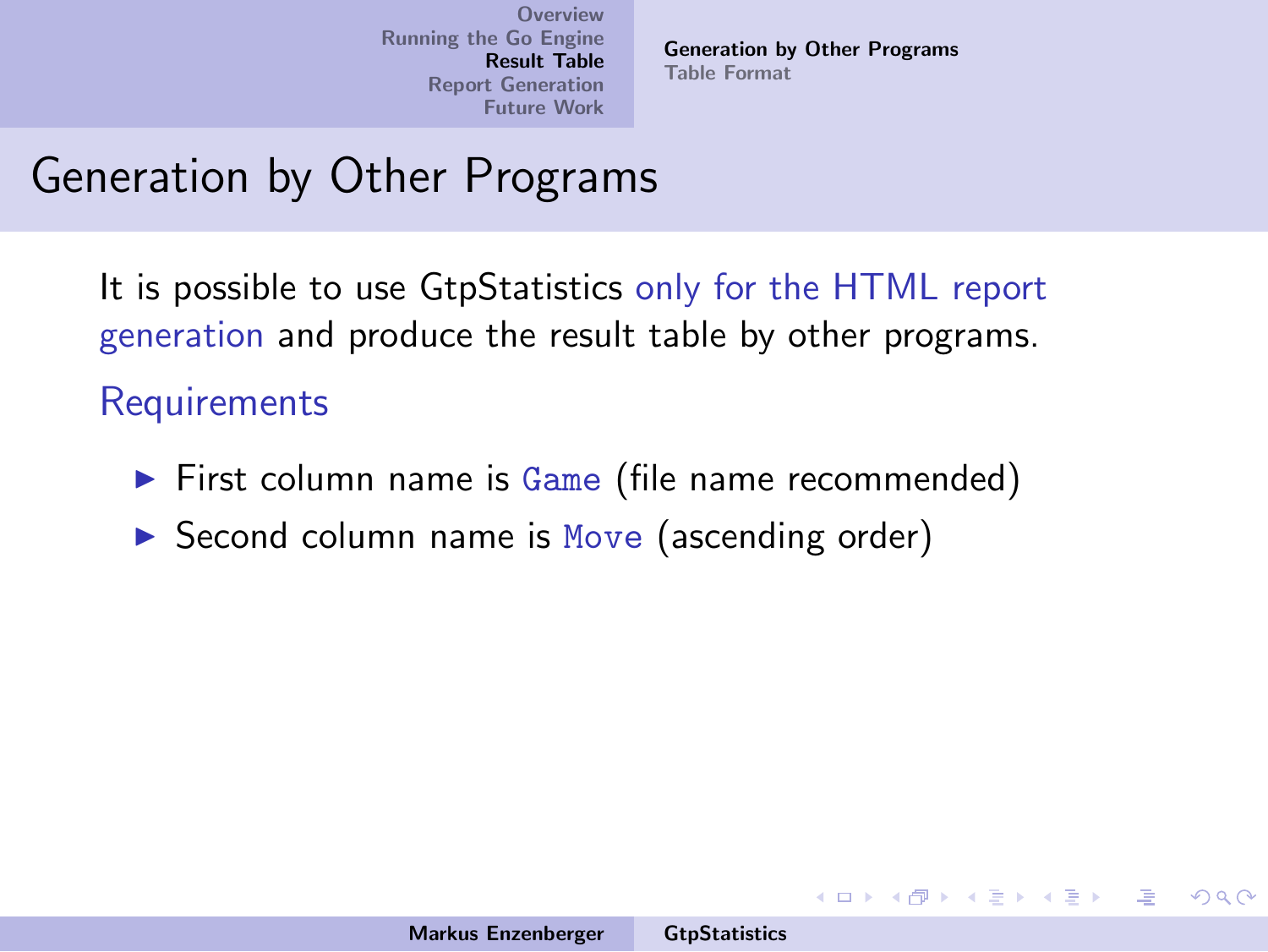[Generation by Other Programs](#page-37-0) [Table Format](#page-38-0)

イロメ イ御メ イヨメ イヨメー

 $\Omega$ 

## Generation by Other Programs

It is possible to use GtpStatistics only for the HTML report generation and produce the result table by other programs.

**Requirements** 

- $\triangleright$  First column name is Game (file name recommended)
- $\triangleright$  Second column name is Move (ascending order)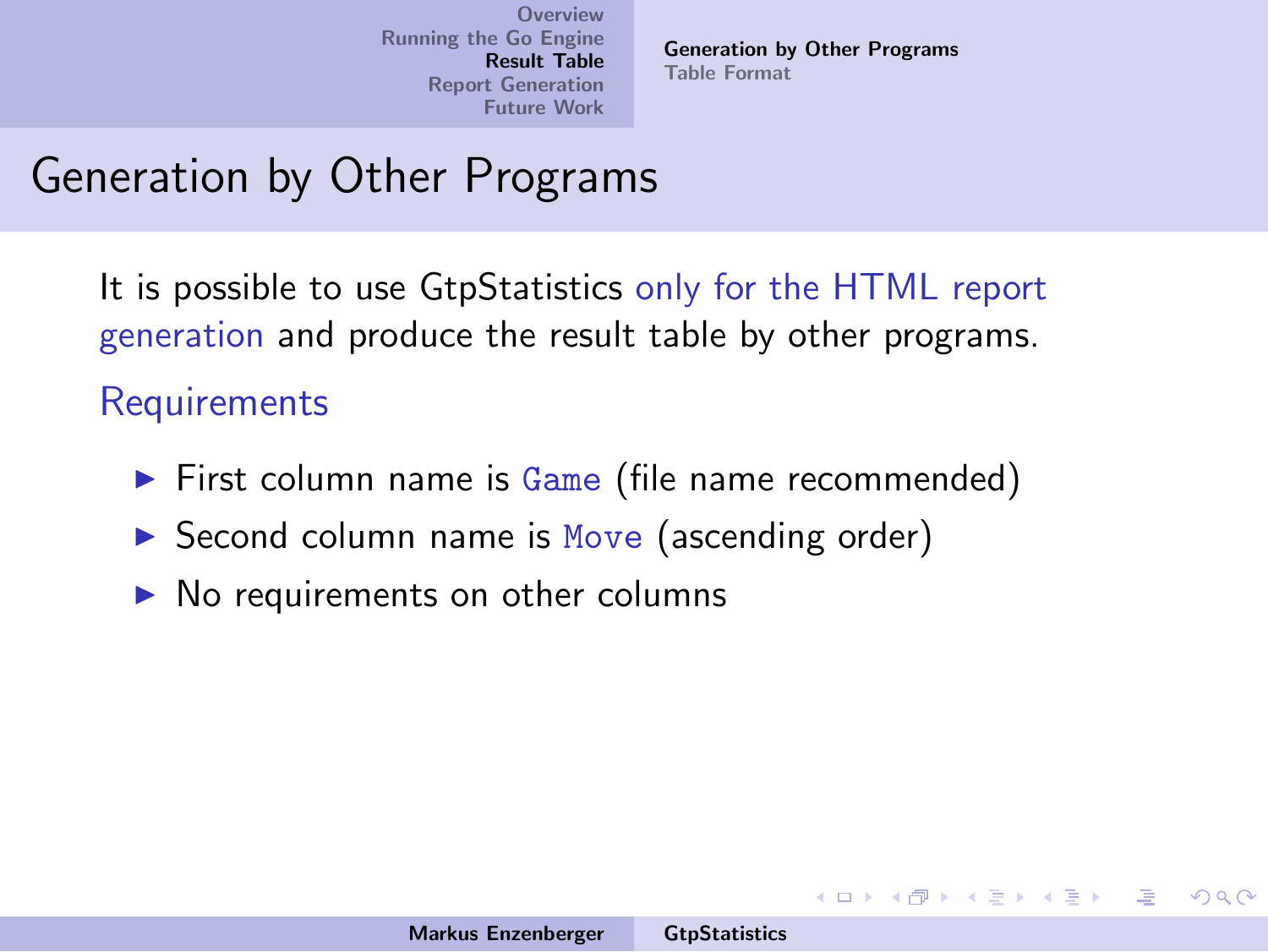[Generation by Other Programs](#page-37-0) [Table Format](#page-38-0)

イロメ イ御メ イヨメ イヨメー

 $\Omega$ 

## Generation by Other Programs

It is possible to use GtpStatistics only for the HTML report generation and produce the result table by other programs.

**Requirements** 

- $\triangleright$  First column name is Game (file name recommended)
- $\triangleright$  Second column name is Move (ascending order)
- $\triangleright$  No requirements on other columns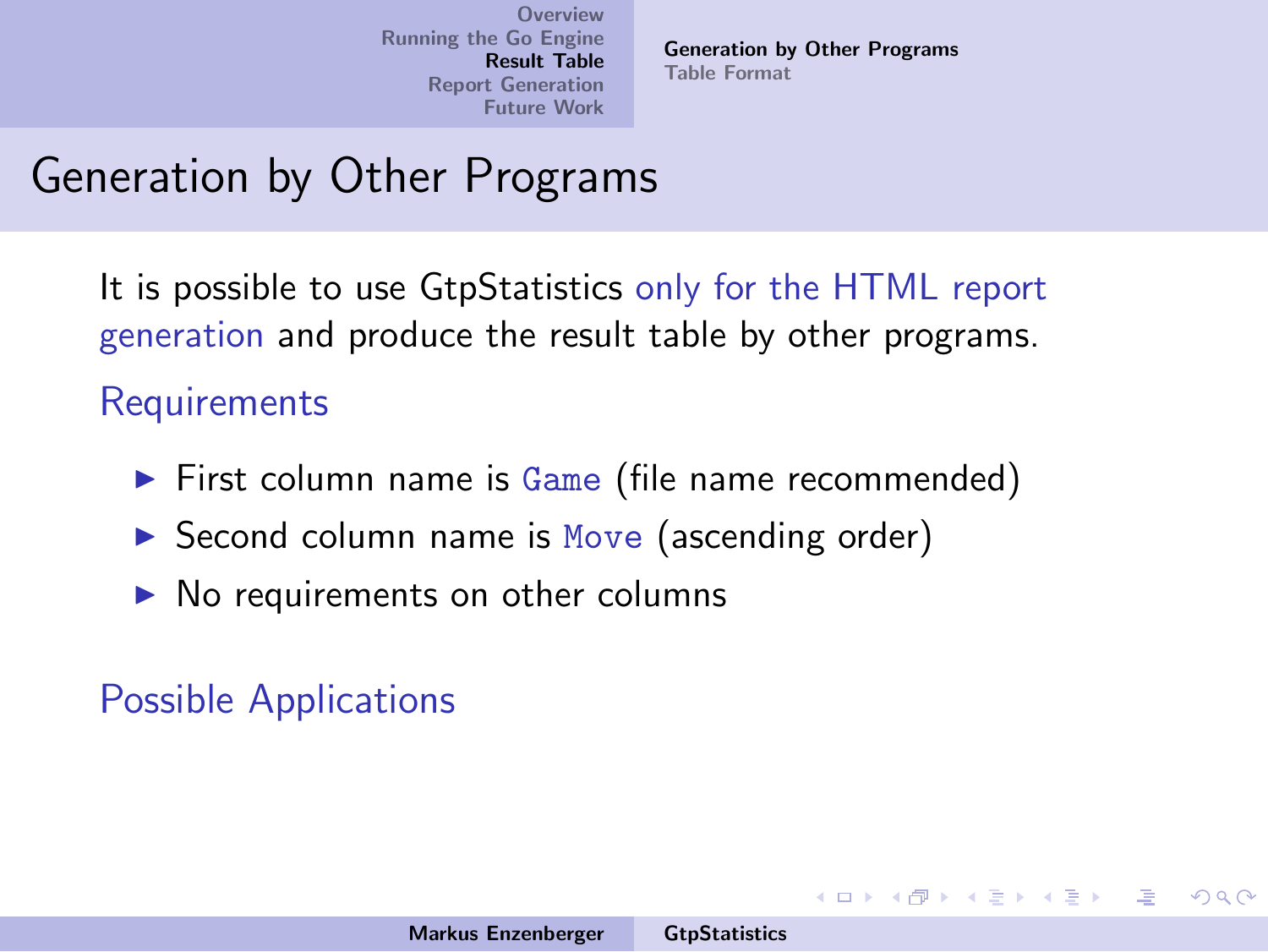[Generation by Other Programs](#page-37-0) [Table Format](#page-38-0)

イロメ イ御メ イヨメ イヨメー

 $\Omega$ 

## Generation by Other Programs

It is possible to use GtpStatistics only for the HTML report generation and produce the result table by other programs.

**Requirements** 

- $\triangleright$  First column name is Game (file name recommended)
- $\triangleright$  Second column name is Move (ascending order)
- $\triangleright$  No requirements on other columns

Possible Applications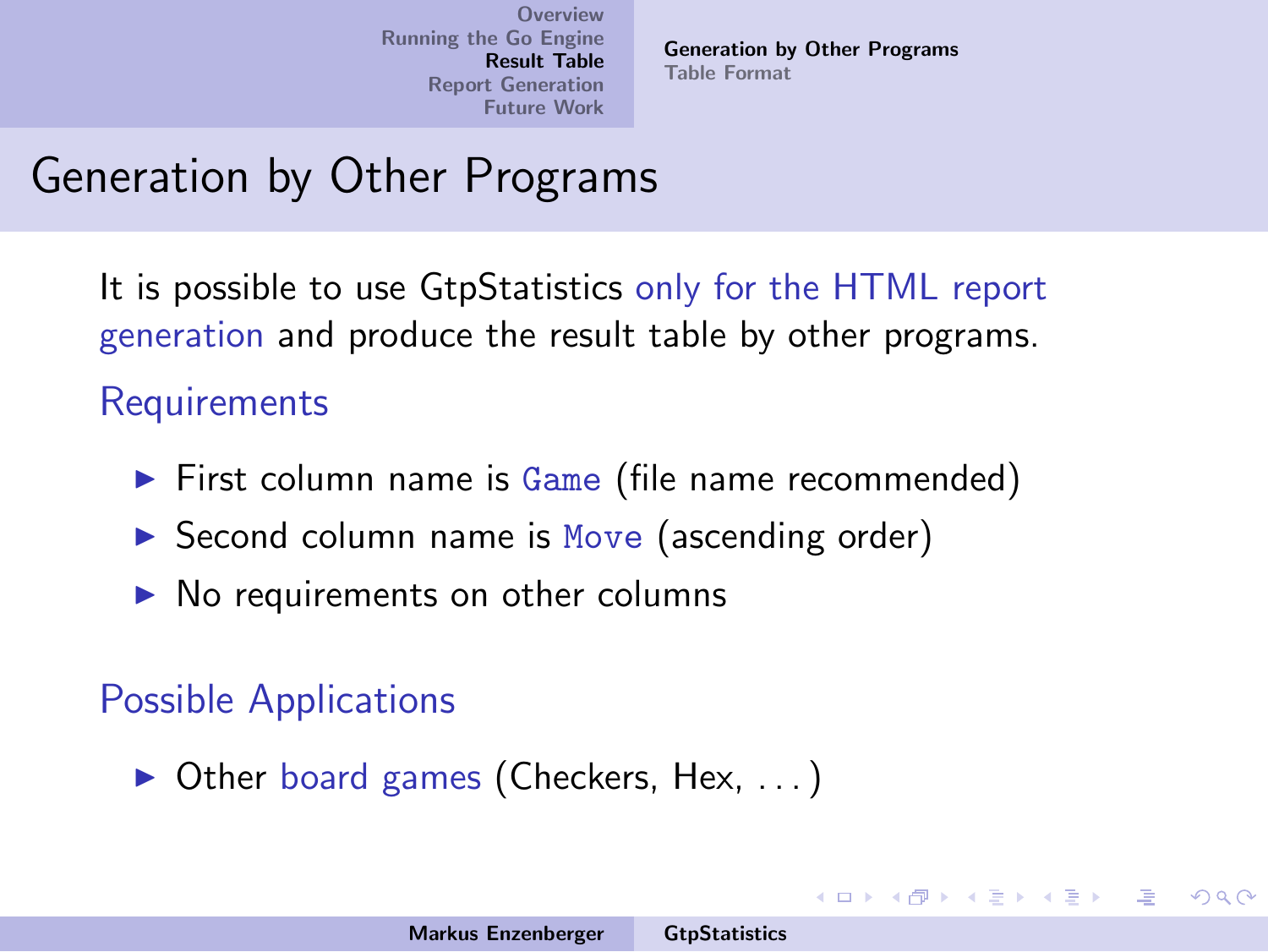[Generation by Other Programs](#page-37-0) [Table Format](#page-38-0)

イロメ イ部メ イヨメ イヨメー

 $\Omega$ 

## Generation by Other Programs

It is possible to use GtpStatistics only for the HTML report generation and produce the result table by other programs.

**Requirements** 

- $\triangleright$  First column name is Game (file name recommended)
- $\triangleright$  Second column name is Move (ascending order)
- $\triangleright$  No requirements on other columns

#### Possible Applications

 $\triangleright$  Other board games (Checkers, Hex, ...)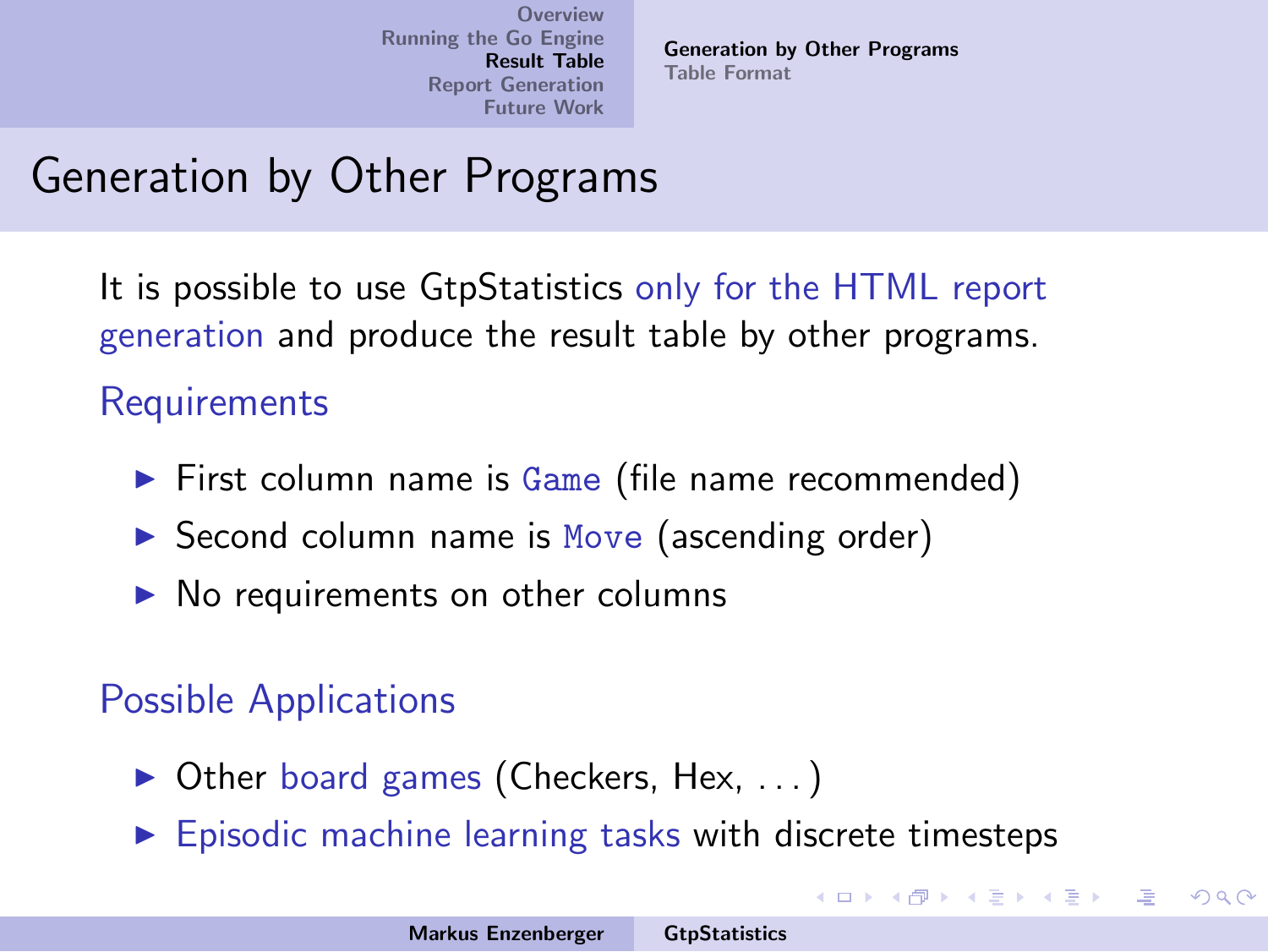[Generation by Other Programs](#page-30-0) [Table Format](#page-38-0)

イロメ イ部メ イヨメ イヨメー

<span id="page-37-0"></span> $\Omega$ 

# Generation by Other Programs

It is possible to use GtpStatistics only for the HTML report generation and produce the result table by other programs.

**Requirements** 

- $\triangleright$  First column name is Game (file name recommended)
- $\triangleright$  Second column name is Move (ascending order)
- $\triangleright$  No requirements on other columns

#### Possible Applications

- $\triangleright$  Other board games (Checkers, Hex, ...)
- $\triangleright$  Episodic machine learning tasks with discrete timesteps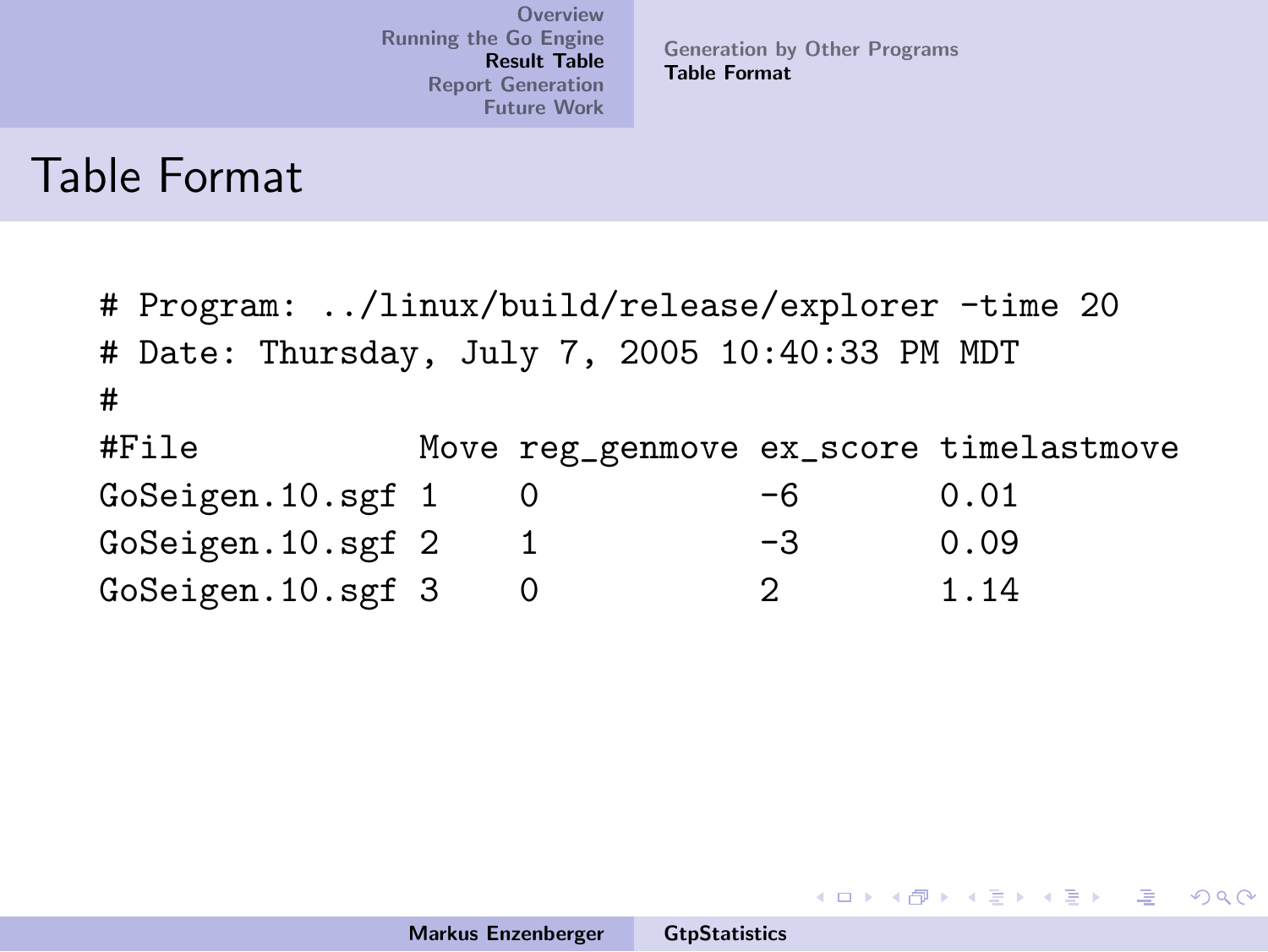[Generation by Other Programs](#page-30-0) [Table Format](#page-42-0)

メロメ メ御き メミメ メミメー

哇

<span id="page-38-0"></span> $2Q$ 

#### Table Format

# Program: ../linux/build/release/explorer -time 20 # Date: Thursday, July 7, 2005 10:40:33 PM MDT # #File Move reg\_genmove ex\_score timelastmove  $G$ oSeigen.10.sgf 1 0  $-6$  0.01 GoSeigen.10.sgf 2 1 -3 0.09 GoSeigen.10.sgf 3 0 2 1.14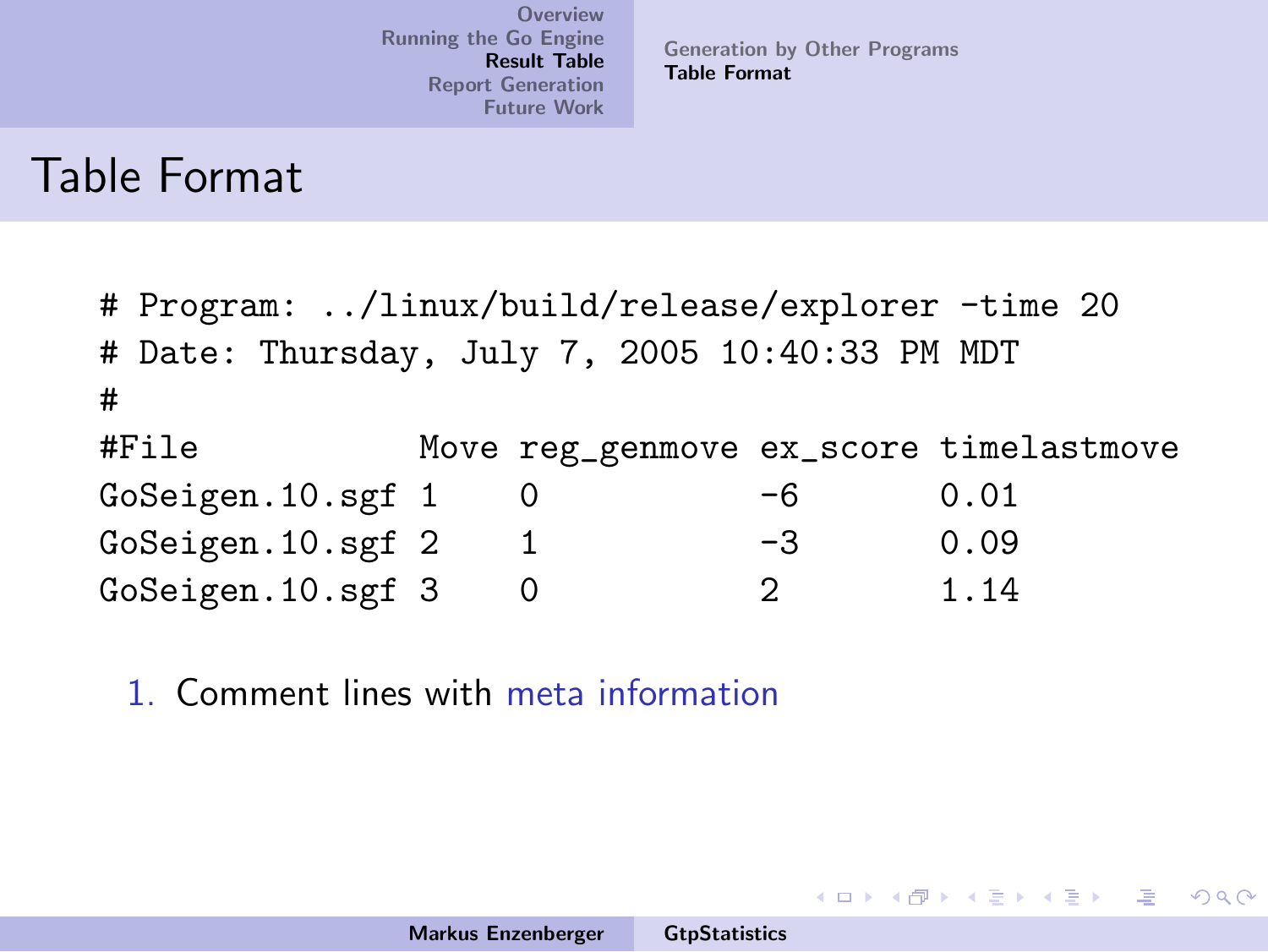[Generation by Other Programs](#page-30-0) [Table Format](#page-42-0)

イロメ イ部メ イヨメ イヨメー

 $\Omega$ 

#### Table Format

# Program: ../linux/build/release/explorer -time 20 # Date: Thursday, July 7, 2005 10:40:33 PM MDT # #File Move reg\_genmove ex\_score timelastmove GoSeigen.10.sgf 1 0 -6 0.01 GoSeigen.10.sgf 2 1 -3 0.09 GoSeigen.10.sgf 3 0 2 1.14

1. Comment lines with meta information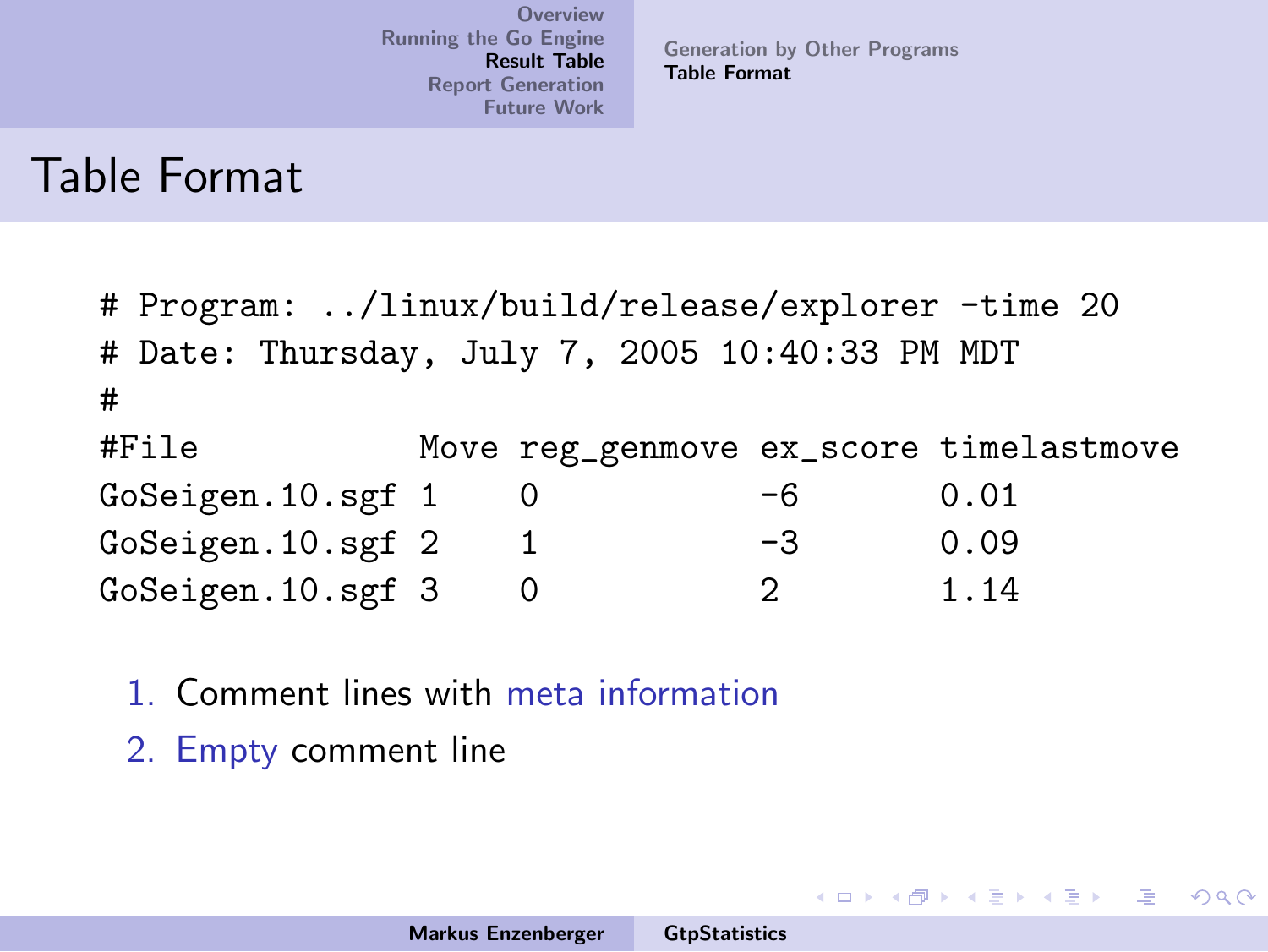[Generation by Other Programs](#page-30-0) [Table Format](#page-42-0)

イロメ イ部メ イヨメ イヨメー

 $\equiv$ 

 $\Omega$ 

#### Table Format

# Program: ../linux/build/release/explorer -time 20 # Date: Thursday, July 7, 2005 10:40:33 PM MDT # #File Move reg\_genmove ex\_score timelastmove GoSeigen.10.sgf 1 0 -6 0.01 GoSeigen.10.sgf 2 1 -3 0.09 GoSeigen.10.sgf 3 0 2 1.14

- 1. Comment lines with meta information
- 2. Empty comment line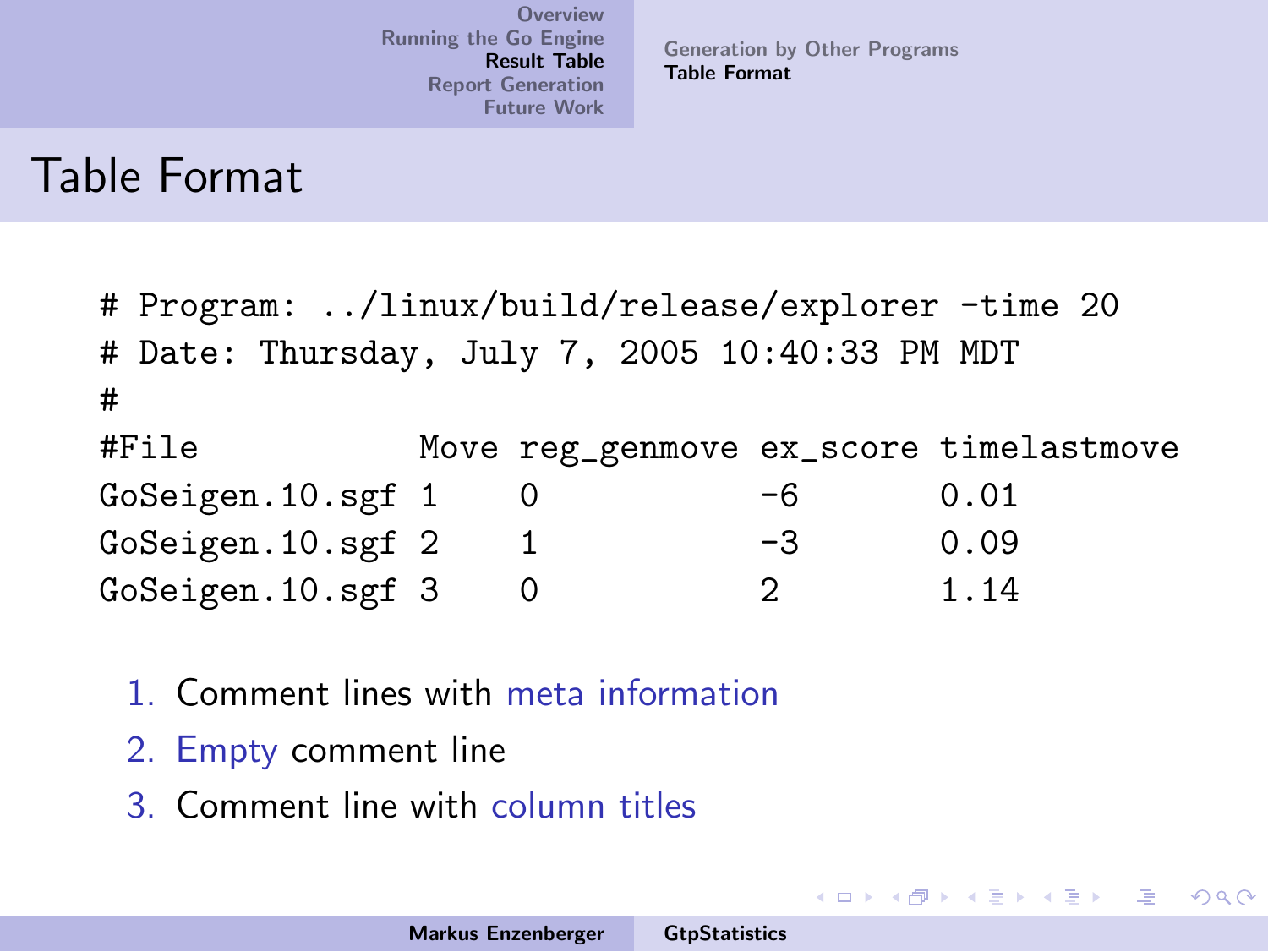[Generation by Other Programs](#page-30-0) [Table Format](#page-42-0)

イロメ イ部メ イヨメ イヨメー

造

 $2Q$ 

#### Table Format

|                   | # Program: /linux/build/release/explorer -time 20 |  |          |    |                                        |  |  |
|-------------------|---------------------------------------------------|--|----------|----|----------------------------------------|--|--|
|                   | # Date: Thursday, July 7, 2005 10:40:33 PM MDT    |  |          |    |                                        |  |  |
| #                 |                                                   |  |          |    |                                        |  |  |
|                   | #File                                             |  |          |    | Move reg_genmove ex_score timelastmove |  |  |
| GoSeigen.10.sgf 1 |                                                   |  |          | -6 | 0.01                                   |  |  |
| GoSeigen.10.sgf 2 |                                                   |  | 1        | -3 | 0.09                                   |  |  |
|                   | GoSeigen.10.sgf 3                                 |  | $\Omega$ | 2  | 1.14                                   |  |  |

- 1. Comment lines with meta information
- 2. Empty comment line
- 3. Comment line with column titles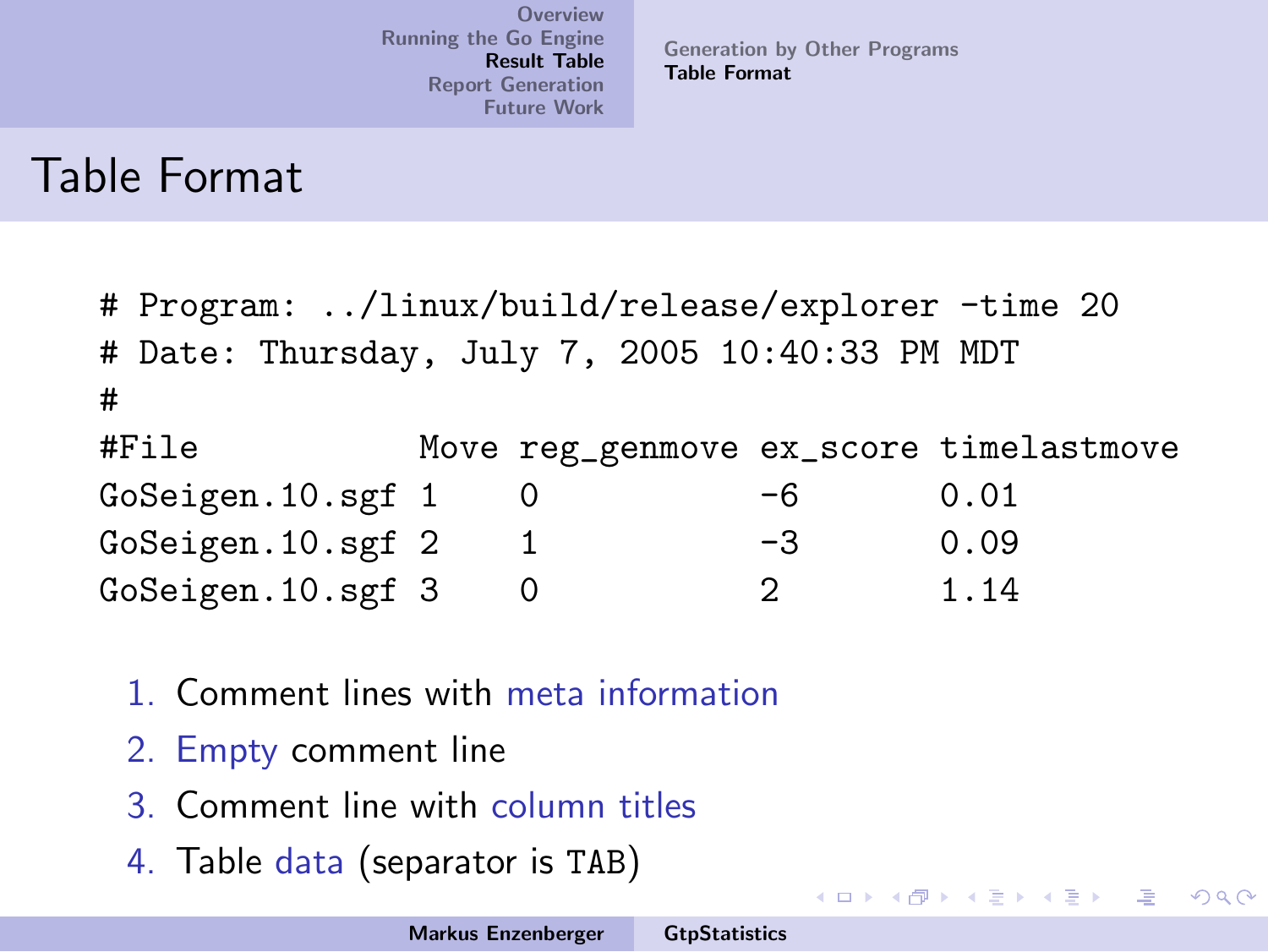[Generation by Other Programs](#page-30-0) [Table Format](#page-38-0)

イロメ イ御メ イヨメ イヨメー

注

<span id="page-42-0"></span> $2Q$ 

#### Table Format

|                   | # Program: /linux/build/release/explorer -time 20 |  |          |    |                                        |  |  |
|-------------------|---------------------------------------------------|--|----------|----|----------------------------------------|--|--|
|                   | # Date: Thursday, July 7, 2005 10:40:33 PM MDT    |  |          |    |                                        |  |  |
| #                 |                                                   |  |          |    |                                        |  |  |
|                   | #File                                             |  |          |    | Move reg_genmove ex_score timelastmove |  |  |
| GoSeigen.10.sgf 1 |                                                   |  |          | -6 | 0.01                                   |  |  |
| GoSeigen.10.sgf 2 |                                                   |  | 1        | -3 | 0.09                                   |  |  |
|                   | GoSeigen.10.sgf 3                                 |  | $\Omega$ | 2  | 1.14                                   |  |  |

- 1. Comment lines with meta information
- 2. Empty comment line
- 3. Comment line with column titles
- 4. Table data (separator is TAB)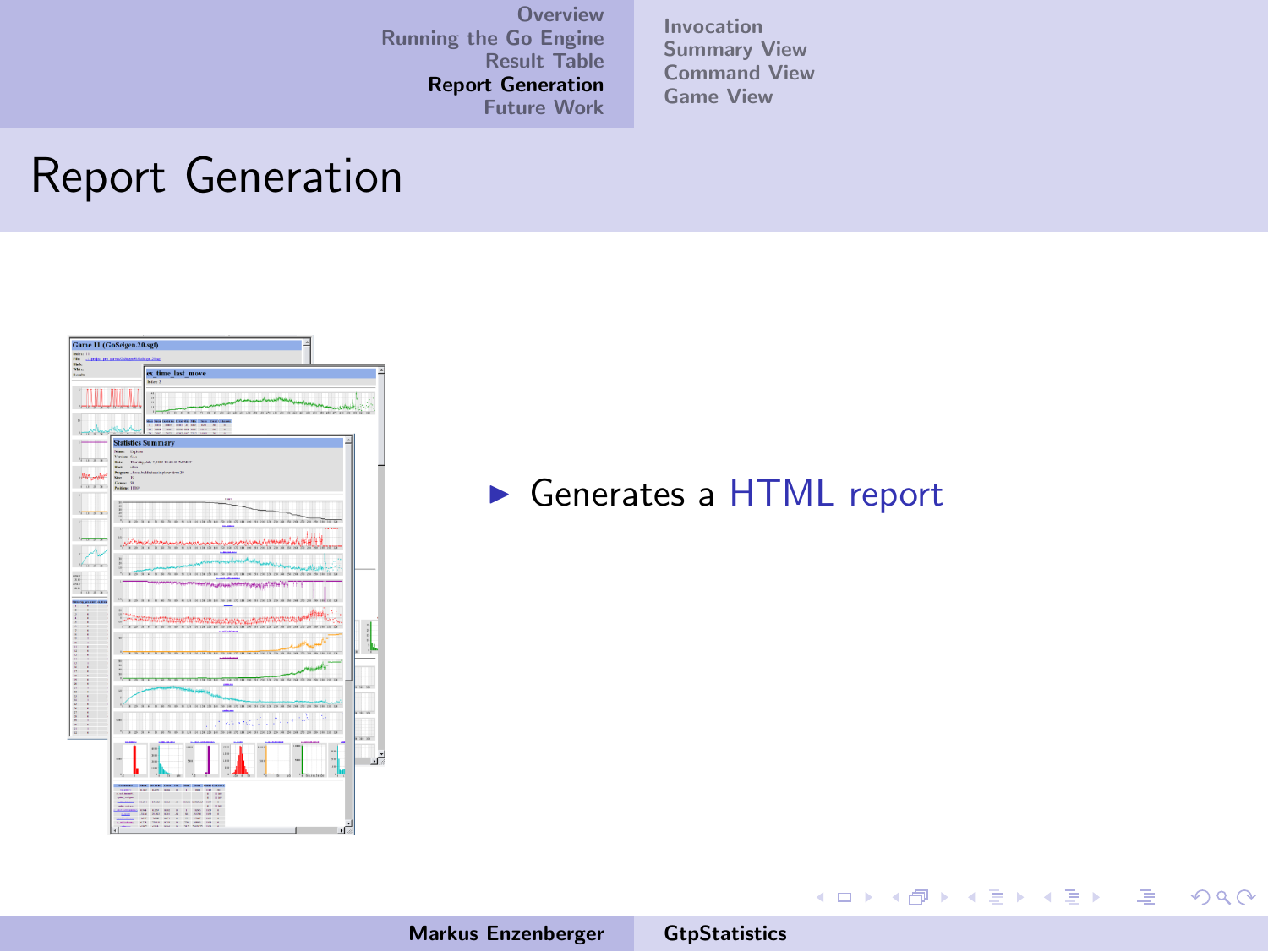[Invocation](#page-46-0) [Summary View](#page-47-0) [Command View](#page-52-0) [Game View](#page-56-0)

#### Report Generation



Generates a HTML report

Markus Enzenberger [GtpStatistics](#page-0-0)

メロメ メ都 ドメ 君 ドメ 君 ドッ

<span id="page-43-0"></span> $\equiv$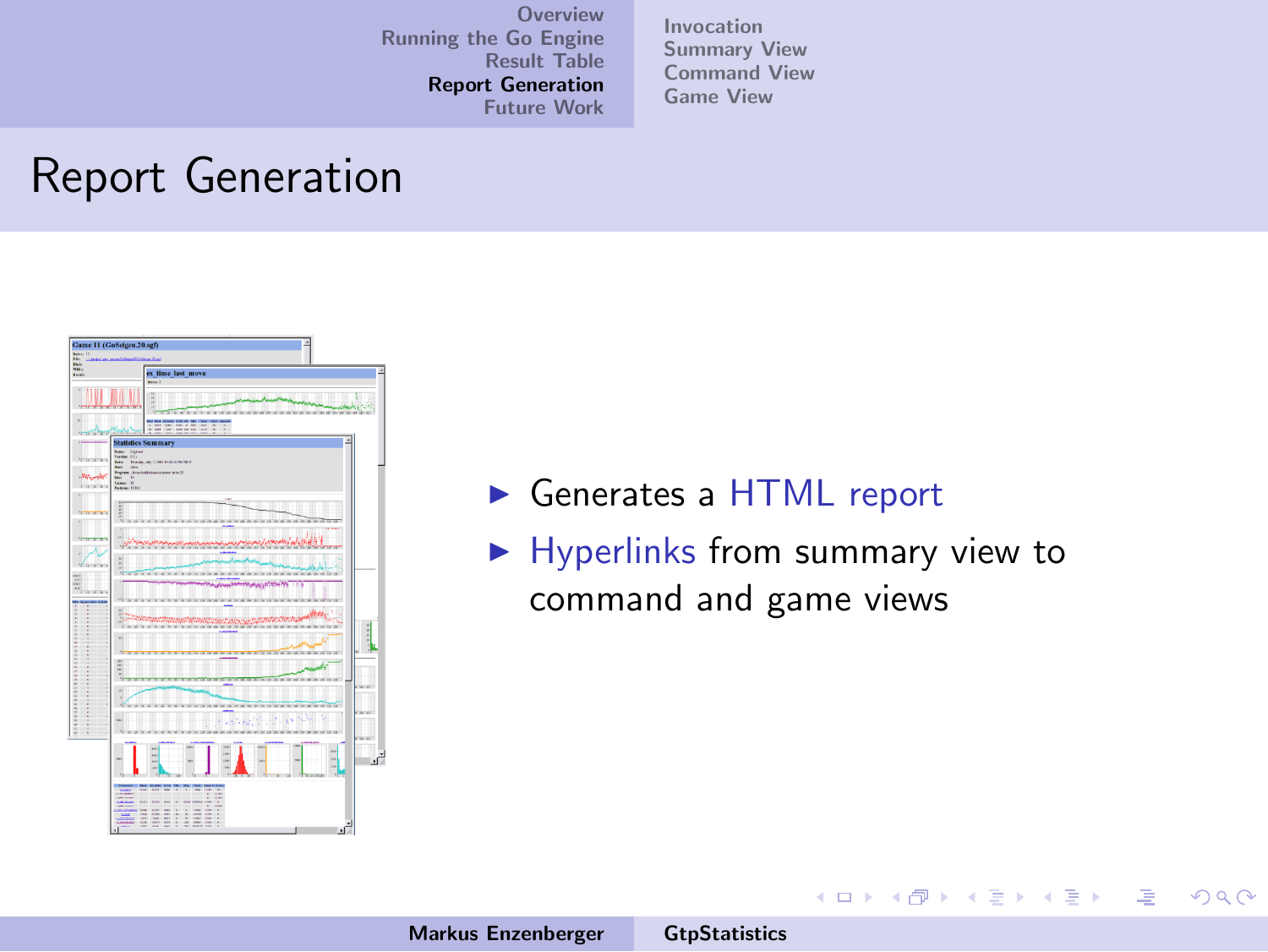[Invocation](#page-46-0) [Summary View](#page-47-0) [Command View](#page-52-0) [Game View](#page-56-0)

#### Report Generation



- Generates a HTML report
- $\blacktriangleright$  Hyperlinks from summary view to command and game views

イロメ イ部メ イヨメ イヨメー

哇

 $\Omega$ 

Markus Enzenberger [GtpStatistics](#page-0-0)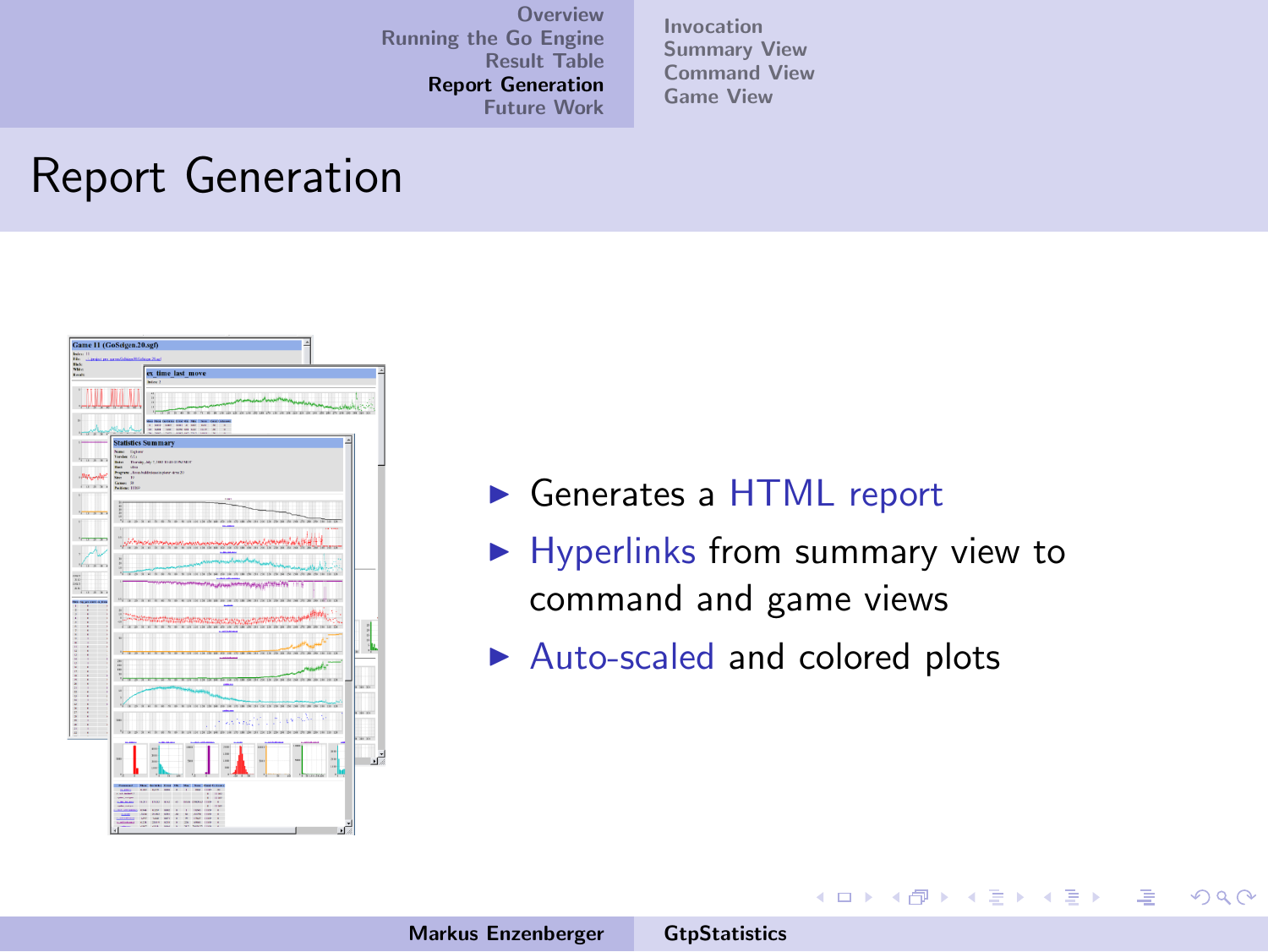[Invocation](#page-46-0) [Summary View](#page-47-0) [Command View](#page-52-0) [Game View](#page-56-0)

#### Report Generation



- ► Generates a HTML report
- $\blacktriangleright$  Hyperlinks from summary view to command and game views

メロメ メ御き メミメ メミメー

唾

 $\Omega$ 

 $\blacktriangleright$  Auto-scaled and colored plots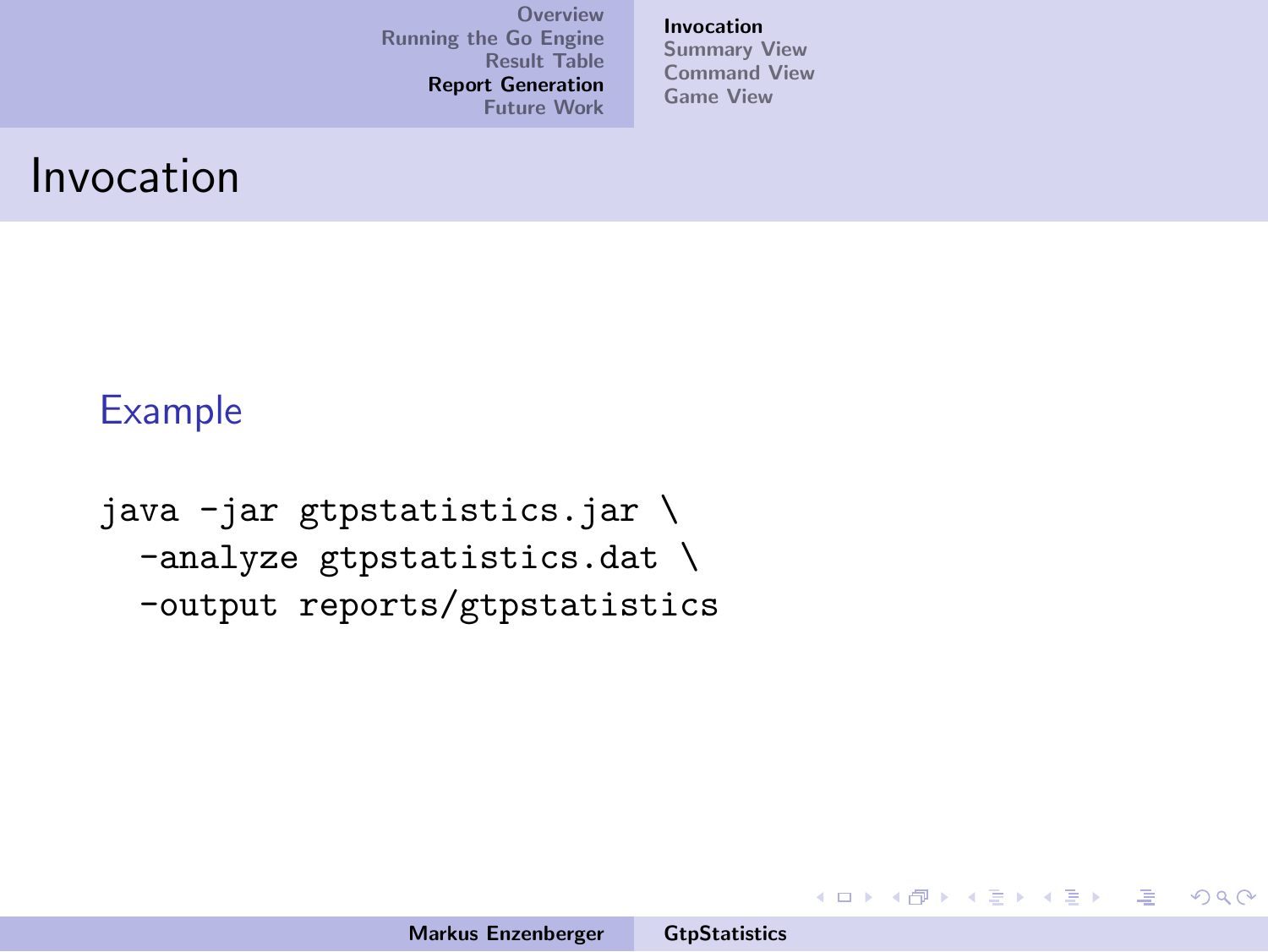[Invocation](#page-46-0) [Summary View](#page-47-0) [Command View](#page-52-0) [Game View](#page-56-0)

#### Invocation

#### Example

```
java -jar gtpstatistics.jar \
-analyze gtpstatistics.dat \
-output reports/gtpstatistics
```
イロメ イ部メ イヨメ イヨメー

<span id="page-46-0"></span>唾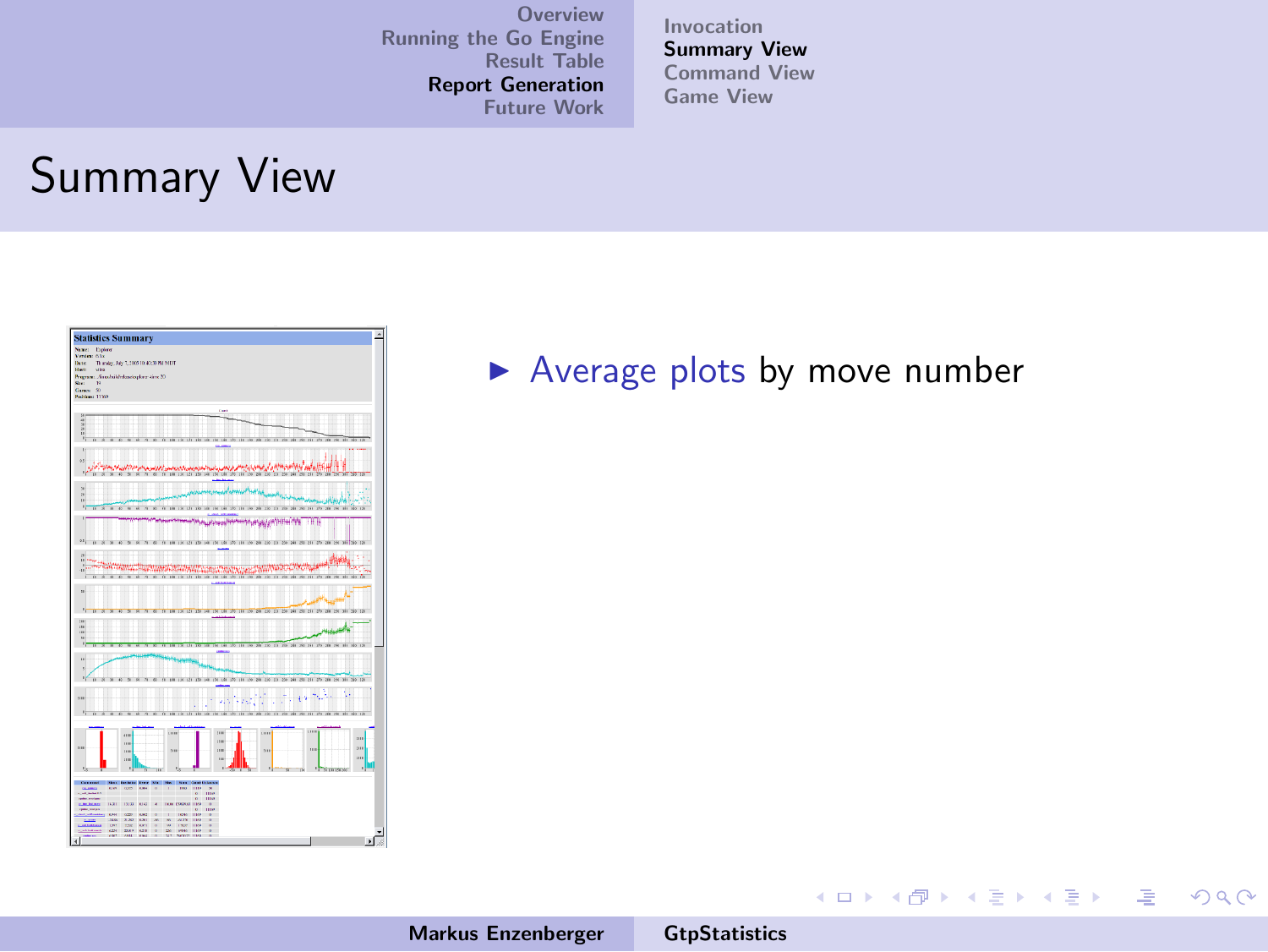[Invocation](#page-46-0) [Summary View](#page-51-0) [Command View](#page-52-0) [Game View](#page-56-0)

#### Summary View



#### $\blacktriangleright$  Average plots by move number

Markus Enzenberger [GtpStatistics](#page-0-0)

<span id="page-47-0"></span>メロメ メタメ メミメ メミメーミ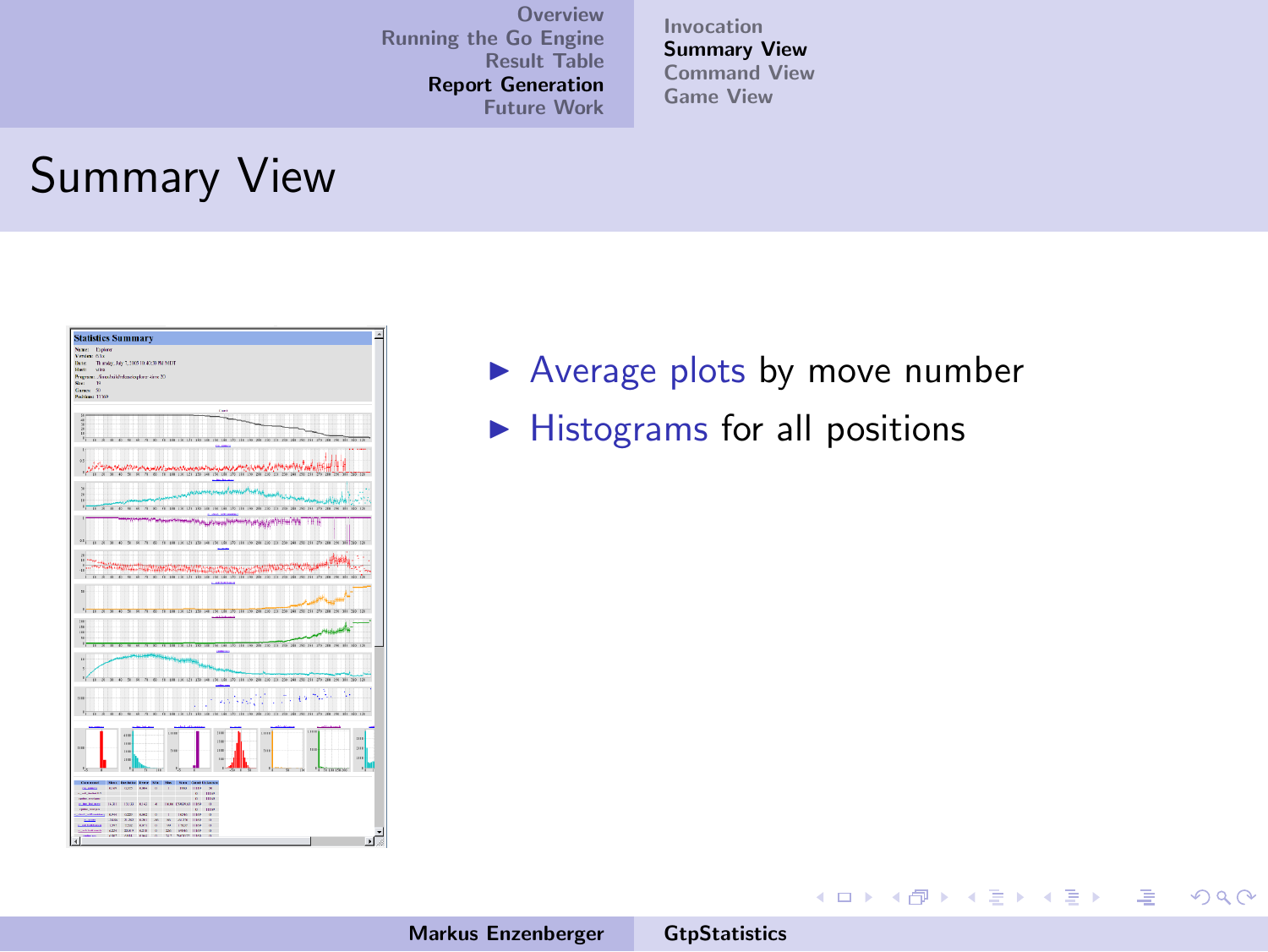[Invocation](#page-46-0) [Summary View](#page-51-0) [Command View](#page-52-0) [Game View](#page-56-0)

#### Summary View



- $\blacktriangleright$  Average plots by move number
- $\blacktriangleright$  Histograms for all positions

イロメ イ部メ イヨメ イヨメー

注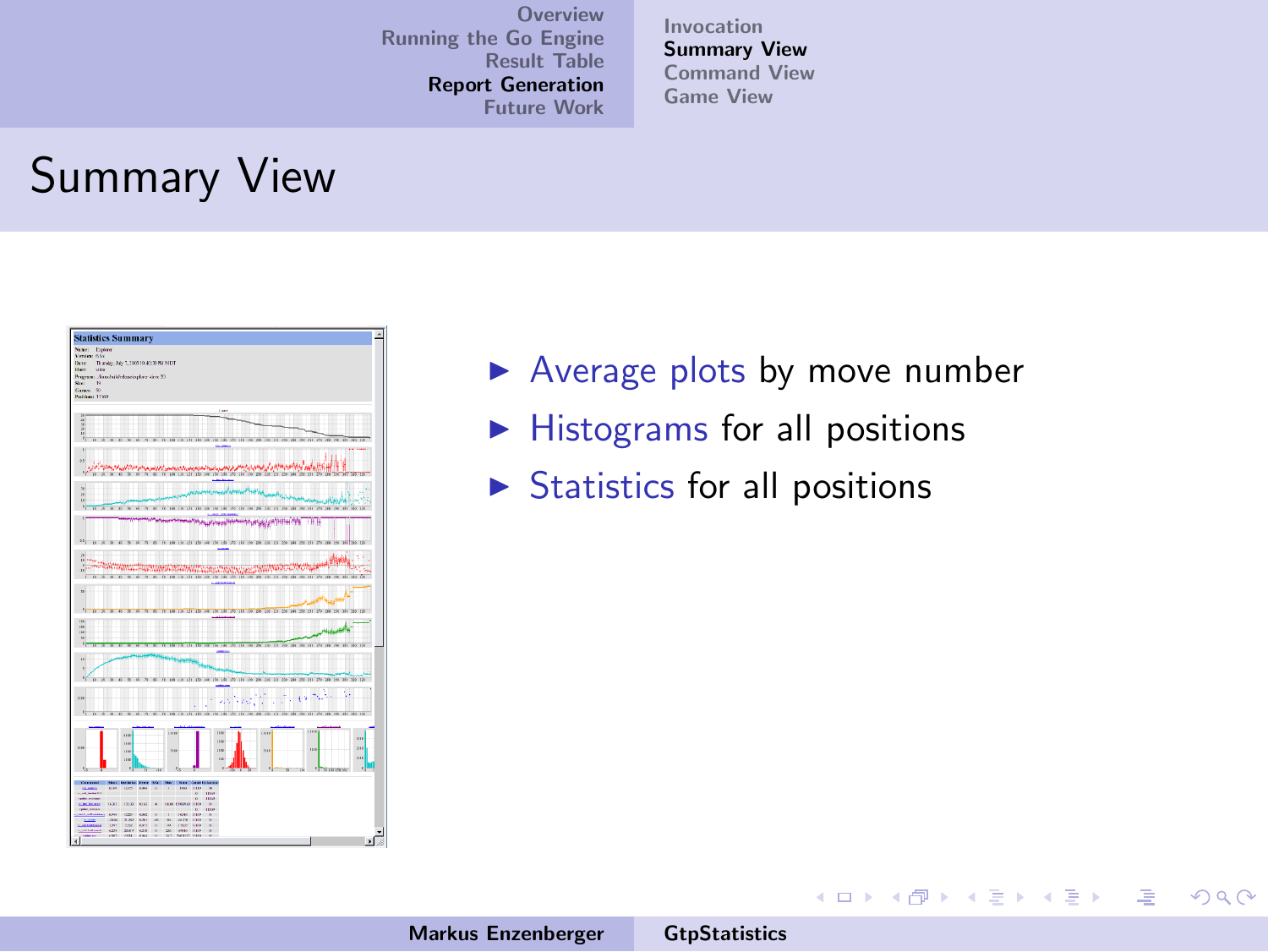[Invocation](#page-46-0) [Summary View](#page-51-0) [Command View](#page-52-0) [Game View](#page-56-0)

## Summary View



- $\blacktriangleright$  Average plots by move number
- $\blacktriangleright$  Histograms for all positions
- $\triangleright$  Statistics for all positions

イロメ イ御メ イヨメ イヨメー

注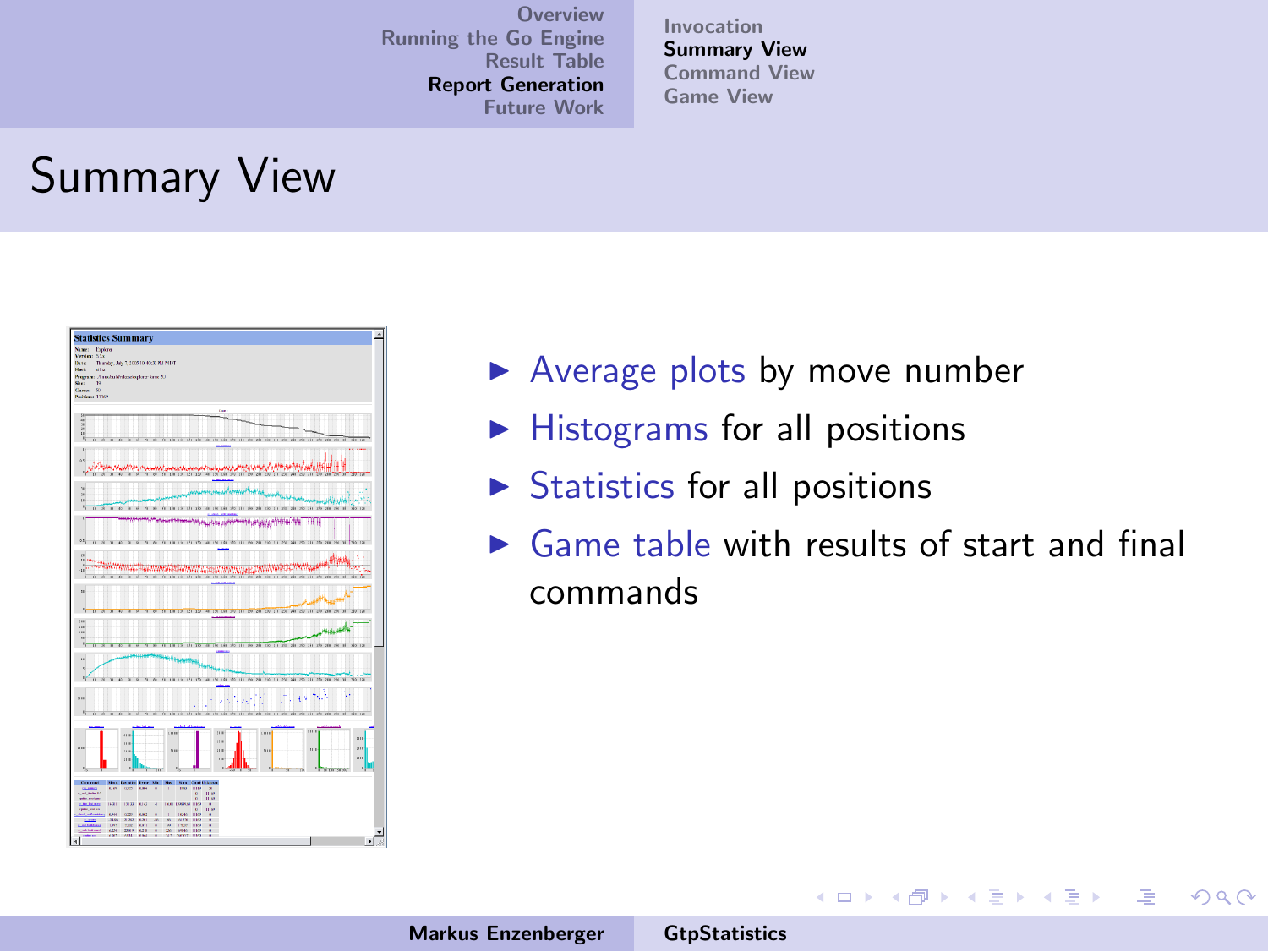[Invocation](#page-46-0) [Summary View](#page-51-0) [Command View](#page-52-0) [Game View](#page-56-0)

## Summary View



- $\blacktriangleright$  Average plots by move number
- $\blacktriangleright$  Histograms for all positions
- $\triangleright$  Statistics for all positions
- $\triangleright$  Game table with results of start and final commands

イロメ イ部メ イヨメ イヨメー

注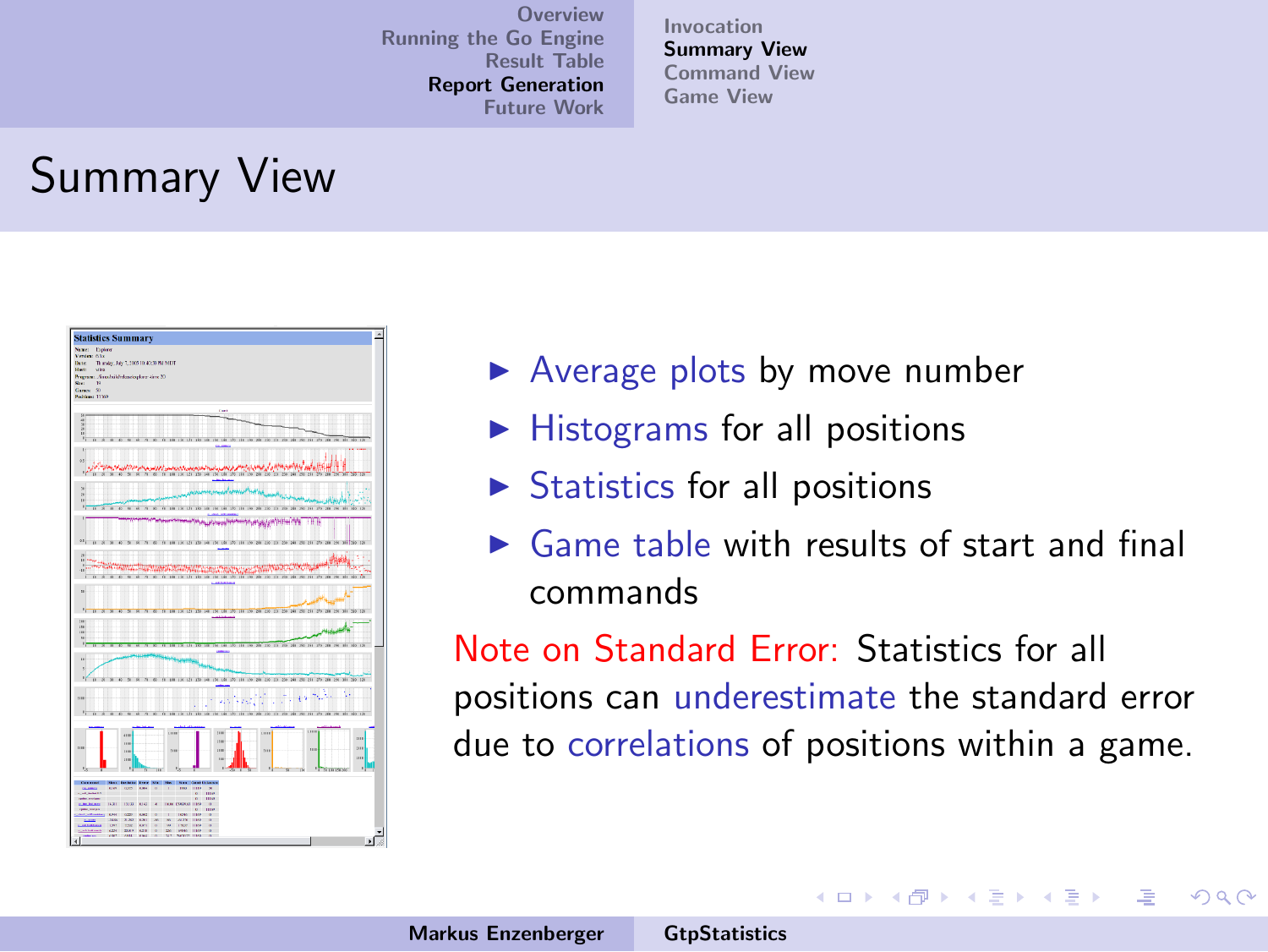[Invocation](#page-46-0) [Summary View](#page-47-0) [Command View](#page-52-0) [Game View](#page-56-0)

# Summary View



- $\blacktriangleright$  Average plots by move number
- $\blacktriangleright$  Histograms for all positions
- $\triangleright$  Statistics for all positions
- $\triangleright$  Game table with results of start and final commands

Note on Standard Error: Statistics for all positions can underestimate the standard error due to correlations of positions within a game.

イロメ イ押 トイラ トイラメー

<span id="page-51-0"></span>遥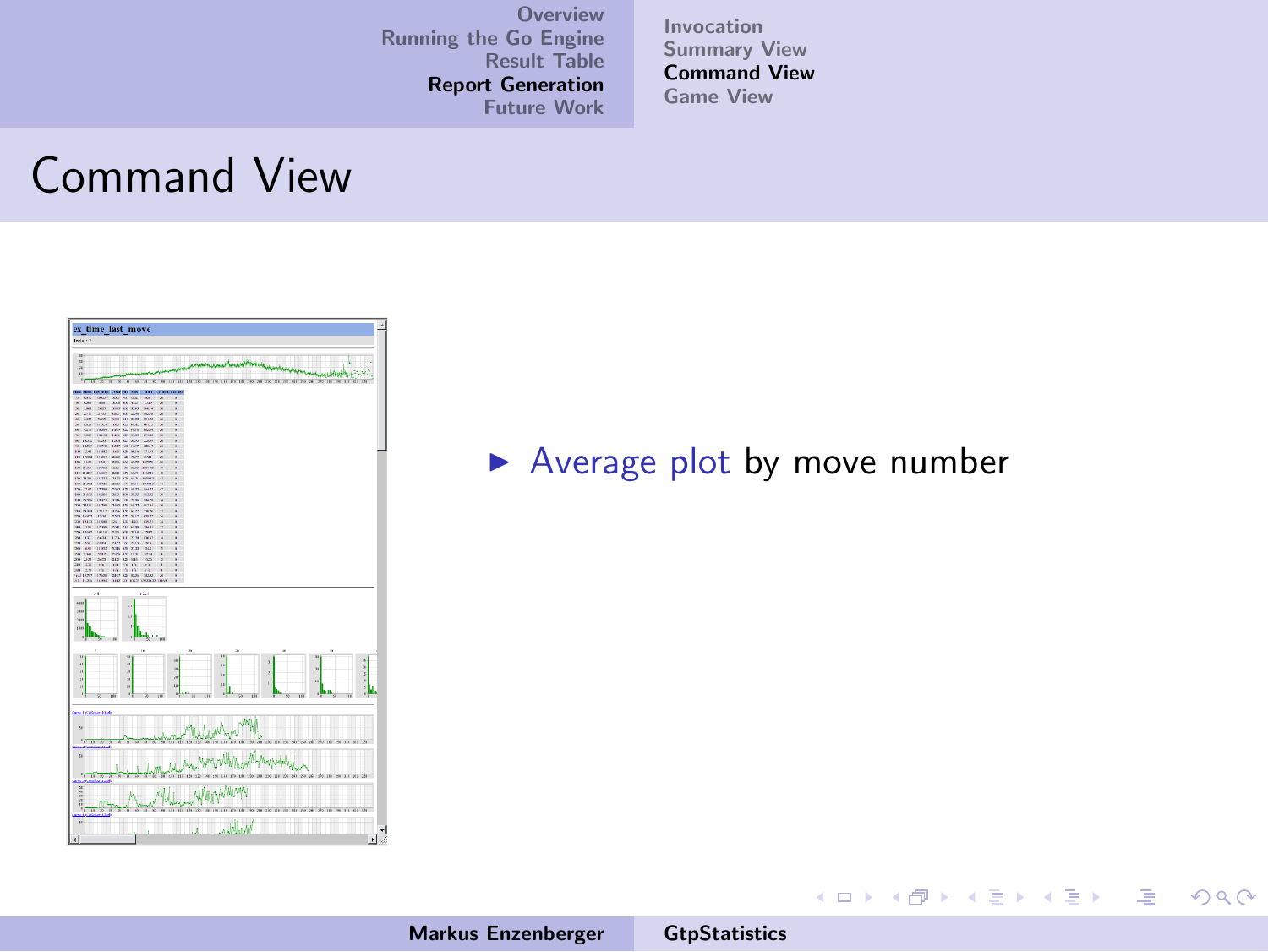[Invocation](#page-46-0) [Summary View](#page-47-0) [Command View](#page-55-0) [Game View](#page-56-0)

#### Command View



 $\blacktriangleright$  Average plot by move number

Markus Enzenberger [GtpStatistics](#page-0-0)

**K ロ メ イ団 メ ス ミ メ ス ミ メ** 

<span id="page-52-0"></span>注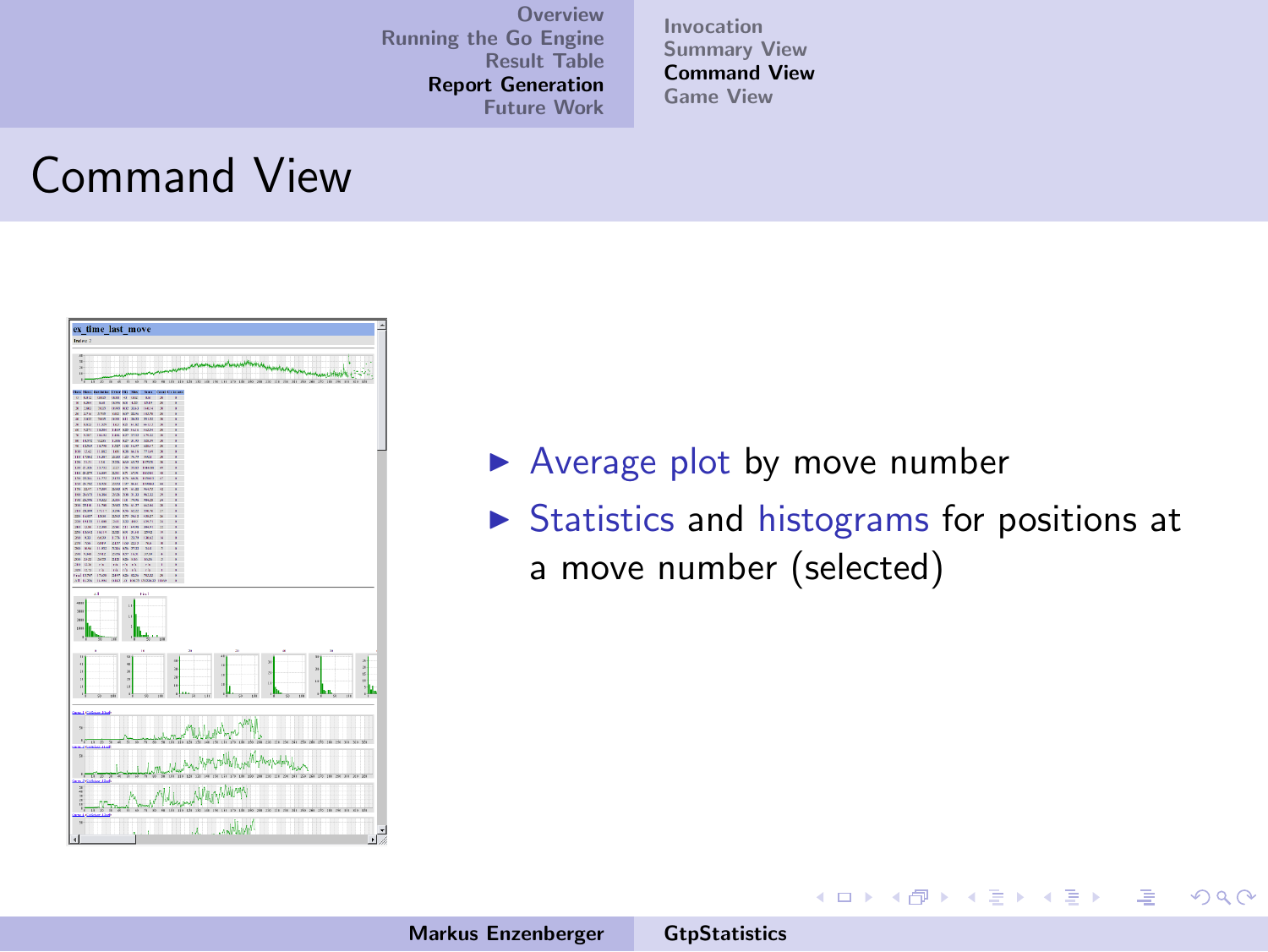[Invocation](#page-46-0) [Summary View](#page-47-0) [Command View](#page-55-0) [Game View](#page-56-0)

#### Command View



- $\blacktriangleright$  Average plot by move number
- $\triangleright$  Statistics and histograms for positions at a move number (selected)

K ロ ⊁ K 倒 ≯ K ミ ⊁ K ミ ⊁

 $\Omega$ 

哇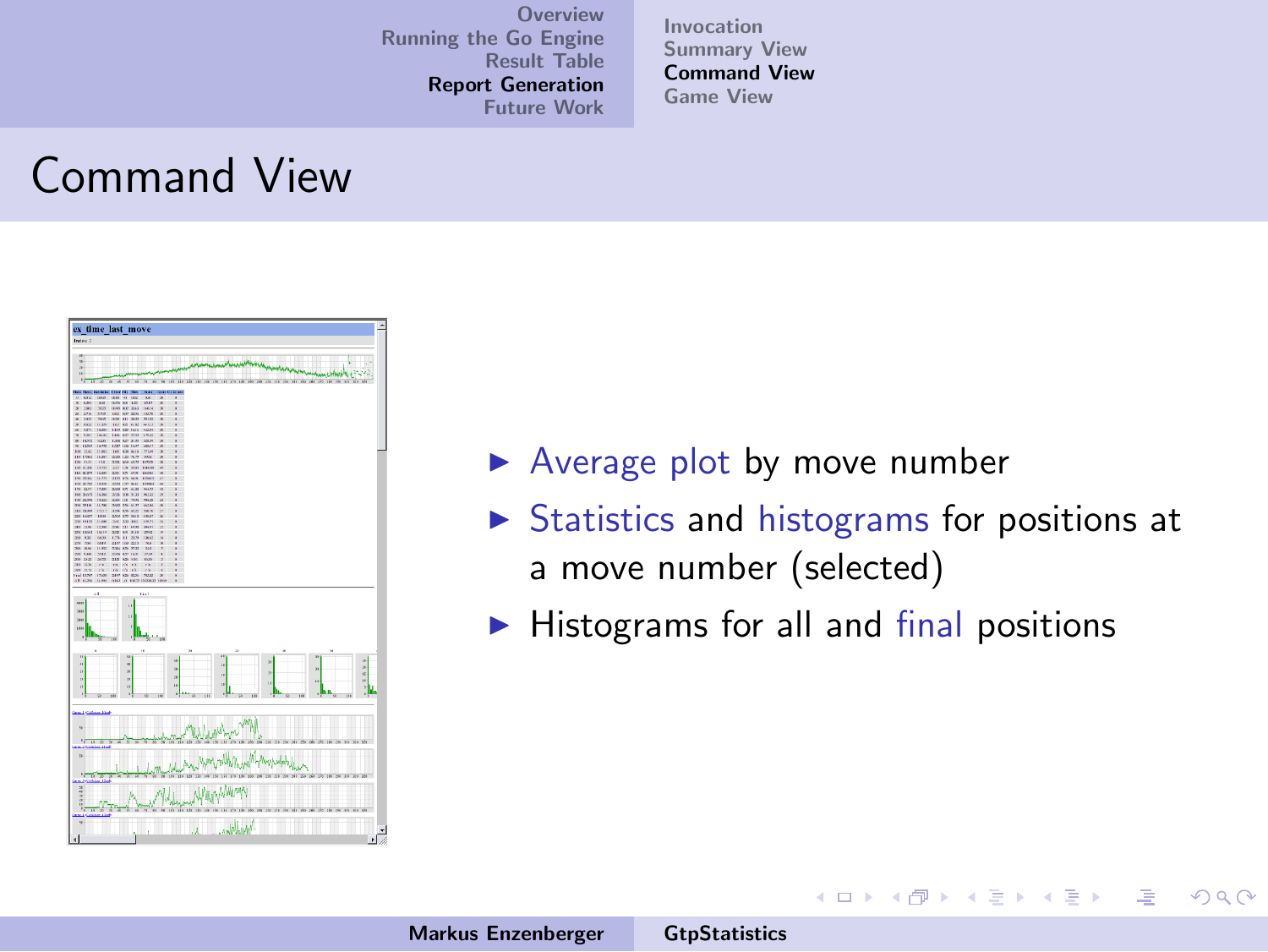[Invocation](#page-46-0) [Summary View](#page-47-0) [Command View](#page-55-0) [Game View](#page-56-0)

#### Command View



- $\blacktriangleright$  Average plot by move number
- $\triangleright$  Statistics and histograms for positions at a move number (selected)

イロメ イタメ イラメ

一 4 店 ト

 $\Omega$ 

 $\blacktriangleright$  Histograms for all and final positions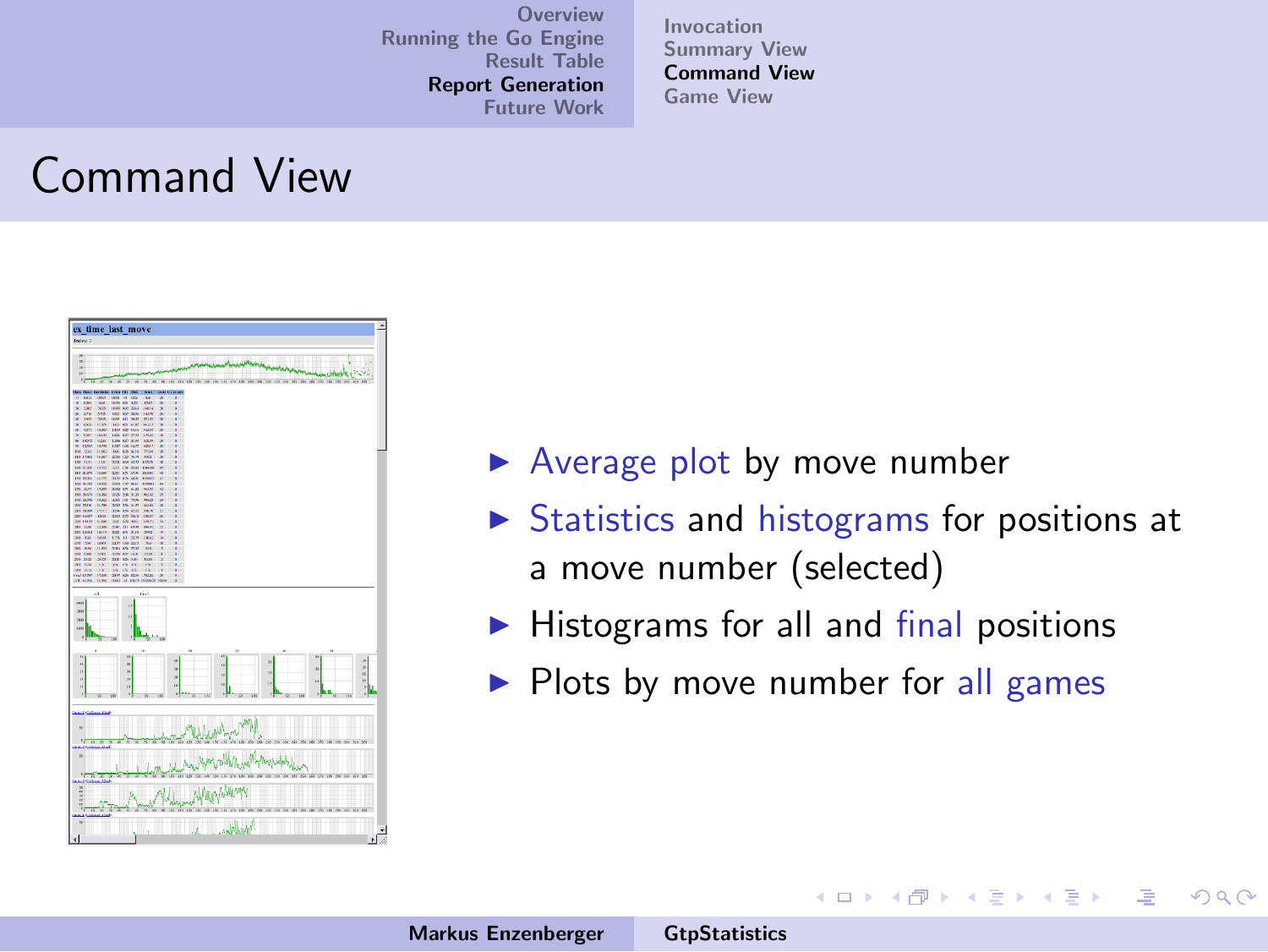[Invocation](#page-46-0) [Summary View](#page-47-0) [Command View](#page-52-0) [Game View](#page-56-0)

#### Command View



- $\blacktriangleright$  Average plot by move number
- $\triangleright$  Statistics and histograms for positions at a move number (selected)

 $4.11 \times 4.60 \times 4.72 \times$ 

<span id="page-55-0"></span> $\rightarrow$   $\pm$   $\rightarrow$ 

- Histograms for all and final positions
- $\blacktriangleright$  Plots by move number for all games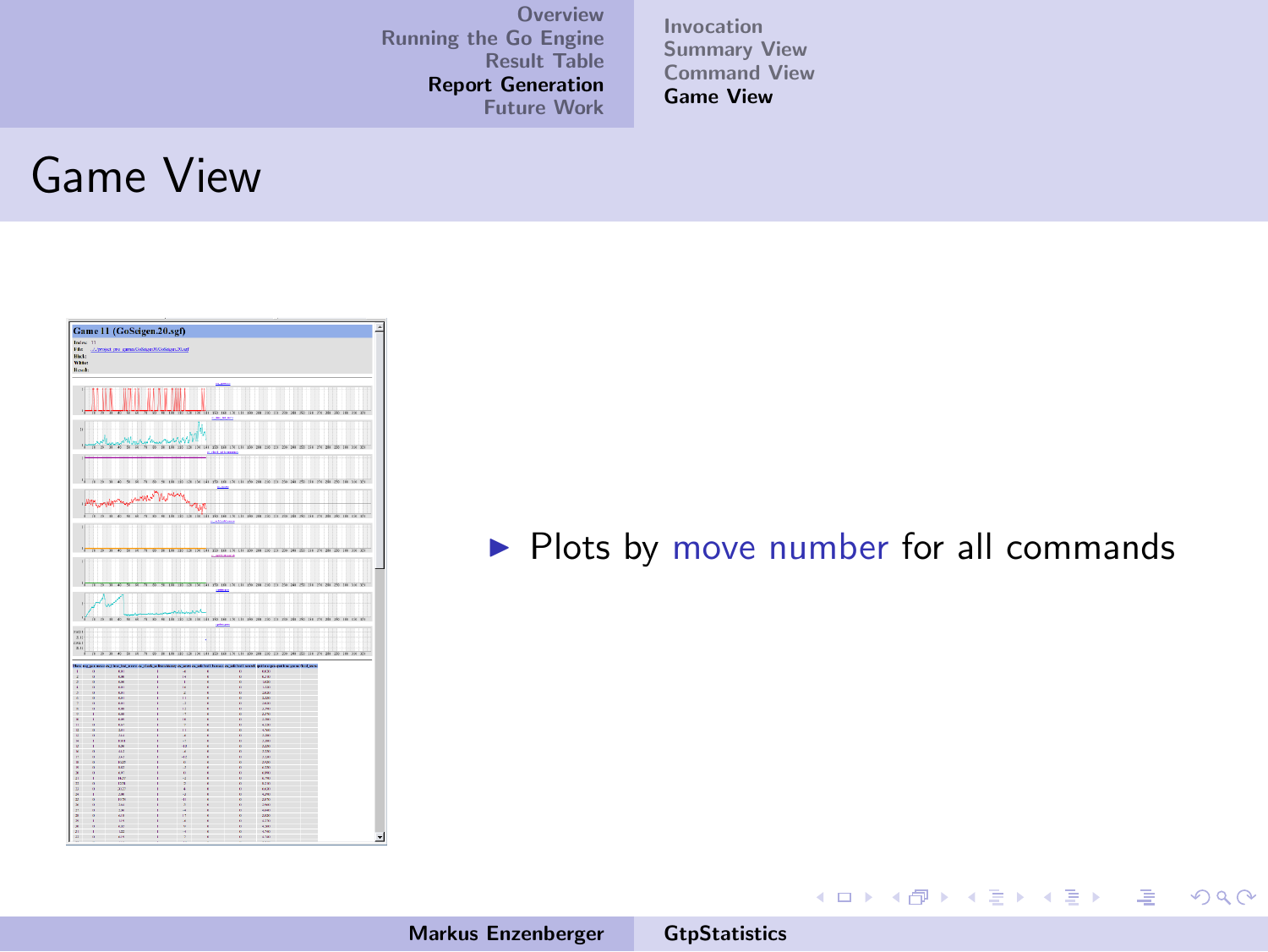[Invocation](#page-46-0) [Summary View](#page-47-0) [Command View](#page-52-0) [Game View](#page-57-0)

#### Game View



#### $\blacktriangleright$  Plots by move number for all commands

メロメ メ都 ドメ 君 ドメ 君 ドッ

<span id="page-56-0"></span> $\equiv$  $\Omega$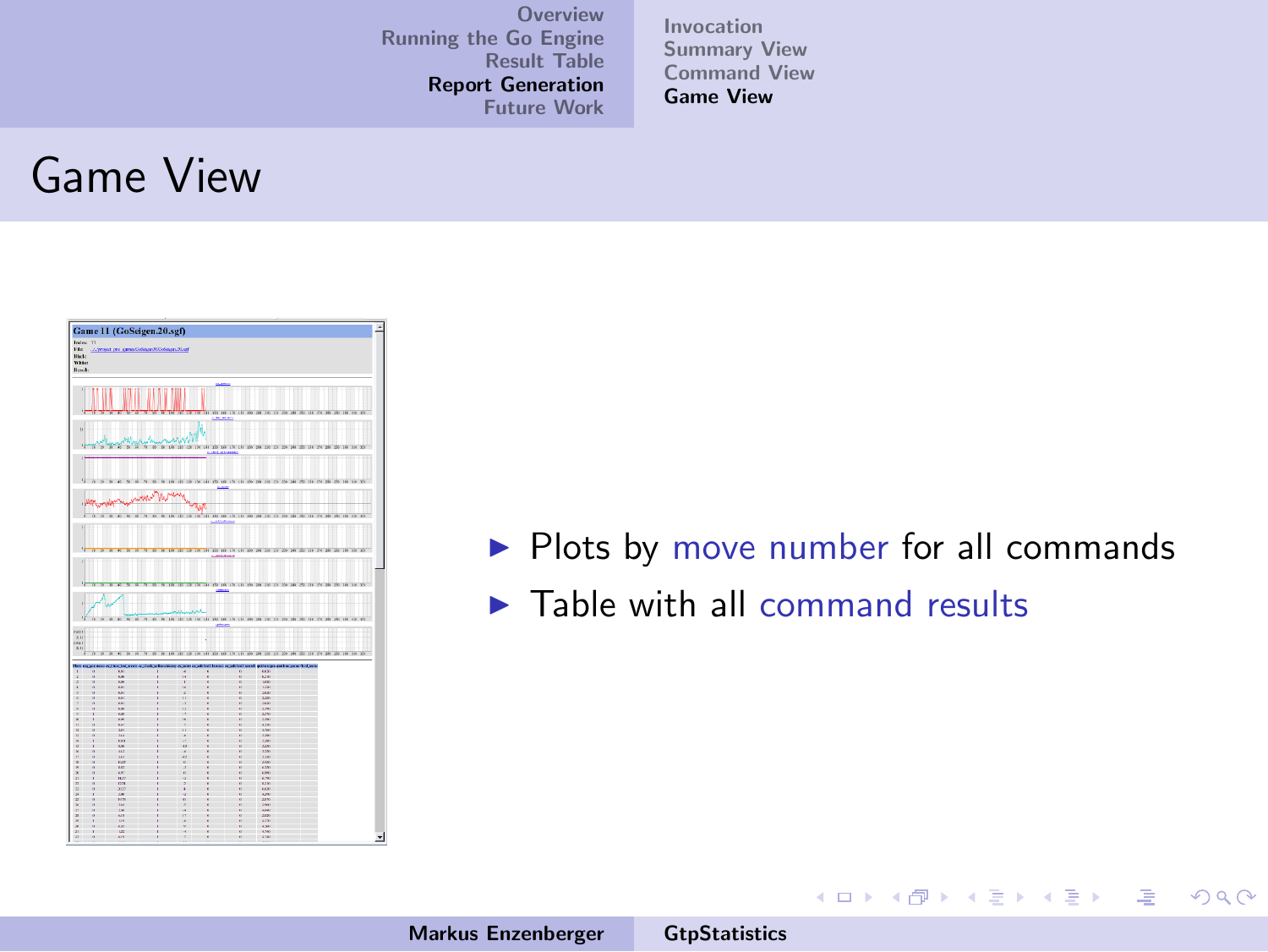[Invocation](#page-46-0) [Summary View](#page-47-0) [Command View](#page-52-0) [Game View](#page-56-0)

#### Game View



 $\blacktriangleright$  Plots by move number for all commands

イロメ イ部メ イヨメ イヨメー

注

<span id="page-57-0"></span> $2Q$ 

 $\blacktriangleright$  Table with all command results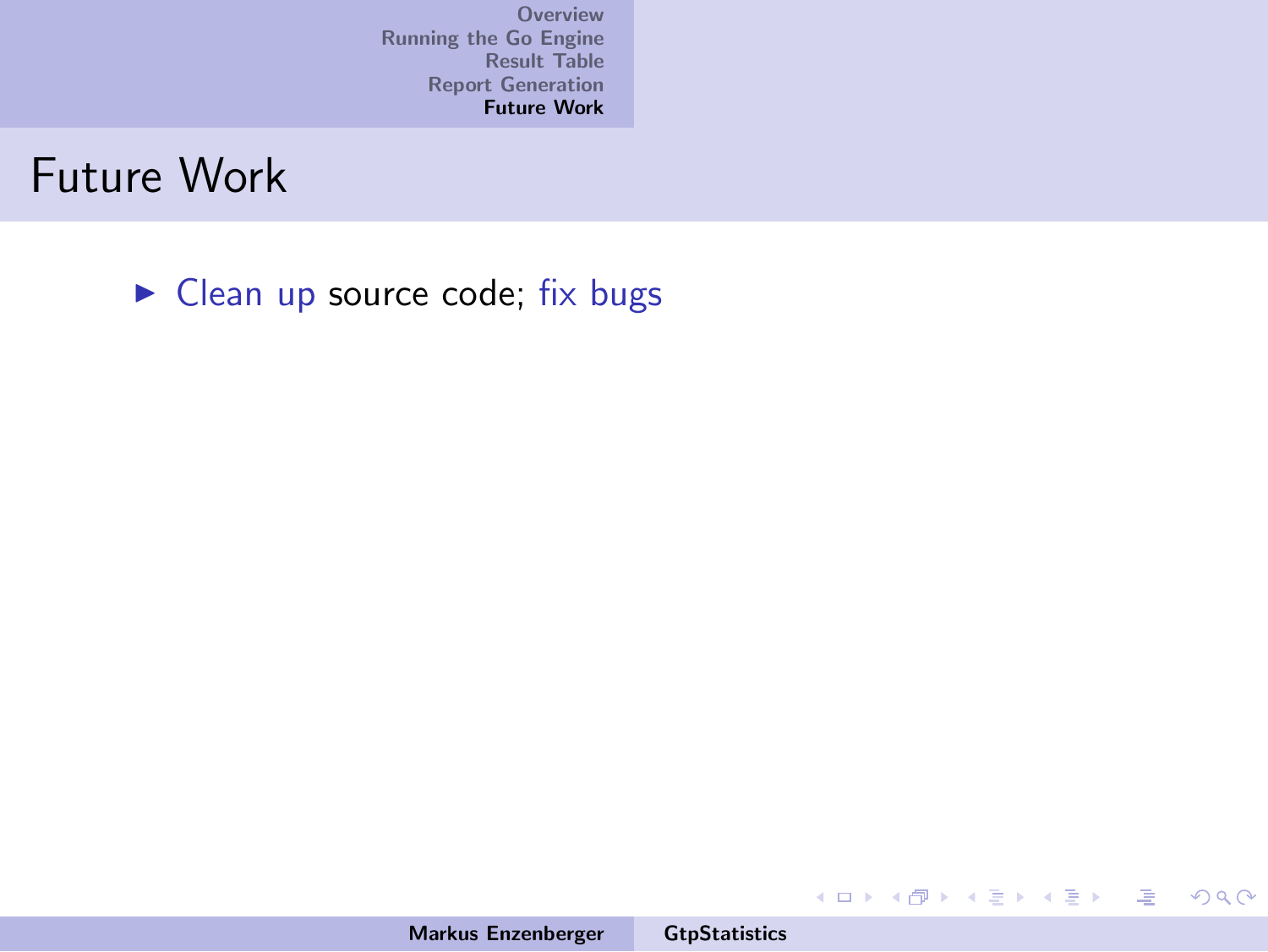Future Work

<span id="page-58-0"></span> $\blacktriangleright$  Clean up source code; fix bugs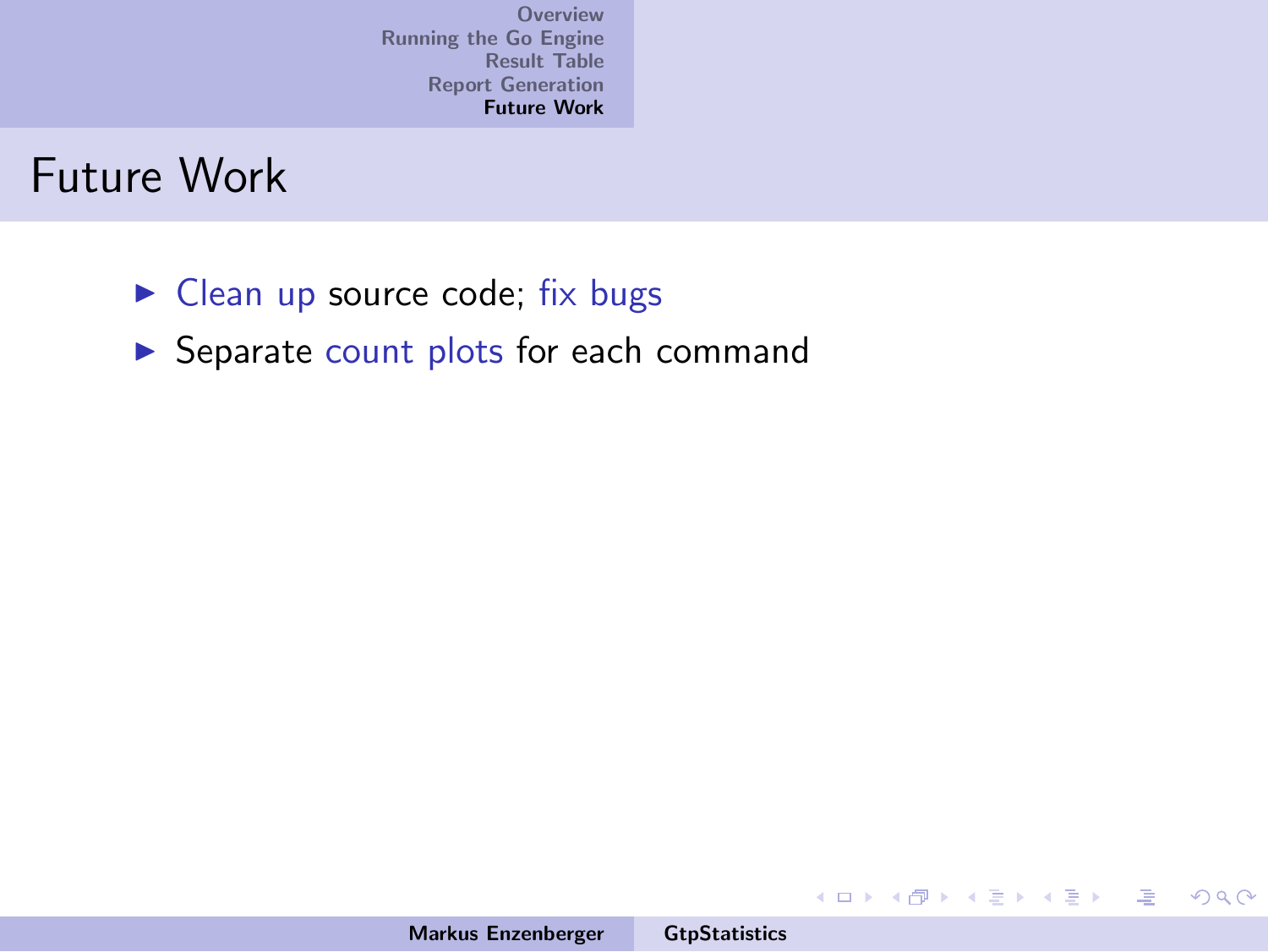#### Future Work

- $\blacktriangleright$  Clean up source code; fix bugs
- $\blacktriangleright$  Separate count plots for each command

イロメ イ部メ イヨメ イヨメー

唾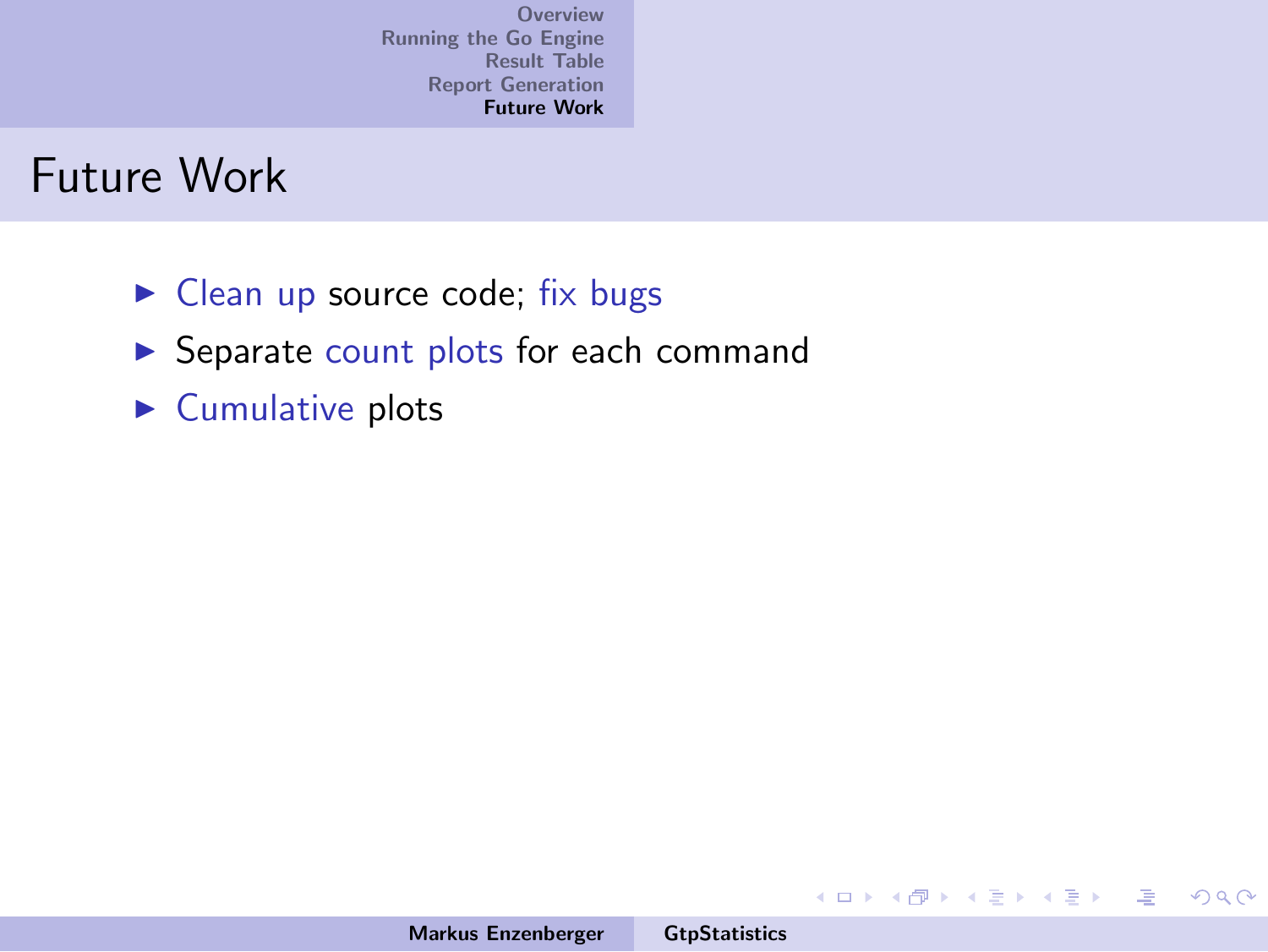#### Future Work

- $\blacktriangleright$  Clean up source code; fix bugs
- $\blacktriangleright$  Separate count plots for each command
- $\blacktriangleright$  Cumulative plots

イロメ イ部メ イヨメ イヨメー

唾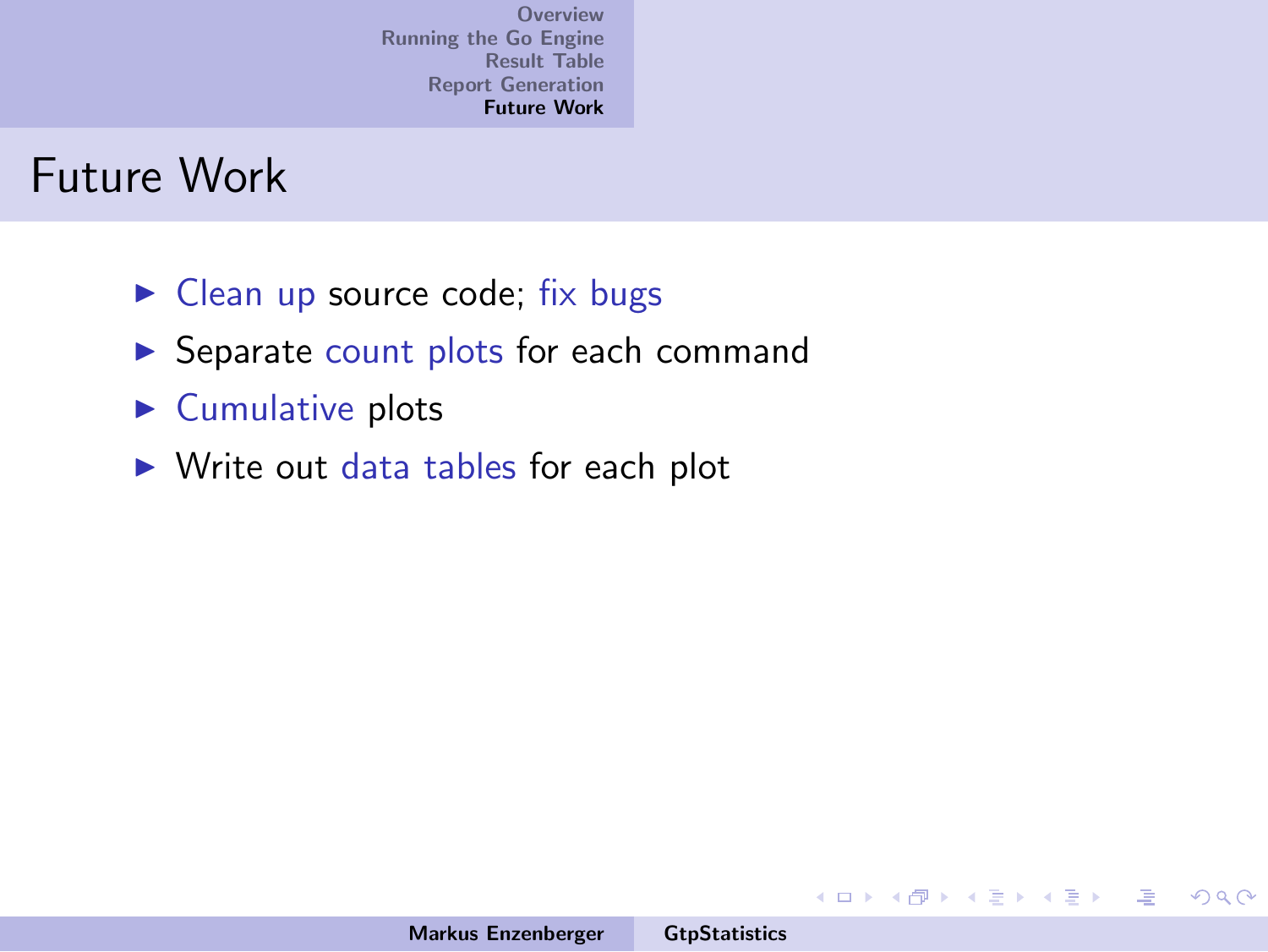#### Future Work

- $\triangleright$  Clean up source code; fix bugs
- $\triangleright$  Separate count plots for each command
- $\blacktriangleright$  Cumulative plots
- $\triangleright$  Write out data tables for each plot

**K ロ ト K 伊 ト K** 

一 ( 語 ) ( ) 唾

 $\equiv$   $\rightarrow$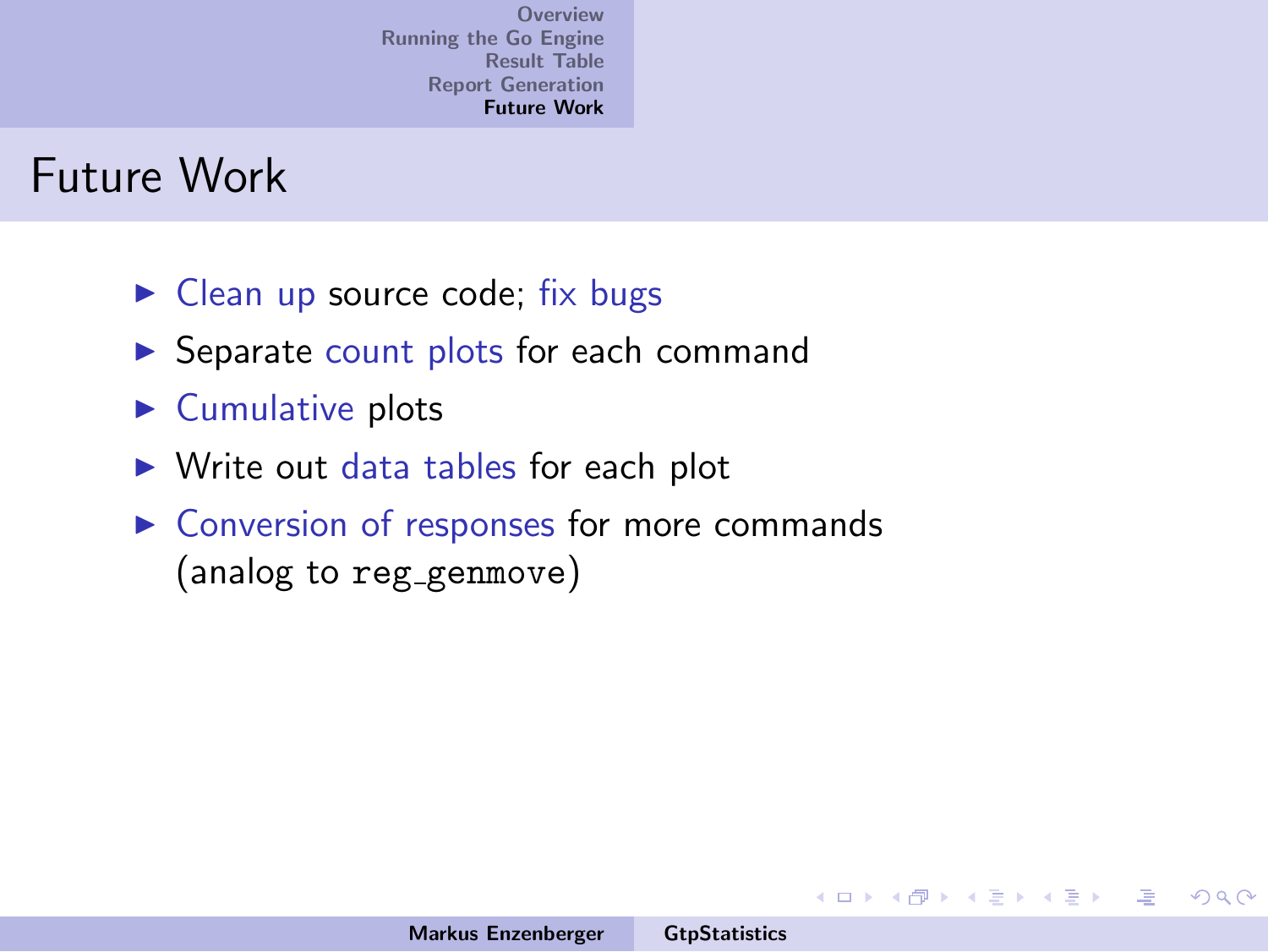#### Future Work

- $\triangleright$  Clean up source code; fix bugs
- $\triangleright$  Separate count plots for each command
- $\blacktriangleright$  Cumulative plots
- $\triangleright$  Write out data tables for each plot
- $\triangleright$  Conversion of responses for more commands (analog to reg\_genmove)

メロメ メ御き メミメ メミメー

唾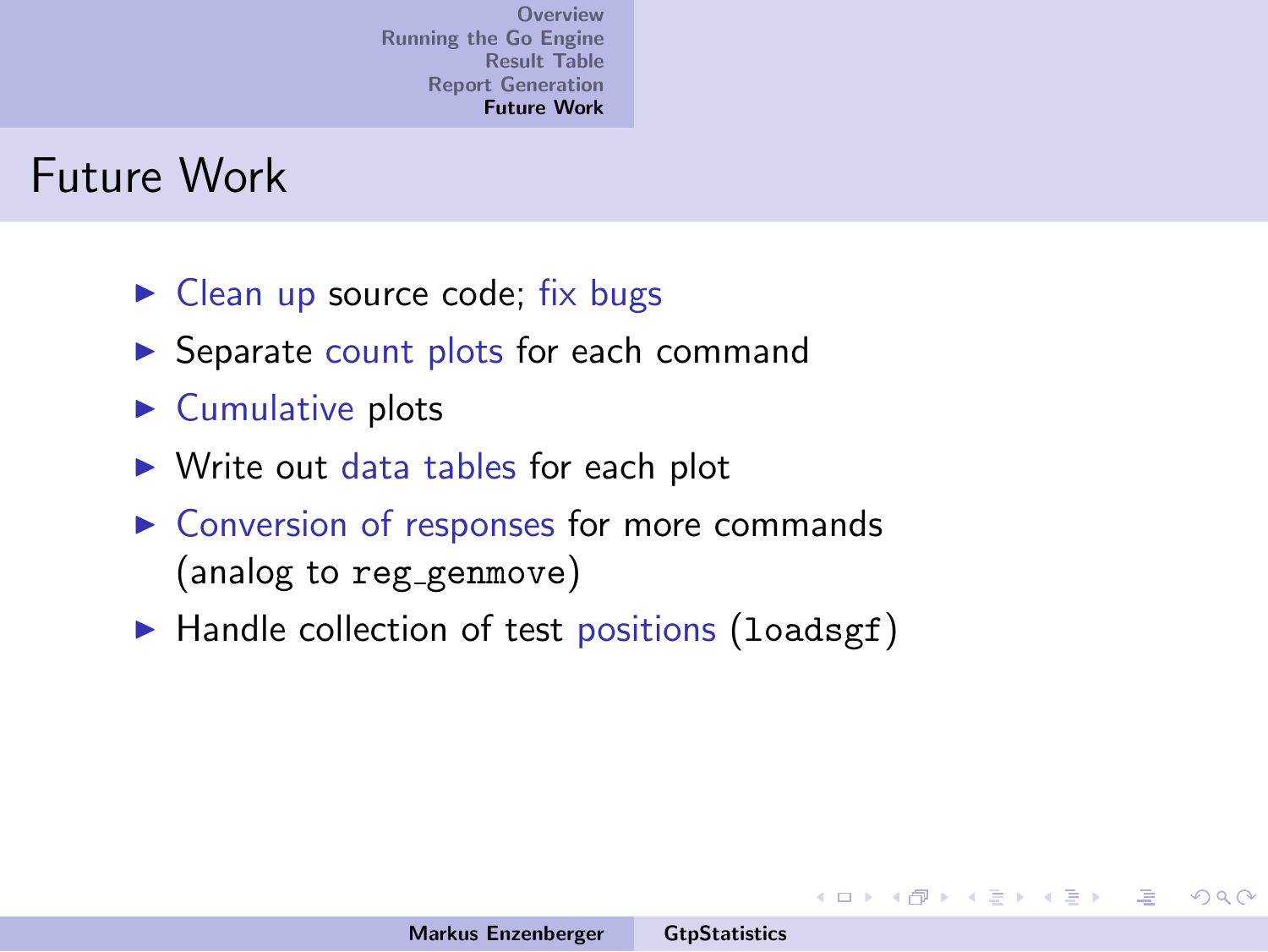#### Future Work

- $\triangleright$  Clean up source code; fix bugs
- $\triangleright$  Separate count plots for each command
- $\blacktriangleright$  Cumulative plots
- $\triangleright$  Write out data tables for each plot
- $\triangleright$  Conversion of responses for more commands (analog to reg\_genmove)
- $\blacktriangleright$  Handle collection of test positions (loadsgf)

 $4.11 \times 4.60 \times 4.72 \times$ 

一 ( 語 ) …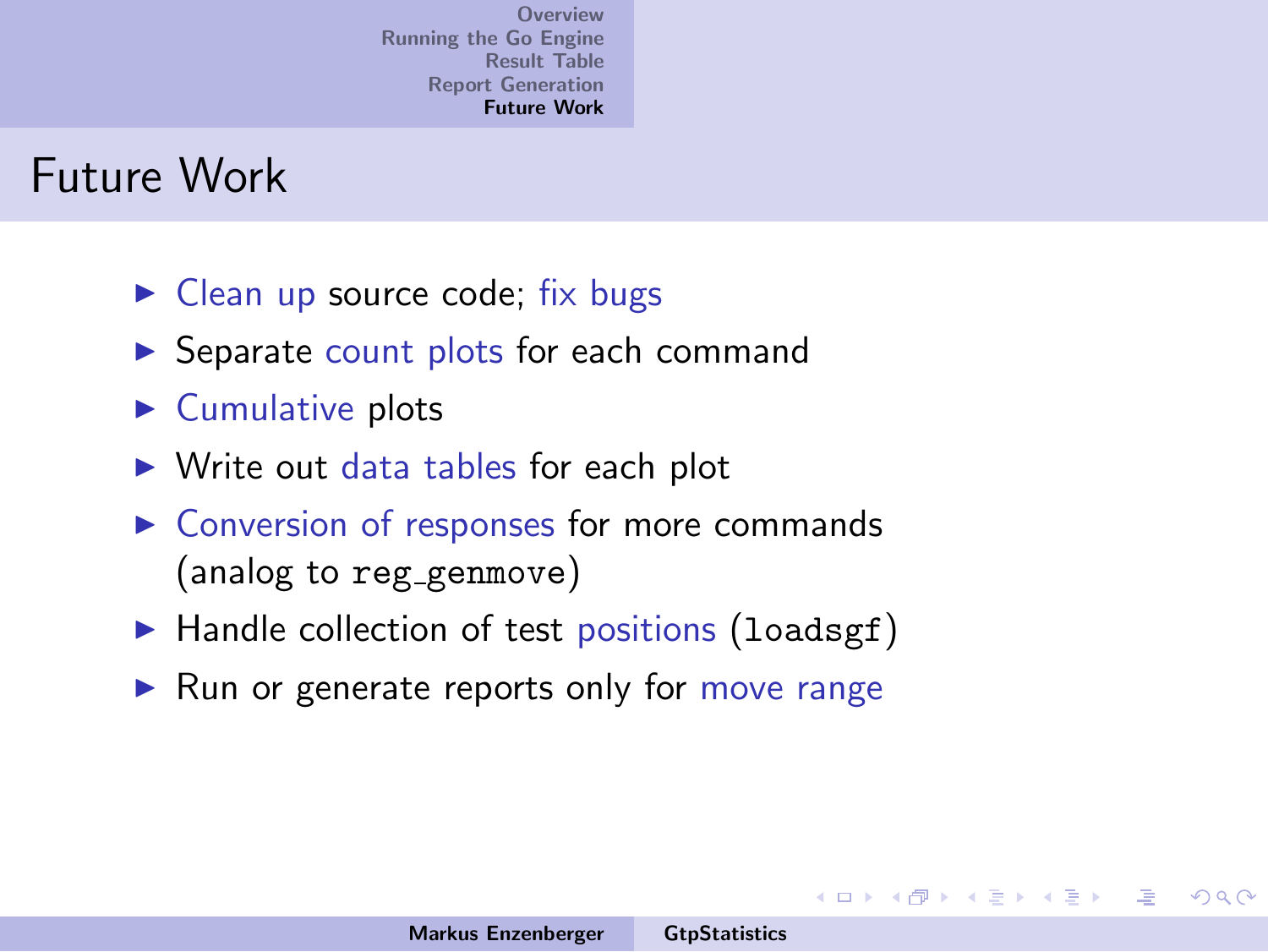#### Future Work

- $\blacktriangleright$  Clean up source code; fix bugs
- **In Separate count plots for each command**
- $\blacktriangleright$  Cumulative plots
- $\triangleright$  Write out data tables for each plot
- $\triangleright$  Conversion of responses for more commands (analog to reg\_genmove)
- $\blacktriangleright$  Handle collection of test positions (loadsgf)
- $\blacktriangleright$  Run or generate reports only for move range

 $4.11 \times 4.60 \times 4.21 \times$ 

一 ( 語 ) …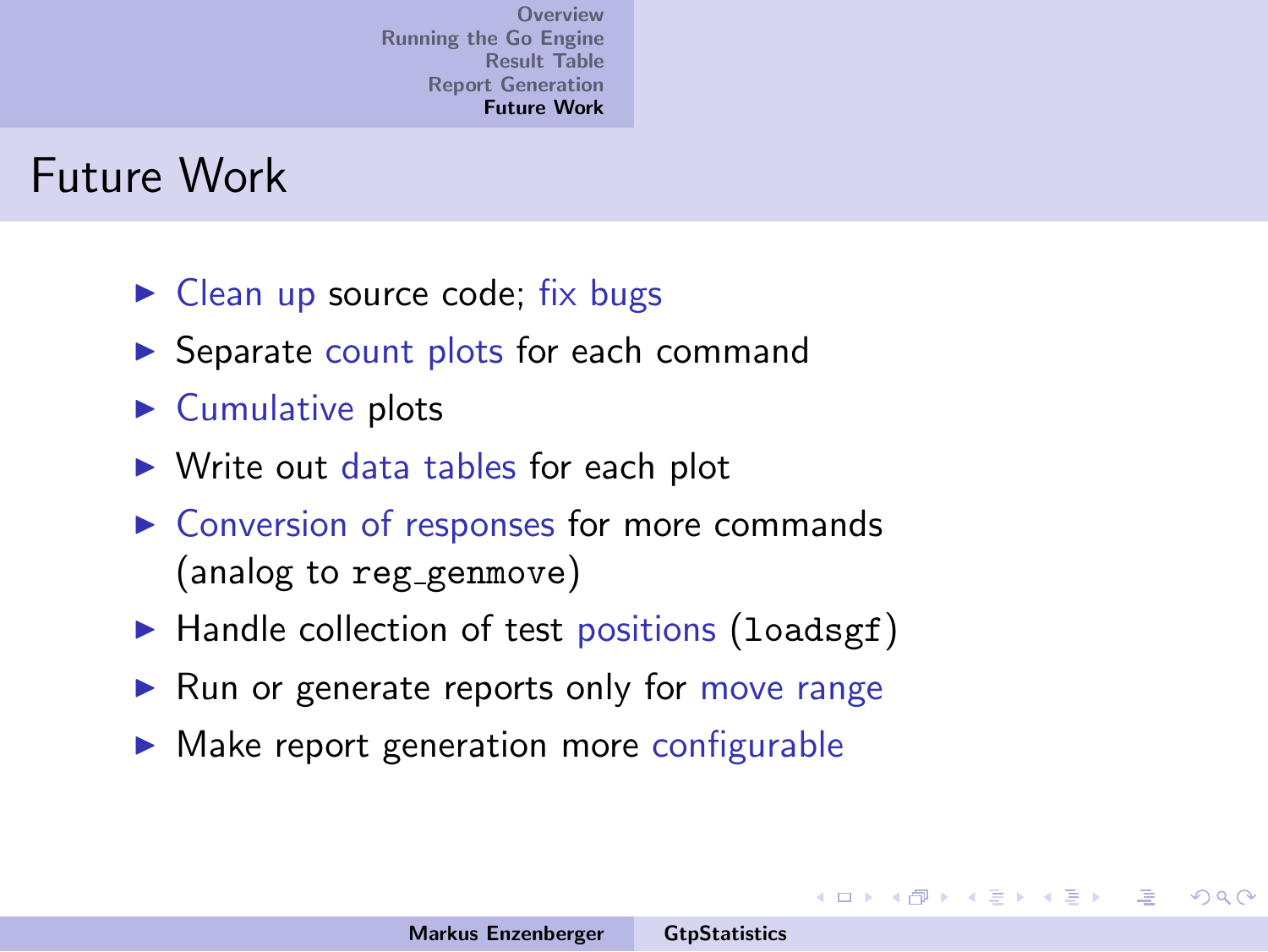#### Future Work

- $\triangleright$  Clean up source code; fix bugs
- **In Separate count plots for each command**
- $\blacktriangleright$  Cumulative plots
- $\triangleright$  Write out data tables for each plot
- $\triangleright$  Conversion of responses for more commands (analog to reg genmove)
- $\blacktriangleright$  Handle collection of test positions (loadsgf)
- $\blacktriangleright$  Run or generate reports only for move range
- $\triangleright$  Make report generation more configurable

 $4.11 \times 4.60 \times 4.72 \times$ 

一 ( 語 ) …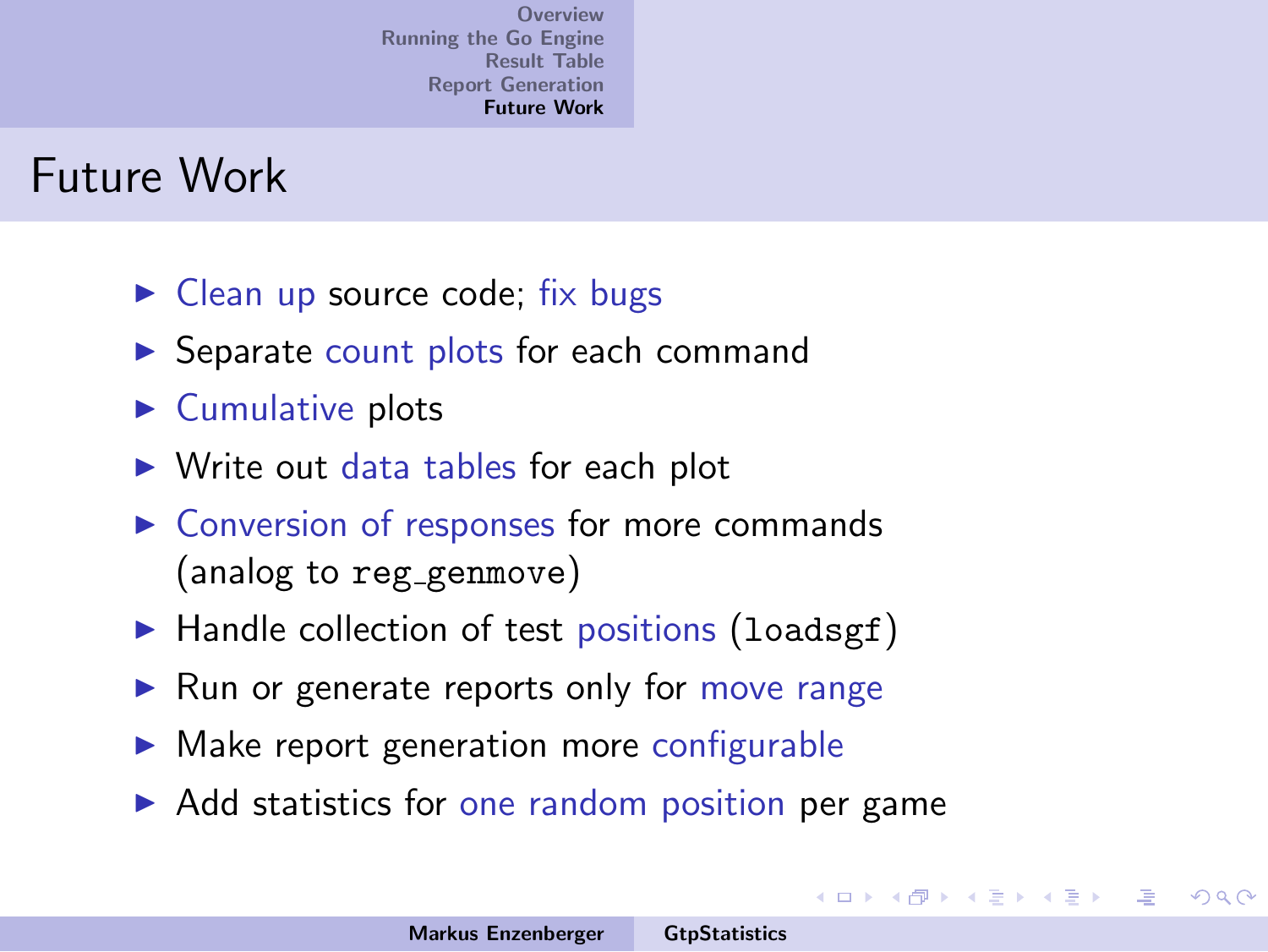#### Future Work

- $\triangleright$  Clean up source code; fix bugs
- **In Separate count plots for each command**
- $\blacktriangleright$  Cumulative plots
- $\triangleright$  Write out data tables for each plot
- $\triangleright$  Conversion of responses for more commands (analog to reg genmove)
- $\blacktriangleright$  Handle collection of test positions (loadsgf)
- $\blacktriangleright$  Run or generate reports only for move range
- $\triangleright$  Make report generation more configurable
- $\triangleright$  Add statistics for one random position per game

 $4.11 \times 4.60 \times 4.72 \times$ 

一 ( 語 ) …